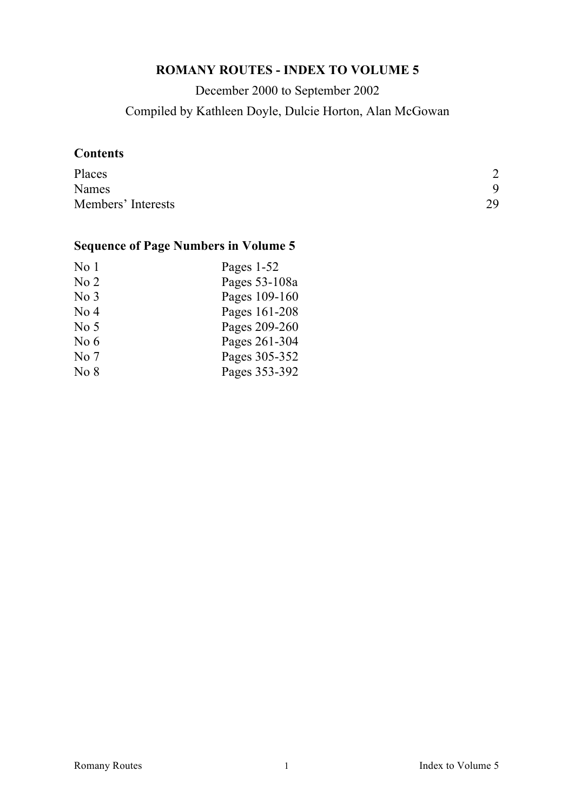## **ROMANY ROUTES - INDEX TO VOLUME 5**

December 2000 to September 2002 Compiled by Kathleen Doyle, Dulcie Horton, Alan McGowan

## **Contents**

| Places             | ↑  |
|--------------------|----|
| Names              | 9  |
| Members' Interests | 29 |

# **Sequence of Page Numbers in Volume 5**

| No <sub>1</sub> | Pages 1-52    |
|-----------------|---------------|
| No <sub>2</sub> | Pages 53-108a |
| No <sub>3</sub> | Pages 109-160 |
| No <sub>4</sub> | Pages 161-208 |
| No <sub>5</sub> | Pages 209-260 |
| No $6$          | Pages 261-304 |
| No <sub>7</sub> | Pages 305-352 |
| No 8            | Pages 353-392 |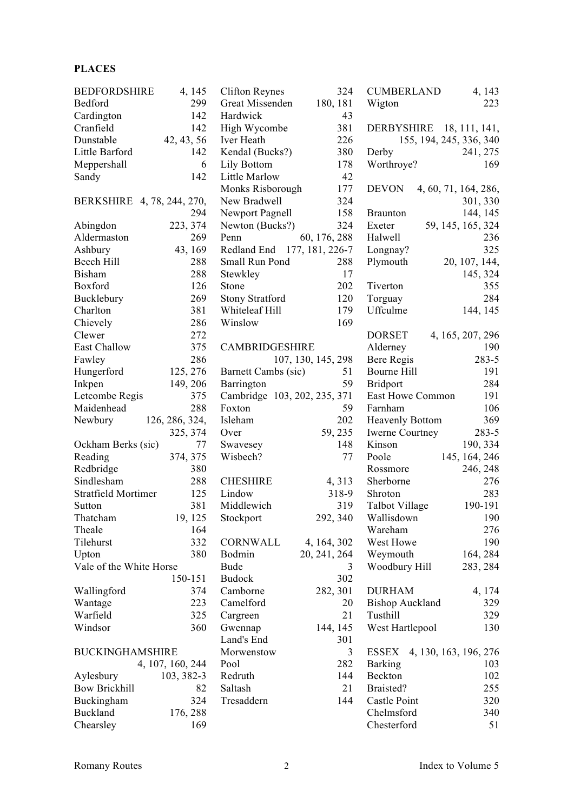### **PLACES**

| <b>BEDFORDSHIRE</b>        | 4, 145           | <b>Clifton Reynes</b>        | 324                | <b>CUMBERLAND</b>        | 4, 143                |
|----------------------------|------------------|------------------------------|--------------------|--------------------------|-----------------------|
| Bedford                    | 299              | Great Missenden              | 180, 181           | Wigton                   | 223                   |
| Cardington                 | 142              | Hardwick                     | 43                 |                          |                       |
| Cranfield                  | 142              | High Wycombe                 | 381                | DERBYSHIRE 18, 111, 141, |                       |
| Dunstable                  | 42, 43, 56       | Iver Heath                   | 226                | 155, 194, 245, 336, 340  |                       |
| Little Barford             | 142              | Kendal (Bucks?)              | 380                | Derby                    | 241, 275              |
| Meppershall                | 6                | Lily Bottom                  | 178                | Worthroye?               | 169                   |
| Sandy                      | 142              | Little Marlow                | 42                 |                          |                       |
|                            |                  | Monks Risborough             | 177                | <b>DEVON</b>             | 4, 60, 71, 164, 286,  |
| BERKSHIRE 4, 78, 244, 270, |                  | New Bradwell                 | 324                |                          | 301, 330              |
|                            | 294              | Newport Pagnell              | 158                | <b>Braunton</b>          | 144, 145              |
| Abingdon                   | 223, 374         | Newton (Bucks?)              | 324                | Exeter                   | 59, 145, 165, 324     |
|                            |                  |                              |                    |                          |                       |
| Aldermaston                | 269              | Penn                         | 60, 176, 288       | Halwell                  | 236                   |
| Ashbury                    | 43, 169          | Redland End 177, 181, 226-7  |                    | Longnay?                 | 325                   |
| Beech Hill                 | 288              | Small Run Pond               | 288                | Plymouth                 | 20, 107, 144,         |
| <b>Bisham</b>              | 288              | Stewkley                     | 17                 |                          | 145, 324              |
| Boxford                    | 126              | Stone                        | 202                | Tiverton                 | 355                   |
| Bucklebury                 | 269              | <b>Stony Stratford</b>       | 120                | Torguay                  | 284                   |
| Charlton                   | 381              | Whiteleaf Hill               | 179                | Uffculme                 | 144, 145              |
| Chievely                   | 286              | Winslow                      | 169                |                          |                       |
| Clewer                     | 272              |                              |                    | <b>DORSET</b>            | 4, 165, 207, 296      |
| East Challow               | 375              | CAMBRIDGESHIRE               |                    | Alderney                 | 190                   |
| Fawley                     | 286              |                              | 107, 130, 145, 298 | Bere Regis               | 283-5                 |
| Hungerford                 | 125, 276         | Barnett Cambs (sic)          | 51                 | Bourne Hill              | 191                   |
| Inkpen                     | 149, 206         | Barrington                   | 59                 | <b>Bridport</b>          | 284                   |
| Letcombe Regis             | 375              | Cambridge 103, 202, 235, 371 |                    | East Howe Common         | 191                   |
| Maidenhead                 | 288              | Foxton                       | 59                 | Farnham                  | 106                   |
| Newbury                    | 126, 286, 324,   | Isleham                      | 202                | <b>Heavenly Bottom</b>   | 369                   |
|                            | 325, 374         | Over                         | 59, 235            | <b>Iwerne Courtney</b>   | $283 - 5$             |
| Ockham Berks (sic)         | 77               | Swavesey                     | 148                | Kinson                   | 190, 334              |
|                            |                  | Wisbech?                     | 77                 | Poole                    |                       |
| Reading                    | 374, 375<br>380  |                              |                    |                          | 145, 164, 246         |
| Redbridge                  |                  |                              |                    | Rossmore                 | 246, 248              |
| Sindlesham                 | 288              | <b>CHESHIRE</b>              | 4, 313             | Sherborne                | 276                   |
| Stratfield Mortimer        | 125              | Lindow                       | 318-9              | Shroton                  | 283                   |
| Sutton                     | 381              | Middlewich                   | 319                | Talbot Village           | 190-191               |
| Thatcham                   | 19, 125          | Stockport                    | 292, 340           | Wallisdown               | 190                   |
| Theale                     | 164              |                              |                    | Wareham                  | 276                   |
| Tilehurst                  | 332              | CORNWALL                     | 4, 164, 302        | West Howe                | 190                   |
| Upton                      | 380              | Bodmin                       | 20, 241, 264       | Weymouth                 | 164, 284              |
| Vale of the White Horse    |                  | <b>Bude</b>                  | 3                  | Woodbury Hill            | 283, 284              |
|                            | 150-151          | <b>Budock</b>                | 302                |                          |                       |
| Wallingford                | 374              | Camborne                     | 282, 301           | <b>DURHAM</b>            | 4, 174                |
| Wantage                    | 223              | Camelford                    | 20                 | <b>Bishop Auckland</b>   | 329                   |
| Warfield                   | 325              | Cargreen                     | 21                 | Tusthill                 | 329                   |
| Windsor                    | 360              | Gwennap                      | 144, 145           | West Hartlepool          | 130                   |
|                            |                  | Land's End                   | 301                |                          |                       |
| <b>BUCKINGHAMSHIRE</b>     |                  | Morwenstow                   | 3                  | ESSEX                    | 4, 130, 163, 196, 276 |
|                            | 4, 107, 160, 244 | Pool                         | 282                | <b>Barking</b>           | 103                   |
| Aylesbury                  | 103, 382-3       | Redruth                      | 144                | Beckton                  | 102                   |
| <b>Bow Brickhill</b>       | 82               | Saltash                      | 21                 | Braisted?                | 255                   |
|                            | 324              |                              | 144                | Castle Point             |                       |
| Buckingham                 |                  | Tresaddern                   |                    |                          | 320                   |
| <b>Buckland</b>            | 176, 288         |                              |                    | Chelmsford               | 340                   |
| Chearsley                  | 169              |                              |                    | Chesterford              | 51                    |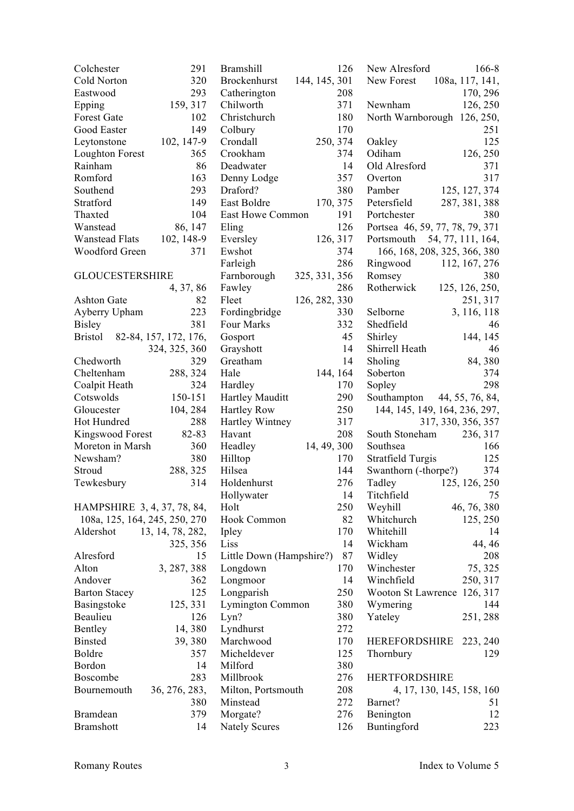| Colchester                              | 291              | <b>Brams</b> |
|-----------------------------------------|------------------|--------------|
| Cold Norton                             | 320              | Brocke       |
| Eastwood                                | 293              | Cather       |
| Epping                                  | 159, 317         | Chilwo       |
| <b>Forest Gate</b>                      | 102              | Christo      |
| Good Easter                             | 149              | Colbur       |
| Leytonstone                             | 102, 147-9       | Cronda       |
| <b>Loughton Forest</b>                  | 365              | Crookl       |
| Rainham                                 | 86               | Deadw        |
| Romford                                 | 163              | Denny        |
| Southend                                | 293              | Drafor       |
| Stratford                               | 149              | East B       |
| Thaxted                                 | 104              |              |
| Wanstead                                |                  | East H       |
|                                         | 86, 147          | Eling        |
| <b>Wanstead Flats</b>                   | 102, 148-9       | Eversle      |
| Woodford Green                          | 371              | Ewsho        |
|                                         |                  | Farleig      |
| <b>GLOUCESTERSHIRE</b>                  |                  | Farnbc       |
|                                         | 4, 37, 86        | Fawley       |
| <b>Ashton Gate</b>                      | 82               | Fleet        |
| Ayberry Upham                           | 223              | Fordin       |
| <b>Bisley</b>                           | 381              | Four N       |
| 82-84, 157, 172, 176,<br><b>Bristol</b> |                  | Gospo:       |
|                                         | 324, 325, 360    | Graysh       |
| Chedworth                               | 329              | Greath       |
| Cheltenham                              | 288, 324         | Hale         |
| Coalpit Heath                           | 324              | Hardle       |
| Cotswolds                               | 150-151          | Hartley      |
| Gloucester                              | 104, 284         | Hartley      |
| Hot Hundred                             | 288              | Hartley      |
| Kingswood Forest                        | 82-83            | Havan        |
| Moreton in Marsh                        | 360              | Headle       |
| Newsham?                                | 380              | Hilltop      |
| Stroud                                  | 288, 325         | Hilsea       |
| Tewkesbury                              | 314              | Holder       |
|                                         |                  | Hollyv       |
| HAMPSHIRE 3, 4, 37, 78, 84,             |                  | Holt         |
| 108a, 125, 164, 245, 250, 270           |                  | Hook (       |
| Aldershot                               | 13, 14, 78, 282, | Ipley        |
|                                         | 325, 356         | Liss         |
| Alresford                               | 15               | Little I     |
| Alton                                   | 3, 287, 388      | Longd        |
| Andover                                 | 362              | Longm        |
| <b>Barton Stacey</b>                    | 125              | Longpa       |
| Basingstoke                             | 125, 331         | Lymin        |
| Beaulieu                                | 126              | Lyn?         |
| <b>Bentley</b>                          | 14,380           | Lyndh        |
| <b>Binsted</b>                          | 39, 380          | March        |
| <b>Boldre</b>                           | 357              | Michel       |
| Bordon                                  | 14               | Milfor       |
| <b>Boscombe</b>                         | 283              | Millbro      |
| Bournemouth                             | 36, 276, 283,    | Milton       |
|                                         | 380              | Minste       |
|                                         |                  |              |
| <b>Bramdean</b>                         | 379              | Morga        |
| <b>Bramshott</b>                        | 14               | Nately       |

| 291   | <b>Bramshill</b>                     | 126       |
|-------|--------------------------------------|-----------|
| 320   | 144, 145, 301<br><b>Brockenhurst</b> |           |
| 293   | Catherington                         | 208       |
| 317   | Chilworth                            | 371       |
| 102   | Christchurch                         | 180       |
| 149   | Colbury                              | 170       |
| $7-9$ | Crondall<br>250, 374                 |           |
| 365   | Crookham                             | 374       |
| 86    | Deadwater                            | 14        |
| 163   | Denny Lodge                          | 357       |
| 293   | Draford?                             | 380       |
| 149   | East Boldre                          | 170, 375  |
| 104   | East Howe Common                     | 191       |
| 147   | Eling                                | 126       |
| 8-9   | Eversley                             | 126, 317  |
| 371   | Ewshot                               | 374       |
|       | Farleigh                             | 286       |
|       | 325, 331, 356                        |           |
| 86    | Farnborough<br>Fawley                | 286       |
| 82    | 126, 282, 330<br>Fleet               |           |
| 223   | Fordingbridge                        |           |
|       | Four Marks                           | 330       |
| 381   |                                      | 332<br>45 |
| 76,   | Gosport                              | 14        |
| 360   | Grayshott                            |           |
| 329   | Greatham                             | 14        |
| 324   | Hale                                 | 144, 164  |
| 324   | Hardley                              | 170       |
| 151   | Hartley Mauditt                      | 290       |
| 284   | Hartley Row                          | 250       |
| 288   | Hartley Wintney                      | 317       |
| $-83$ | Havant                               | 208       |
| 360   | Headley<br>14, 49, 300               |           |
| 380   | Hilltop                              | 170       |
| 325   | Hilsea                               | 144       |
| 314   | Holdenhurst                          | 276       |
|       | Hollywater                           | 14        |
| 84,   | Holt                                 | 250       |
| 270   | Hook Common                          | 82        |
| 82,   | Ipley                                | 170       |
| 356   | Liss                                 | 14        |
| 15    | Little Down (Hampshire?)             | 87        |
| 388   | Longdown                             | 170       |
| 362   | Longmoor                             | 14        |
| 125   | Longparish                           | 250       |
| 331   | Lymington Common                     | 380       |
| 126   | Lyn?                                 | 380       |
| 380   | Lyndhurst                            | 272       |
| 380   | Marchwood                            | 170       |
| 357   | Micheldever                          | 125       |
| 14    | Milford                              | 380       |
| 283   | Millbrook                            | 276       |
| 83,   | Milton, Portsmouth                   | 208       |
| 380   | Minstead                             | 272       |
| 379   | Morgate?                             | 276       |
| 14    | <b>Nately Scures</b>                 | 126       |

| 5                                                             | New Alresford                   | 166-8          |
|---------------------------------------------------------------|---------------------------------|----------------|
| .<br>3                                                        | New Forest 108a, 117, 141,      |                |
|                                                               |                                 | 170, 296       |
|                                                               | Newnham                         | 126, 250       |
| .<br>)                                                        | North Warnborough               | 126, 250,      |
| )                                                             |                                 | 251            |
| ļ                                                             |                                 |                |
|                                                               | Oakley                          | 125            |
| ļ                                                             | Odiham                          | 126, 250       |
| <br>7                                                         | Old Alresford                   | 371            |
|                                                               | Overton                         | 317            |
| )<br>;                                                        | Pamber                          | 125, 127, 374  |
|                                                               | Petersfield                     | 287, 381, 388  |
|                                                               | Portchester                     | 380            |
| - ^ アート・ジンジント トランド                                            | Portsea 46, 59, 77, 78, 79, 371 |                |
|                                                               |                                 |                |
|                                                               | Portsmouth 54, 77, 111, 164,    |                |
|                                                               | 166, 168, 208, 325, 366, 380    |                |
|                                                               | Ringwood                        | 112, 167, 276  |
|                                                               | Romsey                          | 380            |
|                                                               | Rotherwick                      | 125, 126, 250, |
|                                                               |                                 | 251, 317       |
|                                                               | Selborne                        | 3, 116, 118    |
|                                                               | Shedfield                       | 46             |
|                                                               |                                 |                |
|                                                               | Shirley                         | 144, 145       |
|                                                               | Shirrell Heath                  | 46             |
| ļ                                                             | Sholing                         | 84,380         |
| ļ                                                             | Soberton                        | 374            |
|                                                               | Sopley                          | 298            |
| ) )<br>) 7<br>) 3                                             | Southampton 44, 55, 76, 84,     |                |
|                                                               | 144, 145, 149, 164, 236, 297,   |                |
|                                                               | 317, 330, 356, 357              |                |
|                                                               |                                 |                |
|                                                               | South Stoneham                  | 236, 317       |
|                                                               | Southsea                        | 166            |
| $\mathbf{)}$                                                  | <b>Stratfield Turgis</b>        | 125            |
|                                                               | Swanthorn (-thorpe?)            | 374            |
| 5                                                             | Tadley                          | 125, 126, 250  |
|                                                               | Titchfield                      | 75             |
| $\mathbf{)}$                                                  | Weyhill                         | 46, 76, 380    |
|                                                               | Whitchurch                      | 125, 250       |
|                                                               | Whitehill                       | 14             |
| $\begin{array}{c} \text{?} \ \text{?} \ \text{?} \end{array}$ |                                 |                |
|                                                               | Wickham                         | 44, 46         |
| 7                                                             | Widley                          | 208            |
| $\mathbf{)}$                                                  | Winchester                      | 75, 325        |
| ļ                                                             | Winchfield                      | 250, 317       |
| $\mathsf{)}$                                                  | Wooton St Lawrence 126, 317     |                |
|                                                               | Wymering                        | 144            |
|                                                               | Yateley                         | 251, 288       |
|                                                               |                                 |                |
| )<br>)<br>)<br>)                                              | HEREFORDSHIRE                   |                |
|                                                               |                                 | 223, 240       |
| 5                                                             | Thornbury                       | 129            |
|                                                               |                                 |                |
|                                                               | <b>HERTFORDSHIRE</b>            |                |
|                                                               | 4, 17, 130, 145, 158, 160       |                |
|                                                               | Barnet?                         | 51             |
|                                                               | Benington                       | 12             |
| ) らりらり                                                        | Buntingford                     | 223            |
|                                                               |                                 |                |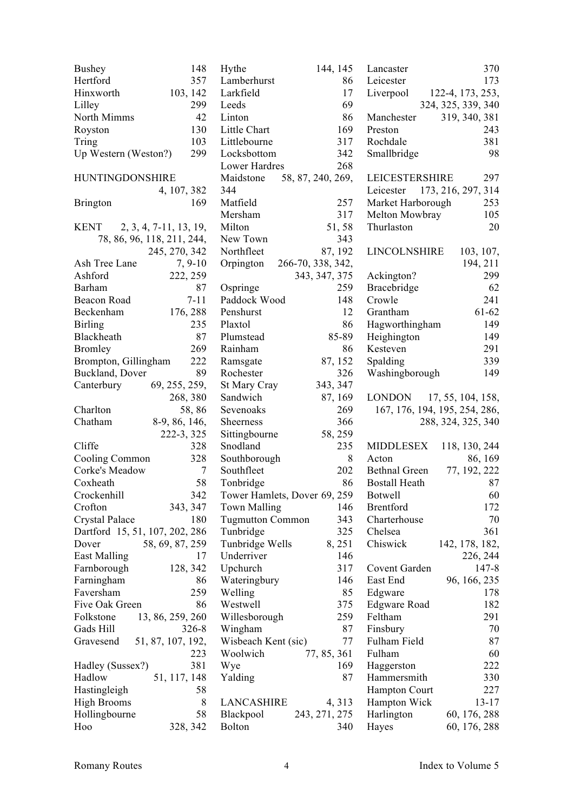| <b>Bushey</b>                  | 148                        | Hythe                        | 144, 145          | Lancaster                | 370                           |
|--------------------------------|----------------------------|------------------------------|-------------------|--------------------------|-------------------------------|
| Hertford                       | 357                        | Lamberhurst                  | 86                | Leicester                | 173                           |
| Hinxworth                      | 103, 142                   | Larkfield                    | 17                | Liverpool                | 122-4, 173, 253,              |
| Lilley                         | 299                        | Leeds                        | 69                |                          | 324, 325, 339, 340            |
| North Mimms                    | 42                         | Linton                       | 86                | Manchester               | 319, 340, 381                 |
| Royston                        | 130                        | Little Chart                 | 169               | Preston                  | 243                           |
| Tring                          | 103                        | Littlebourne                 | 317               | Rochdale                 | 381                           |
| Up Western (Weston?)           | 299                        | Locksbottom                  | 342               | Smallbridge              | 98                            |
|                                |                            | Lower Hardres                | 268               |                          |                               |
| <b>HUNTINGDONSHIRE</b>         |                            | Maidstone                    | 58, 87, 240, 269, | <b>LEICESTERSHIRE</b>    | 297                           |
|                                | 4, 107, 382                | 344                          |                   | Leicester                | 173, 216, 297, 314            |
| <b>Brington</b>                | 169                        | Matfield                     | 257               | Market Harborough        | 253                           |
|                                |                            | Mersham                      | 317               | Melton Mowbray           | 105                           |
| KENT $2, 3, 4, 7-11, 13, 19,$  |                            | Milton                       | 51,58             | Thurlaston               | 20                            |
|                                | 78, 86, 96, 118, 211, 244, | New Town                     | 343               |                          |                               |
|                                | 245, 270, 342              | Northfleet                   | 87, 192           | LINCOLNSHIRE             |                               |
| Ash Tree Lane                  | $7, 9-10$                  |                              | 266-70, 338, 342, |                          | 103, 107,                     |
|                                |                            | Orpington                    |                   |                          | 194, 211                      |
| Ashford                        | 222, 259                   |                              | 343, 347, 375     | Ackington?               | 299                           |
| Barham                         | 87                         | Ospringe                     | 259               | Bracebridge              | 62                            |
| Beacon Road                    | $7 - 11$                   | Paddock Wood                 | 148               | Crowle                   | 241                           |
| Beckenham                      | 176, 288                   | Penshurst                    | 12                | Grantham                 | 61-62                         |
| <b>Birling</b>                 | 235                        | Plaxtol                      | 86                | Hagworthingham           | 149                           |
| Blackheath                     | 87                         | Plumstead                    | 85-89             | Heighington              | 149                           |
| <b>Bromley</b>                 | 269                        | Rainham                      | 86                | Kesteven                 | 291                           |
| Brompton, Gillingham           | 222                        | Ramsgate                     | 87, 152           | Spalding                 | 339                           |
| Buckland, Dover                | 89                         | Rochester                    | 326               | Washingborough           | 149                           |
| Canterbury                     | 69, 255, 259,              | St Mary Cray                 | 343, 347          |                          |                               |
|                                | 268, 380                   | Sandwich                     | 87, 169           | LONDON 17, 55, 104, 158, |                               |
| Charlton                       | 58,86                      | Sevenoaks                    | 269               |                          | 167, 176, 194, 195, 254, 286, |
| Chatham                        | 8-9, 86, 146,              | Sheerness                    | 366               |                          | 288, 324, 325, 340            |
|                                | 222-3, 325                 | Sittingbourne                | 58, 259           |                          |                               |
| Cliffe                         | 328                        | Snodland                     | 235               | <b>MIDDLESEX</b>         | 118, 130, 244                 |
| Cooling Common                 | 328                        | Southborough                 | 8                 | Acton                    | 86, 169                       |
| Corke's Meadow                 | $\tau$                     | Southfleet                   | 202               | <b>Bethnal Green</b>     | 77, 192, 222                  |
| Coxheath                       | 58                         | Tonbridge                    | 86                | <b>Bostall Heath</b>     | 87                            |
| Crockenhill                    | 342                        | Tower Hamlets, Dover 69, 259 |                   | Botwell                  | 60                            |
| Crofton                        | 343, 347                   | <b>Town Malling</b>          | 146               | <b>Brentford</b>         | 172                           |
| Crystal Palace                 | 180                        | <b>Tugmutton Common</b>      | 343               | Charterhouse             | 70                            |
| Dartford 15, 51, 107, 202, 286 |                            | Tunbridge                    | 325               | Chelsea                  | 361                           |
| Dover                          | 58, 69, 87, 259            | Tunbridge Wells              | 8, 251            | Chiswick                 | 142, 178, 182,                |
| <b>East Malling</b>            | 17                         | Underriver                   | 146               |                          | 226, 244                      |
| Farnborough                    | 128, 342                   | Upchurch                     | 317               | Covent Garden            | $147 - 8$                     |
| Farningham                     | 86                         | Wateringbury                 | 146               | East End                 | 96, 166, 235                  |
| Faversham                      | 259                        | Welling                      | 85                | Edgware                  | 178                           |
| Five Oak Green                 | 86                         | Westwell                     | 375               | <b>Edgware Road</b>      | 182                           |
| Folkstone                      | 13, 86, 259, 260           | Willesborough                | 259               | Feltham                  | 291                           |
| Gads Hill                      | $326 - 8$                  | Wingham                      | 87                | Finsbury                 | 70                            |
| Gravesend                      | 51, 87, 107, 192,          | Wisbeach Kent (sic)          | 77                | Fulham Field             | 87                            |
|                                | 223                        | Woolwich                     | 77, 85, 361       | Fulham                   | 60                            |
| Hadley (Sussex?)               | 381                        | Wye                          | 169               | Haggerston               | 222                           |
| Hadlow                         | 51, 117, 148               | Yalding                      | 87                | Hammersmith              | 330                           |
| Hastingleigh                   | 58                         |                              |                   | <b>Hampton Court</b>     | 227                           |
|                                |                            |                              |                   |                          |                               |
| <b>High Brooms</b>             | 8                          | LANCASHIRE                   | 4, 313            | Hampton Wick             | $13 - 17$                     |
| Hollingbourne                  | 58                         | Blackpool                    | 243, 271, 275     | Harlington               | 60, 176, 288                  |
| Hoo                            | 328, 342                   | <b>Bolton</b>                | 340               | Hayes                    | 60, 176, 288                  |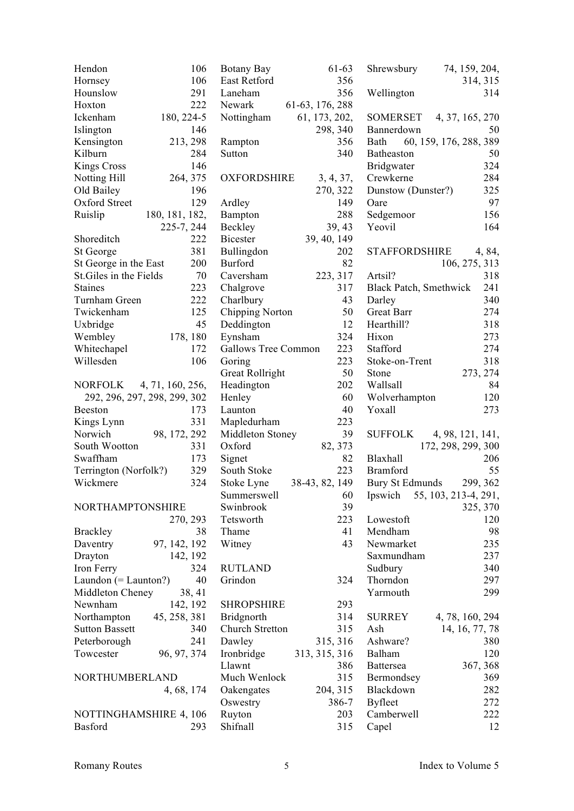| Hendon                   | 106                          | Botany Bay                 | 61-63           | Shrewsbury                    | 74, 159, 204,                               |
|--------------------------|------------------------------|----------------------------|-----------------|-------------------------------|---------------------------------------------|
| Hornsey                  | 106                          | East Retford               | 356             |                               | 314, 315                                    |
| Hounslow                 | 291                          | Laneham                    | 356             | Wellington                    | 314                                         |
| Hoxton                   | 222                          | Newark                     | 61-63, 176, 288 |                               |                                             |
| Ickenham                 | 180, 224-5                   | Nottingham                 | 61, 173, 202,   |                               | SOMERSET 4, 37, 165, 270                    |
| Islington                | 146                          |                            | 298, 340        | Bannerdown                    | 50                                          |
| Kensington               | 213, 298                     | Rampton                    | 356             | Bath                          | 60, 159, 176, 288, 389                      |
| Kilburn                  | 284                          | Sutton                     | 340             | Batheaston                    | 50                                          |
| <b>Kings Cross</b>       | 146                          |                            |                 | <b>Bridgwater</b>             | 324                                         |
| Notting Hill             | 264, 375                     | <b>OXFORDSHIRE</b>         | 3, 4, 37,       | Crewkerne                     | 284                                         |
| Old Bailey               | 196                          |                            | 270, 322        | Dunstow (Dunster?)            | 325                                         |
| Oxford Street            | 129                          | Ardley                     | 149             | Oare                          | 97                                          |
| Ruislip                  | 180, 181, 182,               | Bampton                    | 288             | Sedgemoor                     | 156                                         |
|                          | 225-7, 244                   | Beckley                    | 39, 43          | Yeovil                        | 164                                         |
| Shoreditch               | 222                          | <b>Bicester</b>            | 39, 40, 149     |                               |                                             |
| St George                | 381                          | Bullingdon                 | 202             | STAFFORDSHIRE                 | 4, 84,                                      |
| St George in the East    | 200                          | <b>Burford</b>             | 82              |                               | 106, 275, 313                               |
| St. Giles in the Fields  | 70                           | Caversham                  | 223, 317        | Artsil?                       | 318                                         |
| <b>Staines</b>           | 223                          | Chalgrove                  | 317             | <b>Black Patch, Smethwick</b> | 241                                         |
| Turnham Green            | 222                          | Charlbury                  | 43              | Darley                        | 340                                         |
| Twickenham               | 125                          | Chipping Norton            | 50              | <b>Great Barr</b>             | 274                                         |
| Uxbridge                 | 45                           | Deddington                 | 12              | Hearthill?                    | 318                                         |
| Wembley                  | 178, 180                     | Eynsham                    | 324             | Hixon                         | 273                                         |
| Whitechapel              | 172                          | <b>Gallows Tree Common</b> | 223             | Stafford                      | 274                                         |
| Willesden                | 106                          | Goring                     | 223             | Stoke-on-Trent                | 318                                         |
|                          |                              |                            | 50              | Stone                         | 273, 274                                    |
|                          |                              | <b>Great Rollright</b>     | 202             | Wallsall                      | 84                                          |
| NORFOLK 4, 71, 160, 256, |                              | Headington                 |                 |                               |                                             |
|                          | 292, 296, 297, 298, 299, 302 | Henley                     | 60<br>40        | Wolverhampton                 | 120<br>273                                  |
| Beeston                  | 173                          | Launton                    |                 | Yoxall                        |                                             |
| Kings Lynn               | 331                          | Mapledurham                | 223             |                               |                                             |
| Norwich                  | 98, 172, 292                 | Middleton Stoney           | 39              |                               | SUFFOLK 4, 98, 121, 141,                    |
| South Wootton            | 331                          | Oxford                     | 82, 373         |                               | 172, 298, 299, 300                          |
| Swaffham                 | 173                          | Signet                     | 82              | Blaxhall                      | 206                                         |
| Terrington (Norfolk?)    | 329                          | South Stoke                | 223             | Bramford                      | 55                                          |
| Wickmere                 | 324                          | Stoke Lyne                 | 38-43, 82, 149  | Bury St Edmunds               | 299, 362                                    |
|                          |                              |                            |                 |                               | Summerswell 60 Ipswich 55, 103, 213-4, 291, |
| NORTHAMPTONSHIRE         |                              | Swinbrook                  | 39              |                               | 325, 370                                    |
|                          | 270, 293                     | Tetsworth                  | 223             | Lowestoft                     | 120                                         |
| <b>Brackley</b>          | 38                           | Thame                      | 41              | Mendham                       | 98                                          |
| Daventry                 | 97, 142, 192                 | Witney                     | 43              | Newmarket                     | 235                                         |
| Drayton                  | 142, 192                     |                            |                 | Saxmundham                    | 237                                         |
| Iron Ferry               | 324                          | <b>RUTLAND</b>             |                 | Sudbury                       | 340                                         |
| Laundon $(=$ Launton?)   | 40                           | Grindon                    | 324             | Thorndon                      | 297                                         |
| Middleton Cheney         | 38, 41                       |                            |                 | Yarmouth                      | 299                                         |
| Newnham                  | 142, 192                     | <b>SHROPSHIRE</b>          | 293             |                               |                                             |
| Northampton              | 45, 258, 381                 | <b>Bridgnorth</b>          | 314             | <b>SURREY</b>                 | 4, 78, 160, 294                             |
| <b>Sutton Bassett</b>    | 340                          | Church Stretton            | 315             | Ash                           | 14, 16, 77, 78                              |
| Peterborough             | 241                          | Dawley                     | 315, 316        | Ashware?                      | 380                                         |
| Towcester                | 96, 97, 374                  | Ironbridge                 | 313, 315, 316   | Balham                        | 120                                         |
|                          |                              | Llawnt                     | 386             | <b>Battersea</b>              | 367, 368                                    |
| NORTHUMBERLAND           |                              | Much Wenlock               | 315             | Bermondsey                    | 369                                         |
|                          | 4, 68, 174                   | Oakengates                 | 204, 315        | Blackdown                     | 282                                         |
|                          |                              | Oswestry                   | 386-7           | <b>Byfleet</b>                | 272                                         |
| NOTTINGHAMSHIRE 4, 106   |                              | Ruyton                     | 203             | Camberwell                    | 222                                         |
| Basford                  | 293                          | Shifnall                   | 315             | Capel                         | 12                                          |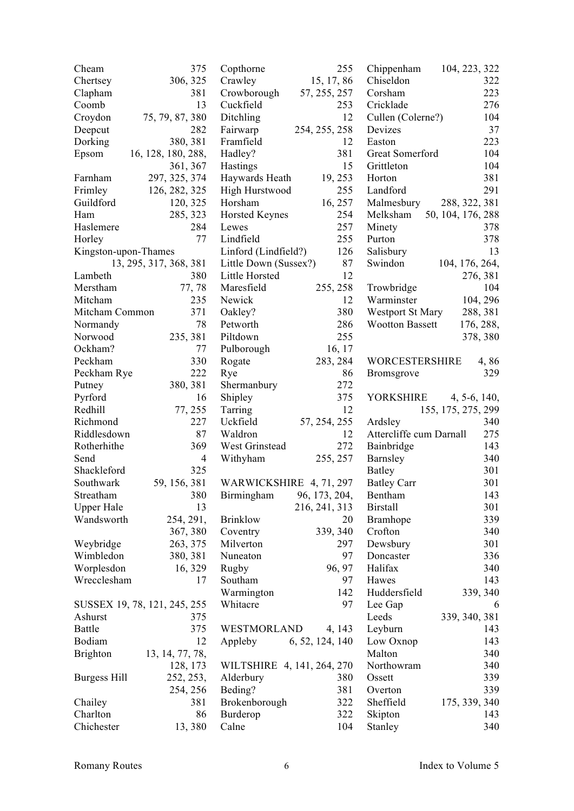| Cheam                        | 375                    | Copthorne                  | 255             | Chippenham               | 104, 223, 322      |
|------------------------------|------------------------|----------------------------|-----------------|--------------------------|--------------------|
| Chertsey                     | 306, 325               | Crawley                    | 15, 17, 86      | Chiseldon                | 322                |
| Clapham                      | 381                    | Crowborough                | 57, 255, 257    | Corsham                  | 223                |
| Coomb                        | 13                     | Cuckfield                  | 253             | Cricklade                | 276                |
| Croydon                      | 75, 79, 87, 380        | Ditchling                  | 12              | Cullen (Colerne?)        | 104                |
| Deepcut                      | 282                    | Fairwarp                   | 254, 255, 258   | Devizes                  | 37                 |
| Dorking                      | 380, 381               | Framfield                  | 12              | Easton                   | 223                |
| Epsom                        | 16, 128, 180, 288,     | Hadley?                    | 381             | Great Somerford          | 104                |
|                              | 361, 367               | Hastings                   | 15              | Grittleton               | 104                |
| Farnham                      | 297, 325, 374          | Haywards Heath             | 19, 253         | Horton                   | 381                |
| Frimley                      | 126, 282, 325          | High Hurstwood             | 255             | Landford                 | 291                |
| Guildford                    | 120, 325               | Horsham                    | 16, 257         | Malmesbury               | 288, 322, 381      |
| Ham                          | 285, 323               | <b>Horsted Keynes</b>      | 254             | Melksham                 | 50, 104, 176, 288  |
| Haslemere                    | 284                    | Lewes                      | 257             | Minety                   | 378                |
| Horley                       | 77                     | Lindfield                  | 255             | Purton                   | 378                |
| Kingston-upon-Thames         |                        | Linford (Lindfield?)       | 126             | Salisbury                | 13                 |
|                              | 13, 295, 317, 368, 381 | Little Down (Sussex?)      | 87              | Swindon                  | 104, 176, 264,     |
| Lambeth                      | 380                    | Little Horsted             | 12              |                          | 276, 381           |
| Merstham                     | 77,78                  | Maresfield                 | 255, 258        |                          | 104                |
| Mitcham                      | 235                    | Newick                     | 12              | Trowbridge<br>Warminster |                    |
|                              |                        |                            |                 |                          | 104, 296           |
| Mitcham Common               | 371                    | Oakley?                    | 380             | Westport St Mary         | 288, 381           |
| Normandy                     | 78                     | Petworth                   | 286             | <b>Wootton Bassett</b>   | 176, 288,          |
| Norwood                      | 235, 381               | Piltdown                   | 255             |                          | 378, 380           |
| Ockham?                      | 77                     | Pulborough                 | 16, 17          |                          |                    |
| Peckham                      | 330                    | Rogate                     | 283, 284        | <b>WORCESTERSHIRE</b>    | 4,86               |
| Peckham Rye                  | 222                    | Rye                        | 86              | <b>Bromsgrove</b>        | 329                |
| Putney                       | 380, 381               | Shermanbury                | 272             |                          |                    |
| Pyrford                      | 16                     | Shipley                    | 375             | YORKSHIRE                | $4, 5-6, 140,$     |
| Redhill                      | 77, 255                | Tarring                    | 12              |                          | 155, 175, 275, 299 |
| Richmond                     | 227                    | Uckfield                   | 57, 254, 255    | Ardsley                  | 340                |
| Riddlesdown                  | 87                     | Waldron                    | 12              | Attercliffe cum Darnall  | 275                |
| Rotherhithe                  | 369                    | West Grinstead             | 272             | Bainbridge               | 143                |
| Send                         | $\overline{4}$         | Withyham                   | 255, 257        | Barnsley                 | 340                |
| Shackleford                  | 325                    |                            |                 | Batley                   | 301                |
| Southwark                    | 59, 156, 381           | WARWICKSHIRE 4, 71, 297    |                 | <b>Batley Carr</b>       | 301                |
| Streatham                    | 380                    | Birmingham                 | 96, 173, 204,   | Bentham                  | 143                |
| <b>Upper Hale</b>            | 13                     |                            | 216, 241, 313   | <b>Birstall</b>          | 301                |
| Wandsworth                   | 254, 291,              | <b>Brinklow</b>            | 20              | Bramhope                 | 339                |
|                              | 367, 380               | Coventry                   | 339, 340        | Crofton                  | 340                |
| Weybridge                    | 263, 375               | Milverton                  | 297             | Dewsbury                 | 301                |
| Wimbledon                    | 380, 381               | Nuneaton                   | 97              | Doncaster                | 336                |
| Worplesdon                   | 16, 329                | Rugby                      | 96, 97          | Halifax                  | 340                |
| Wrecclesham                  | 17                     | Southam                    | 97              | Hawes                    | 143                |
|                              |                        | Warmington                 | 142             | Huddersfield             | 339, 340           |
| SUSSEX 19, 78, 121, 245, 255 |                        | Whitacre                   | 97              | Lee Gap                  | 6                  |
| Ashurst                      | 375                    |                            |                 | Leeds                    | 339, 340, 381      |
| Battle                       | 375                    | WESTMORLAND                | 4, 143          | Leyburn                  | 143                |
| Bodiam                       | 12                     | Appleby                    | 6, 52, 124, 140 | Low Oxnop                | 143                |
| <b>Brighton</b>              | 13, 14, 77, 78,        |                            |                 | Malton                   | 340                |
|                              | 128, 173               | WILTSHIRE 4, 141, 264, 270 |                 | Northowram               | 340                |
| Burgess Hill                 | 252, 253,              | Alderbury                  | 380             | Ossett                   | 339                |
|                              | 254, 256               | Beding?                    | 381             | Overton                  | 339                |
| Chailey                      | 381                    | Brokenborough              | 322             | Sheffield                | 175, 339, 340      |
| Charlton                     | 86                     | Burderop                   | 322             | Skipton                  | 143                |
| Chichester                   | 13,380                 | Calne                      | 104             | Stanley                  | 340                |
|                              |                        |                            |                 |                          |                    |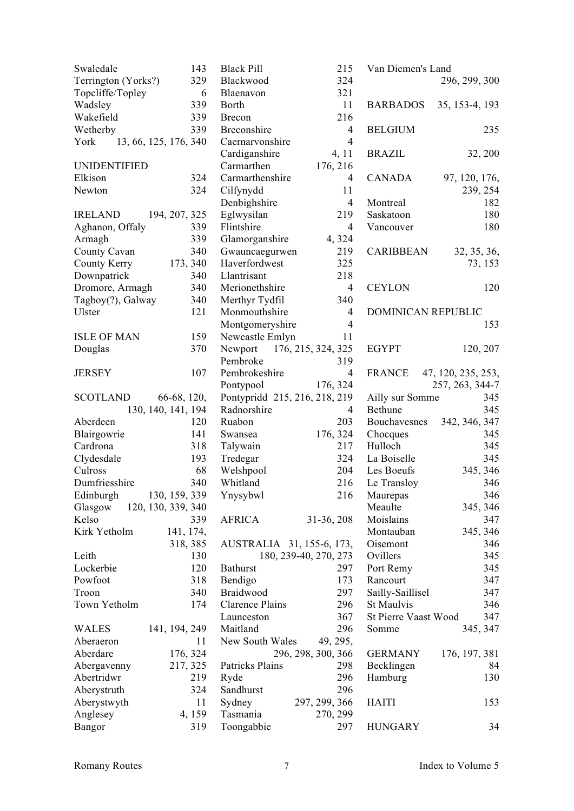| Swaledale<br>143<br><b>Black Pill</b><br>215<br>Van Diemen's Land<br>Terrington (Yorks?)<br>324<br>329<br>Blackwood<br>296, 299, 300<br>Topcliffe/Topley<br>321<br>6<br>Blaenavon<br>11<br>Wadsley<br>339<br>Borth<br><b>BARBADOS</b><br>35, 153-4, 193<br>216<br>Wakefield<br>339<br>Brecon<br>339<br>Wetherby<br>Breconshire<br>$\overline{4}$<br><b>BELGIUM</b><br>$\overline{4}$<br>York 13, 66, 125, 176, 340<br>Caernarvonshire<br>Cardiganshire<br><b>BRAZIL</b><br>4, 11 | 235     |
|----------------------------------------------------------------------------------------------------------------------------------------------------------------------------------------------------------------------------------------------------------------------------------------------------------------------------------------------------------------------------------------------------------------------------------------------------------------------------------|---------|
|                                                                                                                                                                                                                                                                                                                                                                                                                                                                                  |         |
|                                                                                                                                                                                                                                                                                                                                                                                                                                                                                  |         |
|                                                                                                                                                                                                                                                                                                                                                                                                                                                                                  |         |
|                                                                                                                                                                                                                                                                                                                                                                                                                                                                                  |         |
|                                                                                                                                                                                                                                                                                                                                                                                                                                                                                  |         |
|                                                                                                                                                                                                                                                                                                                                                                                                                                                                                  |         |
|                                                                                                                                                                                                                                                                                                                                                                                                                                                                                  | 32, 200 |
| Carmarthen<br><b>UNIDENTIFIED</b><br>176, 216                                                                                                                                                                                                                                                                                                                                                                                                                                    |         |
| Elkison<br>324<br>Carmarthenshire<br>CANADA<br>97, 120, 176,<br>4                                                                                                                                                                                                                                                                                                                                                                                                                |         |
| 324<br>Cilfynydd<br>Newton<br>11<br>239, 254                                                                                                                                                                                                                                                                                                                                                                                                                                     |         |
| Denbighshire<br>$\overline{4}$<br>Montreal                                                                                                                                                                                                                                                                                                                                                                                                                                       | 182     |
| 194, 207, 325<br>Eglwysilan<br>219<br>Saskatoon<br><b>IRELAND</b>                                                                                                                                                                                                                                                                                                                                                                                                                | 180     |
| 339<br>Flintshire<br>$\overline{4}$<br>Aghanon, Offaly<br>Vancouver                                                                                                                                                                                                                                                                                                                                                                                                              | 180     |
| 339<br>Armagh<br>4,324<br>Glamorganshire                                                                                                                                                                                                                                                                                                                                                                                                                                         |         |
| 340<br>County Cavan<br>Gwauncaegurwen<br>219<br><b>CARIBBEAN</b><br>32, 35, 36,                                                                                                                                                                                                                                                                                                                                                                                                  |         |
| Haverfordwest<br>325<br>County Kerry<br>173, 340                                                                                                                                                                                                                                                                                                                                                                                                                                 | 73, 153 |
| Downpatrick<br>340<br>Llantrisant<br>218                                                                                                                                                                                                                                                                                                                                                                                                                                         |         |
| $\overline{4}$                                                                                                                                                                                                                                                                                                                                                                                                                                                                   | 120     |
| Dromore, Armagh<br>340<br>Merionethshire<br><b>CEYLON</b>                                                                                                                                                                                                                                                                                                                                                                                                                        |         |
| Tagboy(?), Galway<br>340<br>Merthyr Tydfil<br>340                                                                                                                                                                                                                                                                                                                                                                                                                                |         |
| 121<br>Ulster<br>Monmouthshire<br><b>DOMINICAN REPUBLIC</b><br>4                                                                                                                                                                                                                                                                                                                                                                                                                 |         |
| Montgomeryshire<br>$\overline{4}$                                                                                                                                                                                                                                                                                                                                                                                                                                                | 153     |
| <b>ISLE OF MAN</b><br>159<br>Newcastle Emlyn<br>11                                                                                                                                                                                                                                                                                                                                                                                                                               |         |
| Newport 176, 215, 324, 325<br>370<br>EGYPT<br>120, 207<br>Douglas                                                                                                                                                                                                                                                                                                                                                                                                                |         |
| 319<br>Pembroke                                                                                                                                                                                                                                                                                                                                                                                                                                                                  |         |
| 107<br>Pembrokeshire<br>$\overline{4}$<br>47, 120, 235, 253,<br><b>JERSEY</b><br>FRANCE                                                                                                                                                                                                                                                                                                                                                                                          |         |
| Pontypool<br>176, 324<br>257, 263, 344-7                                                                                                                                                                                                                                                                                                                                                                                                                                         |         |
| Pontypridd 215, 216, 218, 219<br><b>SCOTLAND</b><br>66-68, 120,<br>Ailly sur Somme                                                                                                                                                                                                                                                                                                                                                                                               | 345     |
| 130, 140, 141, 194<br>Radnorshire<br>Bethune<br>4                                                                                                                                                                                                                                                                                                                                                                                                                                | 345     |
| Aberdeen<br>Ruabon<br>203<br>Bouchavesnes<br>342, 346, 347<br>120                                                                                                                                                                                                                                                                                                                                                                                                                |         |
| Blairgowrie<br>141<br>176, 324<br>Swansea<br>Chocques                                                                                                                                                                                                                                                                                                                                                                                                                            | 345     |
| Hulloch<br>Cardrona<br>318<br>Talywain<br>217                                                                                                                                                                                                                                                                                                                                                                                                                                    | 345     |
| 324<br>Clydesdale<br>193<br>Tredegar<br>La Boiselle                                                                                                                                                                                                                                                                                                                                                                                                                              | 345     |
| Culross<br>68<br>204<br>Welshpool<br>Les Boeufs<br>345, 346                                                                                                                                                                                                                                                                                                                                                                                                                      |         |
| Dumfriesshire<br>216<br>340<br>Whitland<br>Le Transloy                                                                                                                                                                                                                                                                                                                                                                                                                           | 346     |
| Edinburgh<br>130, 159, 339<br>216<br>Ynysybwl<br>Maurepas                                                                                                                                                                                                                                                                                                                                                                                                                        | 346     |
| 345, 346<br>Glasgow<br>120, 130, 339, 340<br>Meaulte                                                                                                                                                                                                                                                                                                                                                                                                                             |         |
| <b>AFRICA</b><br>Kelso<br>31-36, 208<br>Moislains<br>339                                                                                                                                                                                                                                                                                                                                                                                                                         | 347     |
| Kirk Yetholm<br>Montauban<br>345, 346<br>141, 174,                                                                                                                                                                                                                                                                                                                                                                                                                               |         |
| AUSTRALIA 31, 155-6, 173,<br>Oisemont<br>318, 385                                                                                                                                                                                                                                                                                                                                                                                                                                | 346     |
| Ovillers<br>Leith<br>130<br>180, 239-40, 270, 273                                                                                                                                                                                                                                                                                                                                                                                                                                | 345     |
| Lockerbie<br>120<br><b>Bathurst</b><br>297<br>Port Remy                                                                                                                                                                                                                                                                                                                                                                                                                          | 345     |
| Powfoot<br>318<br>Bendigo<br>173<br>Rancourt                                                                                                                                                                                                                                                                                                                                                                                                                                     | 347     |
| 297<br>340<br>Braidwood<br>Sailly-Saillisel<br>Troon                                                                                                                                                                                                                                                                                                                                                                                                                             | 347     |
| 296<br>Town Yetholm<br>174<br>St Maulvis<br>Clarence Plains                                                                                                                                                                                                                                                                                                                                                                                                                      | 346     |
| 367<br>St Pierre Vaast Wood<br>Launceston                                                                                                                                                                                                                                                                                                                                                                                                                                        | 347     |
| Maitland<br>296<br>345, 347<br><b>WALES</b><br>141, 194, 249<br>Somme                                                                                                                                                                                                                                                                                                                                                                                                            |         |
| 49, 295,<br>Aberaeron<br>11<br>New South Wales                                                                                                                                                                                                                                                                                                                                                                                                                                   |         |
| Aberdare<br>176, 324<br>296, 298, 300, 366<br><b>GERMANY</b><br>176, 197, 381                                                                                                                                                                                                                                                                                                                                                                                                    |         |
| Becklingen<br>Abergavenny<br>217, 325<br>Patricks Plains<br>298                                                                                                                                                                                                                                                                                                                                                                                                                  | 84      |
| 296<br>Abertridwr<br>219<br>Ryde<br>Hamburg                                                                                                                                                                                                                                                                                                                                                                                                                                      | 130     |
| 296<br>324<br>Sandhurst<br>Aberystruth                                                                                                                                                                                                                                                                                                                                                                                                                                           |         |
| 11<br>Aberystwyth<br>Sydney<br>297, 299, 366<br><b>HAITI</b>                                                                                                                                                                                                                                                                                                                                                                                                                     | 153     |
| Anglesey<br>4, 159<br>Tasmania<br>270, 299                                                                                                                                                                                                                                                                                                                                                                                                                                       |         |
| 319<br>Toongabbie<br>297<br><b>HUNGARY</b><br>Bangor                                                                                                                                                                                                                                                                                                                                                                                                                             | 34      |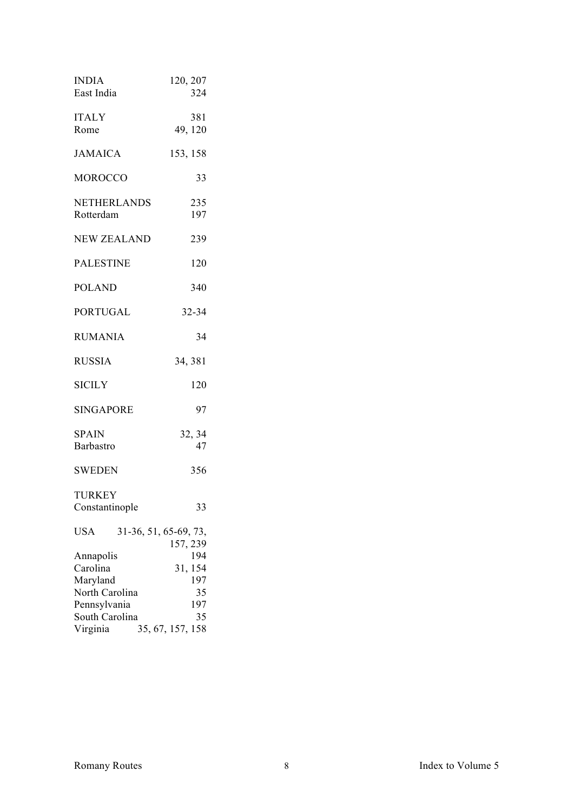| <b>INDIA</b><br>East India                                                                        | 120, 207<br>324                                                          |
|---------------------------------------------------------------------------------------------------|--------------------------------------------------------------------------|
| <b>ITALY</b><br>Rome                                                                              | 381<br>49, 120                                                           |
| <b>JAMAICA</b>                                                                                    | 153, 158                                                                 |
| <b>MOROCCO</b>                                                                                    | 33                                                                       |
| <b>NETHERLANDS</b><br>Rotterdam                                                                   | 235<br>197                                                               |
| <b>NEW ZEALAND</b>                                                                                | 239                                                                      |
| <b>PALESTINE</b>                                                                                  | 120                                                                      |
| <b>POLAND</b>                                                                                     | 340                                                                      |
| <b>PORTUGAL</b>                                                                                   | 32-34                                                                    |
| <b>RUMANIA</b>                                                                                    | 34                                                                       |
| <b>RUSSIA</b>                                                                                     | 34, 381                                                                  |
| <b>SICILY</b>                                                                                     | 120                                                                      |
| <b>SINGAPORE</b>                                                                                  | 97                                                                       |
| <b>SPAIN</b><br>Barbastro                                                                         | 32, 34<br>47                                                             |
| <b>SWEDEN</b>                                                                                     | 356                                                                      |
| <b>TURKEY</b><br>Constantinople                                                                   | 33                                                                       |
| <b>USA</b>                                                                                        | 31-36, 51, 65-69, 73,                                                    |
| Annapolis<br>Carolina<br>Maryland<br>North Carolina<br>Pennsylvania<br>South Carolina<br>Virginia | 157, 239<br>194<br>31, 154<br>197<br>35<br>197<br>35<br>35, 67, 157, 158 |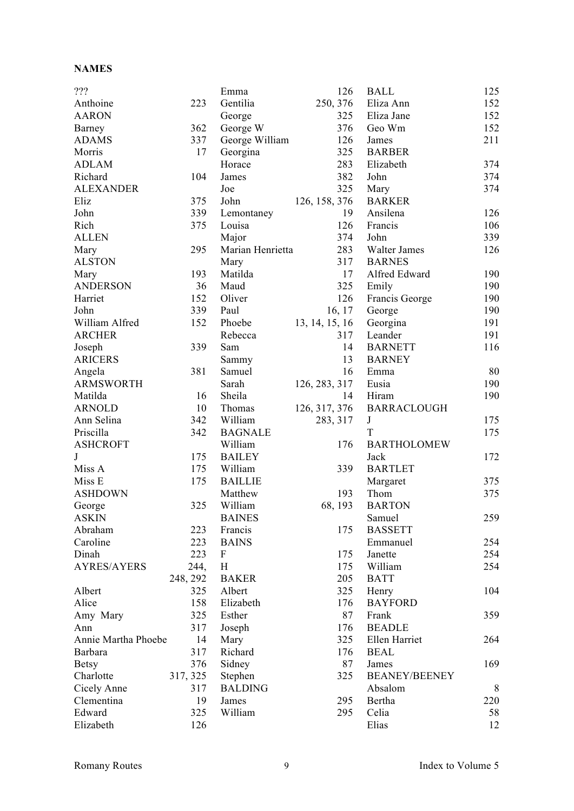### **NAMES**

| ???                 |          | Emma             | 126            | <b>BALL</b>          | 125 |
|---------------------|----------|------------------|----------------|----------------------|-----|
| Anthoine            | 223      | Gentilia         | 250, 376       | Eliza Ann            | 152 |
| <b>AARON</b>        |          | George           | 325            | Eliza Jane           | 152 |
| Barney              | 362      | George W         | 376            | Geo Wm               | 152 |
| <b>ADAMS</b>        | 337      | George William   | 126            | James                | 211 |
| Morris              | 17       | Georgina         | 325            | <b>BARBER</b>        |     |
| <b>ADLAM</b>        |          | Horace           | 283            | Elizabeth            | 374 |
| Richard             | 104      | James            | 382            | John                 | 374 |
| <b>ALEXANDER</b>    |          | Joe              | 325            | Mary                 | 374 |
| Eliz                | 375      | John             | 126, 158, 376  | <b>BARKER</b>        |     |
| John                | 339      | Lemontaney       | 19             | Ansilena             | 126 |
| Rich                | 375      | Louisa           | 126            | Francis              | 106 |
| <b>ALLEN</b>        |          | Major            | 374            | John                 | 339 |
| Mary                | 295      | Marian Henrietta | 283            | Walter James         | 126 |
| <b>ALSTON</b>       |          | Mary             | 317            | <b>BARNES</b>        |     |
| Mary                | 193      | Matilda          | 17             | Alfred Edward        | 190 |
| <b>ANDERSON</b>     | 36       | Maud             | 325            | Emily                | 190 |
| Harriet             | 152      | Oliver           | 126            | Francis George       | 190 |
| John                | 339      | Paul             | 16, 17         | George               | 190 |
| William Alfred      | 152      | Phoebe           | 13, 14, 15, 16 | Georgina             | 191 |
| <b>ARCHER</b>       |          |                  |                |                      |     |
|                     |          | Rebecca          | 317            | Leander              | 191 |
| Joseph              | 339      | Sam              | 14             | <b>BARNETT</b>       | 116 |
| <b>ARICERS</b>      |          | Sammy            | 13             | <b>BARNEY</b>        |     |
| Angela              | 381      | Samuel           | 16             | Emma                 | 80  |
| <b>ARMSWORTH</b>    |          | Sarah            | 126, 283, 317  | Eusia                | 190 |
| Matilda             | 16       | Sheila           | 14             | Hiram                | 190 |
| <b>ARNOLD</b>       | 10       | Thomas           | 126, 317, 376  | <b>BARRACLOUGH</b>   |     |
| Ann Selina          | 342      | William          | 283, 317       | $\bf J$              | 175 |
| Priscilla           | 342      | <b>BAGNALE</b>   |                | T                    | 175 |
| <b>ASHCROFT</b>     |          | William          | 176            | <b>BARTHOLOMEW</b>   |     |
| J                   | 175      | <b>BAILEY</b>    |                | Jack                 | 172 |
| Miss A              | 175      | William          | 339            | <b>BARTLET</b>       |     |
| Miss E              | 175      | <b>BAILLIE</b>   |                | Margaret             | 375 |
| <b>ASHDOWN</b>      |          | Matthew          | 193            | Thom                 | 375 |
| George              | 325      | William          | 68, 193        | <b>BARTON</b>        |     |
| <b>ASKIN</b>        |          | <b>BAINES</b>    |                | Samuel               | 259 |
| Abraham             | 223      | Francis          | 175            | <b>BASSETT</b>       |     |
| Caroline            | 223      | <b>BAINS</b>     |                | Emmanuel             | 254 |
| Dinah               | 223      | F                | 175            | Janette              | 254 |
| <b>AYRES/AYERS</b>  | 244,     | H                | 175            | William              | 254 |
|                     | 248, 292 | <b>BAKER</b>     | 205            | <b>BATT</b>          |     |
| Albert              | 325      | Albert           | 325            | Henry                | 104 |
| Alice               | 158      | Elizabeth        | 176            | <b>BAYFORD</b>       |     |
| Amy Mary            | 325      | Esther           | 87             | Frank                | 359 |
|                     |          |                  | 176            |                      |     |
| Ann                 | 317      | Joseph           |                | <b>BEADLE</b>        |     |
| Annie Martha Phoebe | 14       | Mary             | 325            | Ellen Harriet        | 264 |
| Barbara             | 317      | Richard          | 176            | <b>BEAL</b>          |     |
| <b>Betsy</b>        | 376      | Sidney           | 87             | James                | 169 |
| Charlotte           | 317, 325 | Stephen          | 325            | <b>BEANEY/BEENEY</b> |     |
| Cicely Anne         | 317      | <b>BALDING</b>   |                | Absalom              | 8   |
| Clementina          | 19       | James            | 295            | Bertha               | 220 |
| Edward              | 325      | William          | 295            | Celia                | 58  |
| Elizabeth           | 126      |                  |                | Elias                | 12  |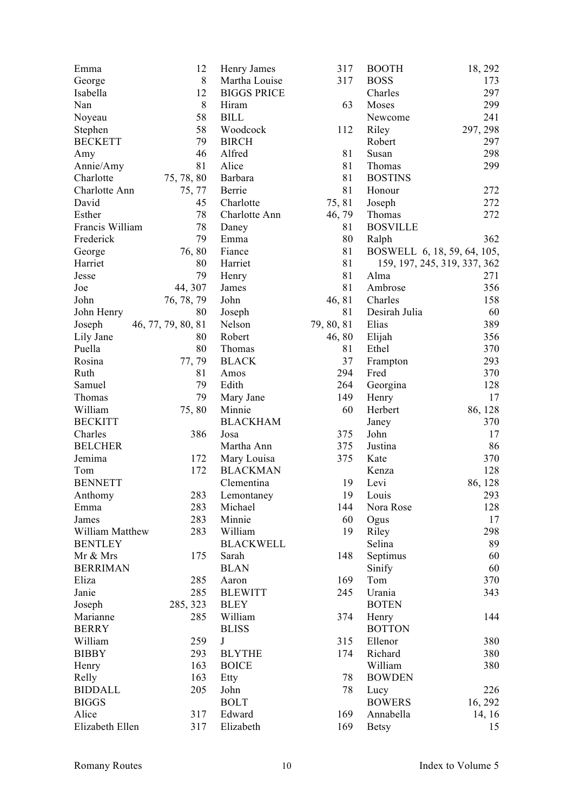| Emma              | 12                 | Henry James        | 317        | <b>BOOTH</b>                 | 18, 292  |
|-------------------|--------------------|--------------------|------------|------------------------------|----------|
| George            | 8                  | Martha Louise      | 317        | <b>BOSS</b>                  | 173      |
| Isabella          | 12                 | <b>BIGGS PRICE</b> |            | Charles                      | 297      |
| Nan               | 8                  | Hiram              | 63         | Moses                        | 299      |
| Noyeau            | 58                 | <b>BILL</b>        |            | Newcome                      | 241      |
| Stephen           | 58                 | Woodcock           | 112        | Riley                        | 297, 298 |
| <b>BECKETT</b>    | 79                 | <b>BIRCH</b>       |            | Robert                       | 297      |
| Amy               | 46                 | Alfred             | 81         | Susan                        | 298      |
| Annie/Amy         | 81                 | Alice              | 81         | Thomas                       | 299      |
| Charlotte         | 75, 78, 80         | Barbara            | 81         | <b>BOSTINS</b>               |          |
| Charlotte Ann     | 75, 77             | Berrie             | 81         | Honour                       | 272      |
| David             | 45                 | Charlotte          | 75,81      | Joseph                       | 272      |
| Esther            | 78                 | Charlotte Ann      | 46, 79     | Thomas                       | 272      |
| Francis William   | 78                 | Daney              | 81         | <b>BOSVILLE</b>              |          |
| Frederick         | 79                 | Emma               | 80         | Ralph                        | 362      |
|                   | 76,80              | Fiance             | 81         | BOSWELL 6, 18, 59, 64, 105,  |          |
| George<br>Harriet | 80                 | Harriet            | 81         | 159, 197, 245, 319, 337, 362 |          |
| Jesse             | 79                 |                    | 81         | Alma                         | 271      |
|                   |                    | Henry              |            |                              |          |
| Joe               | 44, 307            | James              | 81         | Ambrose                      | 356      |
| John              | 76, 78, 79         | John               | 46, 81     | Charles                      | 158      |
| John Henry        | 80                 | Joseph             | 81         | Desirah Julia                | 60       |
| Joseph            | 46, 77, 79, 80, 81 | Nelson             | 79, 80, 81 | Elias                        | 389      |
| Lily Jane         | 80                 | Robert             | 46,80      | Elijah                       | 356      |
| Puella            | 80                 | Thomas             | 81         | Ethel                        | 370      |
| Rosina            | 77,79              | <b>BLACK</b>       | 37         | Frampton                     | 293      |
| Ruth              | 81                 | Amos               | 294        | Fred                         | 370      |
| Samuel            | 79                 | Edith              | 264        | Georgina                     | 128      |
| Thomas            | 79                 | Mary Jane          | 149        | Henry                        | 17       |
| William           | 75,80              | Minnie             | 60         | Herbert                      | 86, 128  |
| <b>BECKITT</b>    |                    | <b>BLACKHAM</b>    |            | Janey                        | 370      |
| Charles           | 386                | Josa               | 375        | John                         | 17       |
| <b>BELCHER</b>    |                    | Martha Ann         | 375        | Justina                      | 86       |
| Jemima            | 172                | Mary Louisa        | 375        | Kate                         | 370      |
| Tom               | 172                | <b>BLACKMAN</b>    |            | Kenza                        | 128      |
| <b>BENNETT</b>    |                    | Clementina         | 19         | Levi                         | 86, 128  |
| Anthomy           | 283                | Lemontaney         | 19         | Louis                        | 293      |
| Emma              | 283                | Michael            | 144        | Nora Rose                    | 128      |
| James             | 283                | Minnie             | 60         | Ogus                         | 17       |
| William Matthew   | 283                | William            | 19         | Riley                        | 298      |
| <b>BENTLEY</b>    |                    | <b>BLACKWELL</b>   |            | Selina                       | 89       |
| Mr & Mrs          | 175                | Sarah              | 148        | Septimus                     | 60       |
| <b>BERRIMAN</b>   |                    | <b>BLAN</b>        |            | Sinify                       | 60       |
| Eliza             | 285                | Aaron              | 169        | Tom                          | 370      |
| Janie             | 285                | <b>BLEWITT</b>     | 245        | Urania                       | 343      |
| Joseph            | 285, 323           | <b>BLEY</b>        |            | <b>BOTEN</b>                 |          |
| Marianne          | 285                | William            | 374        | Henry                        | 144      |
| <b>BERRY</b>      |                    | <b>BLISS</b>       |            | <b>BOTTON</b>                |          |
| William           | 259                | J                  | 315        | Ellenor                      | 380      |
| <b>BIBBY</b>      | 293                | <b>BLYTHE</b>      | 174        | Richard                      | 380      |
| Henry             | 163                | <b>BOICE</b>       |            | William                      | 380      |
| Relly             | 163                | Etty               | 78         | <b>BOWDEN</b>                |          |
| <b>BIDDALL</b>    | 205                | John               | 78         | Lucy                         | 226      |
| <b>BIGGS</b>      |                    | <b>BOLT</b>        |            | <b>BOWERS</b>                |          |
|                   |                    |                    |            |                              | 16, 292  |
| Alice             | 317                | Edward             | 169        | Annabella                    | 14, 16   |
| Elizabeth Ellen   | 317                | Elizabeth          | 169        | <b>Betsy</b>                 | 15       |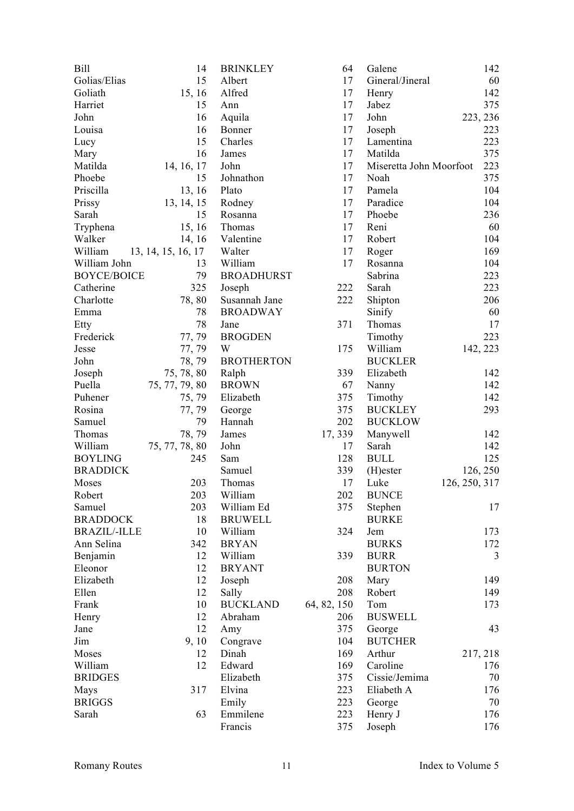| Bill                | 14                 | <b>BRINKLEY</b>   | 64          | Galene                  | 142           |
|---------------------|--------------------|-------------------|-------------|-------------------------|---------------|
| Golias/Elias        | 15                 | Albert            | 17          | Gineral/Jineral         | 60            |
| Goliath             | 15, 16             | Alfred            | 17          | Henry                   | 142           |
| Harriet             | 15                 | Ann               | 17          | Jabez                   | 375           |
| John                | 16                 | Aquila            | 17          | John                    | 223, 236      |
| Louisa              | 16                 | Bonner            | 17          | Joseph                  | 223           |
| Lucy                | 15                 | Charles           | 17          | Lamentina               | 223           |
| Mary                | 16                 | James             | 17          | Matilda                 | 375           |
| Matilda             | 14, 16, 17         | John              | 17          | Miseretta John Moorfoot | 223           |
| Phoebe              | 15                 | Johnathon         | 17          | Noah                    | 375           |
| Priscilla           | 13, 16             | Plato             | 17          | Pamela                  | 104           |
| Prissy              | 13, 14, 15         | Rodney            | 17          | Paradice                | 104           |
| Sarah               | 15                 | Rosanna           | 17          | Phoebe                  | 236           |
| Tryphena            | 15, 16             | Thomas            | 17          | Reni                    | 60            |
| Walker              | 14, 16             | Valentine         | 17          | Robert                  | 104           |
| William             |                    | Walter            | 17          |                         | 169           |
| William John        | 13, 14, 15, 16, 17 | William           | 17          | Roger<br>Rosanna        | 104           |
| <b>BOYCE/BOICE</b>  | 13<br>79           |                   |             |                         |               |
|                     |                    | <b>BROADHURST</b> |             | Sabrina                 | 223           |
| Catherine           | 325                | Joseph            | 222         | Sarah                   | 223           |
| Charlotte           | 78,80              | Susannah Jane     | 222         | Shipton                 | 206           |
| Emma                | 78                 | <b>BROADWAY</b>   |             | Sinify                  | 60            |
| Etty                | 78                 | Jane              | 371         | Thomas                  | 17            |
| Frederick           | 77, 79             | <b>BROGDEN</b>    |             | Timothy                 | 223           |
| Jesse               | 77, 79             | W                 | 175         | William                 | 142, 223      |
| John                | 78, 79             | <b>BROTHERTON</b> |             | <b>BUCKLER</b>          |               |
| Joseph              | 75, 78, 80         | Ralph             | 339         | Elizabeth               | 142           |
| Puella              | 75, 77, 79, 80     | <b>BROWN</b>      | 67          | Nanny                   | 142           |
| Puhener             | 75, 79             | Elizabeth         | 375         | Timothy                 | 142           |
| Rosina              | 77, 79             | George            | 375         | <b>BUCKLEY</b>          | 293           |
| Samuel              | 79                 | Hannah            | 202         | <b>BUCKLOW</b>          |               |
| Thomas              | 78, 79             | James             | 17, 339     | Manywell                | 142           |
| William             | 75, 77, 78, 80     | John              | 17          | Sarah                   | 142           |
| <b>BOYLING</b>      | 245                | Sam               | 128         | <b>BULL</b>             | 125           |
| <b>BRADDICK</b>     |                    | Samuel            | 339         | (H)ester                | 126, 250      |
| Moses               | 203                | Thomas            | 17          | Luke                    | 126, 250, 317 |
| Robert              | 203                | William           | 202         | <b>BUNCE</b>            |               |
| Samuel              | 203                | William Ed        | 375         | Stephen                 | 17            |
| <b>BRADDOCK</b>     | 18                 | <b>BRUWELL</b>    |             | <b>BURKE</b>            |               |
| <b>BRAZIL/-ILLE</b> | 10                 | William           | 324         | Jem                     | 173           |
| Ann Selina          | 342                | <b>BRYAN</b>      |             | <b>BURKS</b>            | 172           |
| Benjamin            | 12                 | William           | 339         | <b>BURR</b>             | 3             |
| Eleonor             | 12                 | <b>BRYANT</b>     |             | <b>BURTON</b>           |               |
| Elizabeth           | 12                 | Joseph            | 208         | Mary                    | 149           |
| Ellen               | 12                 | Sally             | 208         | Robert                  | 149           |
| Frank               | 10                 | <b>BUCKLAND</b>   | 64, 82, 150 | Tom                     | 173           |
| Henry               | 12                 | Abraham           | 206         | <b>BUSWELL</b>          |               |
| Jane                | 12                 | Amy               | 375         | George                  | 43            |
| Jim                 | 9,10               | Congrave          | 104         | <b>BUTCHER</b>          |               |
| Moses               | 12                 | Dinah             | 169         | Arthur                  | 217, 218      |
| William             | 12                 | Edward            | 169         | Caroline                | 176           |
| <b>BRIDGES</b>      |                    | Elizabeth         | 375         | Cissie/Jemima           | 70            |
|                     | 317                | Elvina            | 223         |                         |               |
| Mays                |                    |                   |             | Eliabeth A              | 176           |
| <b>BRIGGS</b>       |                    | Emily             | 223         | George                  | 70            |
| Sarah               | 63                 | Emmilene          | 223         | Henry J                 | 176           |
|                     |                    | Francis           | 375         | Joseph                  | 176           |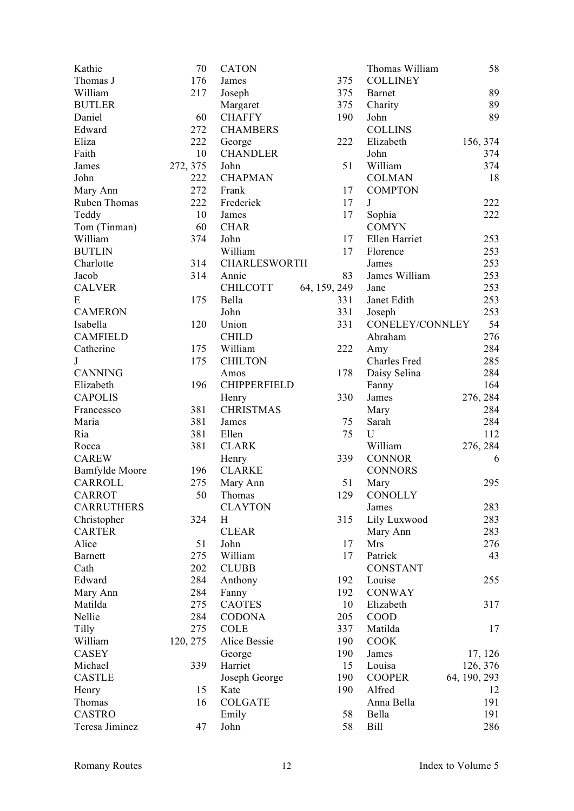| Kathie                | 70       | <b>CATON</b>        |              | Thomas William  | 58           |
|-----------------------|----------|---------------------|--------------|-----------------|--------------|
| Thomas J              | 176      | James               | 375          | <b>COLLINEY</b> |              |
| William               | 217      | Joseph              | 375          | <b>Barnet</b>   | 89           |
| <b>BUTLER</b>         |          | Margaret            | 375          | Charity         | 89           |
| Daniel                | 60       | <b>CHAFFY</b>       | 190          | John            | 89           |
| Edward                | 272      | <b>CHAMBERS</b>     |              | <b>COLLINS</b>  |              |
| Eliza                 | 222      | George              | 222          | Elizabeth       | 156, 374     |
| Faith                 | 10       | <b>CHANDLER</b>     |              | John            | 374          |
| James                 | 272, 375 | John                | 51           | William         | 374          |
| John                  | 222      | <b>CHAPMAN</b>      |              | <b>COLMAN</b>   | 18           |
| Mary Ann              | 272      | Frank               | 17           | <b>COMPTON</b>  |              |
| Ruben Thomas          | 222      | Frederick           | 17           | J               | 222          |
| Teddy                 | 10       | James               | 17           | Sophia          | 222          |
| Tom (Tinman)          | 60       | <b>CHAR</b>         |              | <b>COMYN</b>    |              |
| William               | 374      | John                | 17           | Ellen Harriet   | 253          |
| <b>BUTLIN</b>         |          | William             | 17           | Florence        | 253          |
| Charlotte             | 314      | <b>CHARLESWORTH</b> |              | James           | 253          |
|                       | 314      |                     | 83           |                 | 253          |
| Jacob                 |          | Annie               |              | James William   |              |
| <b>CALVER</b>         |          | <b>CHILCOTT</b>     | 64, 159, 249 | Jane            | 253          |
| E                     | 175      | Bella               | 331          | Janet Edith     | 253          |
| <b>CAMERON</b>        |          | John                | 331          | Joseph          | 253          |
| Isabella              | 120      | Union               | 331          | CONELEY/CONNLEY | 54           |
| <b>CAMFIELD</b>       |          | <b>CHILD</b>        |              | Abraham         | 276          |
| Catherine             | 175      | William             | 222          | Amy             | 284          |
| $\bf J$               | 175      | <b>CHILTON</b>      |              | Charles Fred    | 285          |
| <b>CANNING</b>        |          | Amos                | 178          | Daisy Selina    | 284          |
| Elizabeth             | 196      | <b>CHIPPERFIELD</b> |              | Fanny           | 164          |
| <b>CAPOLIS</b>        |          | Henry               | 330          | James           | 276, 284     |
| Francessco            | 381      | <b>CHRISTMAS</b>    |              | Mary            | 284          |
| Maria                 | 381      | James               | 75           | Sarah           | 284          |
| Ria                   | 381      | Ellen               | 75           | U               | 112          |
| Rocca                 | 381      | <b>CLARK</b>        |              | William         | 276, 284     |
| <b>CAREW</b>          |          | Henry               | 339          | <b>CONNOR</b>   | 6            |
| <b>Bamfylde</b> Moore | 196      | <b>CLARKE</b>       |              | <b>CONNORS</b>  |              |
| <b>CARROLL</b>        | 275      | Mary Ann            | 51           | Mary            | 295          |
| <b>CARROT</b>         | 50       | Thomas              | 129          | CONOLLY         |              |
| <b>CARRUTHERS</b>     |          | <b>CLAYTON</b>      |              | James           | 283          |
| Christopher           | 324      | H                   | 315          | Lily Luxwood    | 283          |
| <b>CARTER</b>         |          | <b>CLEAR</b>        |              | Mary Ann        | 283          |
| Alice                 | 51       | John                | 17           | Mrs             | 276          |
| <b>Barnett</b>        | 275      | William             | 17           | Patrick         | 43           |
| Cath                  | 202      | <b>CLUBB</b>        |              | <b>CONSTANT</b> |              |
| Edward                | 284      | Anthony             | 192          | Louise          | 255          |
| Mary Ann              | 284      | Fanny               | 192          | <b>CONWAY</b>   |              |
| Matilda               | 275      | <b>CAOTES</b>       | 10           | Elizabeth       | 317          |
| Nellie                | 284      | <b>CODONA</b>       | 205          | <b>COOD</b>     |              |
| Tilly                 | 275      | COLE                | 337          | Matilda         | 17           |
| William               | 120, 275 | Alice Bessie        | 190          | <b>COOK</b>     |              |
| CASEY                 |          | George              | 190          | James           | 17, 126      |
| Michael               | 339      | Harriet             | 15           | Louisa          | 126, 376     |
| <b>CASTLE</b>         |          | Joseph George       | 190          | <b>COOPER</b>   | 64, 190, 293 |
| Henry                 | 15       | Kate                | 190          | Alfred          | 12           |
| Thomas                | 16       | <b>COLGATE</b>      |              | Anna Bella      | 191          |
| <b>CASTRO</b>         |          | Emily               | 58           | Bella           | 191          |
|                       |          |                     |              |                 |              |
| Teresa Jiminez        | 47       | John                | 58           | <b>Bill</b>     | 286          |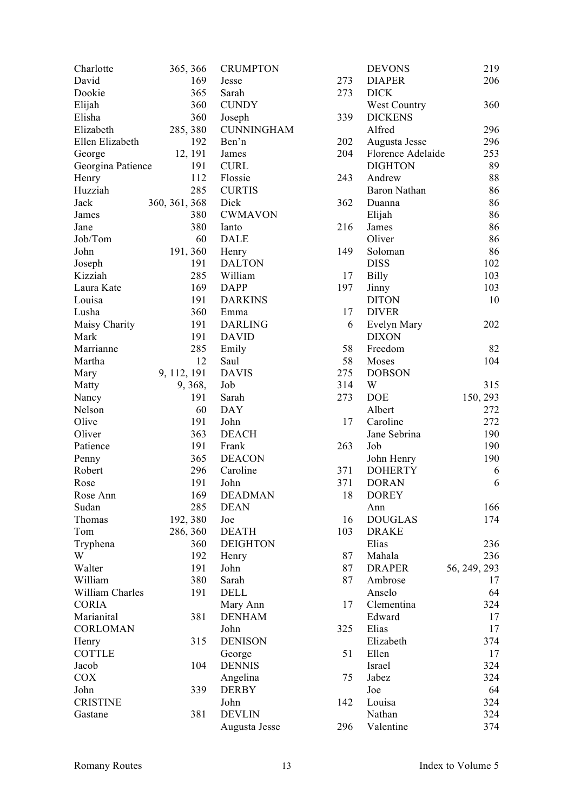| Charlotte         | 365, 366      | <b>CRUMPTON</b>       |     | <b>DEVONS</b>     | 219          |
|-------------------|---------------|-----------------------|-----|-------------------|--------------|
| David             | 169           | Jesse                 | 273 | <b>DIAPER</b>     | 206          |
| Dookie            | 365           | Sarah                 | 273 | <b>DICK</b>       |              |
| Elijah            | 360           | <b>CUNDY</b>          |     | West Country      | 360          |
| Elisha            | 360           | Joseph                | 339 | <b>DICKENS</b>    |              |
| Elizabeth         | 285, 380      | <b>CUNNINGHAM</b>     |     | Alfred            | 296          |
| Ellen Elizabeth   | 192           | Ben'n                 | 202 | Augusta Jesse     | 296          |
| George            | 12, 191       | James                 | 204 | Florence Adelaide | 253          |
| Georgina Patience | 191           | <b>CURL</b>           |     | <b>DIGHTON</b>    | 89           |
| Henry             | 112           | Flossie               | 243 | Andrew            | 88           |
| Huzziah           | 285           | <b>CURTIS</b>         |     | Baron Nathan      | 86           |
| Jack              | 360, 361, 368 | Dick                  | 362 | Duanna            | 86           |
| James             | 380           | <b>CWMAVON</b>        |     | Elijah            | 86           |
| Jane              | 380           | Ianto                 | 216 | James             | 86           |
| Job/Tom           | 60            | <b>DALE</b>           |     | Oliver            | 86           |
| John              | 191, 360      | Henry                 | 149 | Soloman           | 86           |
| Joseph            | 191           | <b>DALTON</b>         |     | <b>DISS</b>       | 102          |
| Kizziah           | 285           | William               | 17  | <b>Billy</b>      | 103          |
| Laura Kate        | 169           | <b>DAPP</b>           | 197 | Jinny             | 103          |
| Louisa            | 191           | <b>DARKINS</b>        |     | <b>DITON</b>      | 10           |
| Lusha             | 360           | Emma                  | 17  | <b>DIVER</b>      |              |
| Maisy Charity     | 191           | <b>DARLING</b>        | 6   | Evelyn Mary       | 202          |
| Mark              | 191           | <b>DAVID</b>          |     | <b>DIXON</b>      |              |
| Marrianne         | 285           | Emily                 | 58  | Freedom           | 82           |
| Martha            | 12            | Saul                  | 58  | Moses             | 104          |
| Mary              | 9, 112, 191   | <b>DAVIS</b>          | 275 | <b>DOBSON</b>     |              |
| Matty             | 9, 368,       | Job                   | 314 | W                 | 315          |
|                   | 191           | Sarah                 | 273 | <b>DOE</b>        | 150, 293     |
| Nancy<br>Nelson   | 60            | <b>DAY</b>            |     | Albert            | 272          |
| Olive             | 191           | John                  | 17  | Caroline          | 272          |
|                   | 363           |                       |     |                   |              |
| Oliver            |               | <b>DEACH</b><br>Frank |     | Jane Sebrina      | 190          |
| Patience          | 191           |                       | 263 | Job               | 190          |
| Penny             | 365           | <b>DEACON</b>         |     | John Henry        | 190          |
| Robert            | 296           | Caroline              | 371 | <b>DOHERTY</b>    | 6            |
| Rose              | 191           | John                  | 371 | <b>DORAN</b>      | 6            |
| Rose Ann          | 169           | <b>DEADMAN</b>        | 18  | <b>DOREY</b>      |              |
| Sudan             | 285           | <b>DEAN</b>           |     | Ann               | 166          |
| Thomas            | 192, 380      | Joe                   | 16  | <b>DOUGLAS</b>    | 174          |
| Tom               | 286, 360      | <b>DEATH</b>          | 103 | <b>DRAKE</b>      |              |
| Tryphena          | 360           | <b>DEIGHTON</b>       |     | Elias             | 236          |
| W                 | 192           | Henry                 | 87  | Mahala            | 236          |
| Walter            | 191           | John                  | 87  | <b>DRAPER</b>     | 56, 249, 293 |
| William           | 380           | Sarah                 | 87  | Ambrose           | 17           |
| William Charles   | 191           | <b>DELL</b>           |     | Anselo            | 64           |
| <b>CORIA</b>      |               | Mary Ann              | 17  | Clementina        | 324          |
| Marianital        | 381           | <b>DENHAM</b>         |     | Edward            | 17           |
| <b>CORLOMAN</b>   |               | John                  | 325 | Elias             | 17           |
| Henry             | 315           | <b>DENISON</b>        |     | Elizabeth         | 374          |
| <b>COTTLE</b>     |               | George                | 51  | Ellen             | 17           |
| Jacob             | 104           | <b>DENNIS</b>         |     | Israel            | 324          |
| COX               |               | Angelina              | 75  | Jabez             | 324          |
| John              | 339           | <b>DERBY</b>          |     | Joe               | 64           |
| <b>CRISTINE</b>   |               | John                  | 142 | Louisa            | 324          |
| Gastane           | 381           | <b>DEVLIN</b>         |     | Nathan            | 324          |
|                   |               | Augusta Jesse         | 296 | Valentine         | 374          |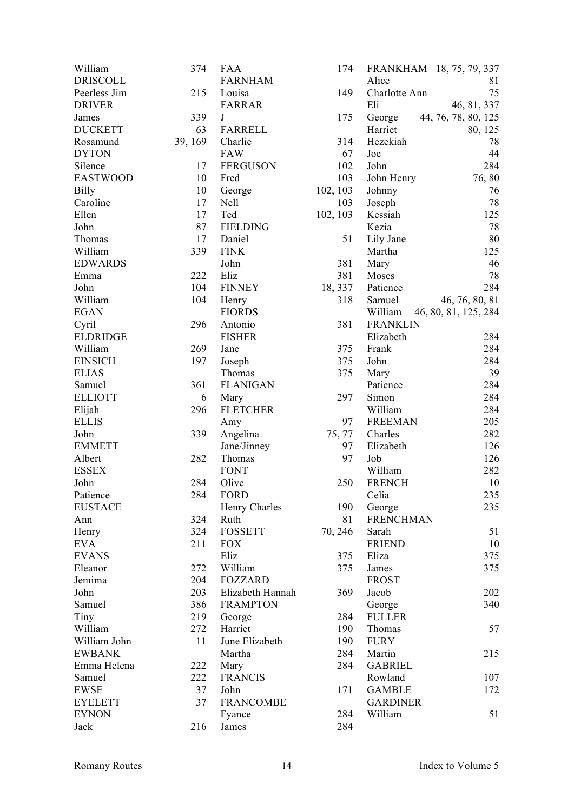| William         | 374     | <b>FAA</b>       | 174      | FRANKHAM 18, 75, 79, 337        |  |
|-----------------|---------|------------------|----------|---------------------------------|--|
| <b>DRISCOLL</b> |         | <b>FARNHAM</b>   |          | Alice<br>81                     |  |
| Peerless Jim    | 215     | Louisa           | 149      | 75<br>Charlotte Ann             |  |
| <b>DRIVER</b>   |         | <b>FARRAR</b>    |          | 46, 81, 337<br>Eli              |  |
| James           | 339     | J                | 175      | George<br>44, 76, 78, 80, 125   |  |
| <b>DUCKETT</b>  | 63      | <b>FARRELL</b>   |          | Harriet<br>80, 125              |  |
| Rosamund        | 39, 169 | Charlie          | 314      | 78<br>Hezekiah                  |  |
| <b>DYTON</b>    |         | <b>FAW</b>       | 67       | 44<br>Joe                       |  |
| Silence         | 17      | <b>FERGUSON</b>  | 102      | 284<br>John                     |  |
| <b>EASTWOOD</b> | 10      | Fred             | 103      | 76,80<br>John Henry             |  |
| <b>Billy</b>    | 10      | George           | 102, 103 | 76<br>Johnny                    |  |
| Caroline        | 17      | Nell             | 103      | 78<br>Joseph                    |  |
| Ellen           | 17      | Ted              | 102, 103 | 125<br>Kessiah                  |  |
| John            | 87      | <b>FIELDING</b>  |          | 78<br>Kezia                     |  |
| Thomas          | 17      | Daniel           | 51       | 80<br>Lily Jane                 |  |
| William         | 339     | <b>FINK</b>      |          | 125<br>Martha                   |  |
| <b>EDWARDS</b>  |         | John             | 381      | 46<br>Mary                      |  |
| Emma            | 222     | Eliz             | 381      | 78<br>Moses                     |  |
| John            | 104     | <b>FINNEY</b>    | 18, 337  | Patience<br>284                 |  |
| William         | 104     | Henry            | 318      | 46, 76, 80, 81<br>Samuel        |  |
| <b>EGAN</b>     |         | <b>FIORDS</b>    |          | William<br>46, 80, 81, 125, 284 |  |
| Cyril           | 296     | Antonio          | 381      | <b>FRANKLIN</b>                 |  |
| <b>ELDRIDGE</b> |         | <b>FISHER</b>    |          | 284<br>Elizabeth                |  |
| William         | 269     |                  | 375      | 284                             |  |
|                 | 197     | Jane             |          | Frank<br>284                    |  |
| <b>EINSICH</b>  |         | Joseph           | 375      | John                            |  |
| <b>ELIAS</b>    |         | Thomas           | 375      | 39<br>Mary                      |  |
| Samuel          | 361     | <b>FLANIGAN</b>  |          | 284<br>Patience                 |  |
| <b>ELLIOTT</b>  | 6       | Mary             | 297      | Simon<br>284                    |  |
| Elijah          | 296     | <b>FLETCHER</b>  |          | William<br>284                  |  |
| <b>ELLIS</b>    |         | Amy              | 97       | <b>FREEMAN</b><br>205           |  |
| John            | 339     | Angelina         | 75, 77   | 282<br>Charles                  |  |
| <b>EMMETT</b>   |         | Jane/Jinney      | 97       | 126<br>Elizabeth                |  |
| Albert          | 282     | Thomas           | 97       | 126<br>Job                      |  |
| <b>ESSEX</b>    |         | <b>FONT</b>      |          | William<br>282                  |  |
| John            | 284     | Olive            | 250      | <b>FRENCH</b><br>10             |  |
| Patience        | 284     | FORD             |          | 235<br>Celia                    |  |
| <b>EUSTACE</b>  |         | Henry Charles    | 190      | 235<br>George                   |  |
| Ann             | 324     | Ruth             | 81       | <b>FRENCHMAN</b>                |  |
| Henry           | 324     | <b>FOSSETT</b>   | 70, 246  | 51<br>Sarah                     |  |
| <b>EVA</b>      | 211     | <b>FOX</b>       |          | <b>FRIEND</b><br>10             |  |
| <b>EVANS</b>    |         | Eliz             | 375      | 375<br>Eliza                    |  |
| Eleanor         | 272     | William          | 375      | 375<br>James                    |  |
| Jemima          | 204     | <b>FOZZARD</b>   |          | <b>FROST</b>                    |  |
| John            | 203     | Elizabeth Hannah | 369      | 202<br>Jacob                    |  |
| Samuel          | 386     | <b>FRAMPTON</b>  |          | 340<br>George                   |  |
| Tiny            | 219     | George           | 284      | <b>FULLER</b>                   |  |
| William         | 272     | Harriet          | 190      | Thomas<br>57                    |  |
| William John    | 11      | June Elizabeth   | 190      | <b>FURY</b>                     |  |
| <b>EWBANK</b>   |         | Martha           | 284      | Martin<br>215                   |  |
| Emma Helena     | 222     | Mary             | 284      | <b>GABRIEL</b>                  |  |
| Samuel          | 222     | <b>FRANCIS</b>   |          | Rowland<br>107                  |  |
| <b>EWSE</b>     | 37      | John             | 171      | <b>GAMBLE</b><br>172            |  |
| <b>EYELETT</b>  | 37      | <b>FRANCOMBE</b> |          | <b>GARDINER</b>                 |  |
| <b>EYNON</b>    |         | Fyance           | 284      | 51<br>William                   |  |
| Jack            | 216     | James            | 284      |                                 |  |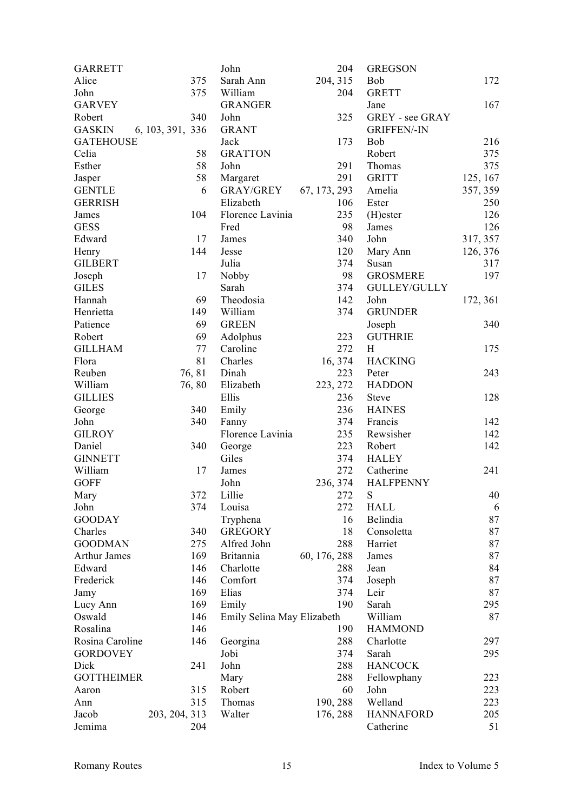| <b>GARRETT</b>      |                  | John                       | 204          | <b>GREGSON</b>         |          |
|---------------------|------------------|----------------------------|--------------|------------------------|----------|
| Alice               | 375              | Sarah Ann                  | 204, 315     | Bob                    | 172      |
| John                | 375              | William                    | 204          | <b>GRETT</b>           |          |
| <b>GARVEY</b>       |                  | <b>GRANGER</b>             |              | Jane                   | 167      |
| Robert              | 340              | John                       | 325          | <b>GREY</b> - see GRAY |          |
| <b>GASKIN</b>       | 6, 103, 391, 336 | <b>GRANT</b>               |              | <b>GRIFFEN/-IN</b>     |          |
| <b>GATEHOUSE</b>    |                  | Jack                       | 173          | <b>Bob</b>             | 216      |
| Celia               | 58               | <b>GRATTON</b>             |              | Robert                 | 375      |
| Esther              | 58               | John                       | 291          | Thomas                 | 375      |
| Jasper              | 58               | Margaret                   | 291          | <b>GRITT</b>           | 125, 167 |
| <b>GENTLE</b>       | 6                | <b>GRAY/GREY</b>           | 67, 173, 293 | Amelia                 | 357, 359 |
| <b>GERRISH</b>      |                  | Elizabeth                  | 106          | Ester                  | 250      |
| James               | 104              | Florence Lavinia           | 235          | $(H)$ ester            | 126      |
| <b>GESS</b>         |                  | Fred                       | 98           | James                  | 126      |
| Edward              | 17               | James                      | 340          | John                   | 317, 357 |
| Henry               | 144              | Jesse                      | 120          | Mary Ann               | 126, 376 |
| <b>GILBERT</b>      |                  | Julia                      | 374          | Susan                  | 317      |
| Joseph              | 17               | Nobby                      | 98           | <b>GROSMERE</b>        | 197      |
| <b>GILES</b>        |                  | Sarah                      | 374          | <b>GULLEY/GULLY</b>    |          |
| Hannah              | 69               | Theodosia                  | 142          | John                   | 172, 361 |
| Henrietta           | 149              | William                    | 374          | <b>GRUNDER</b>         |          |
| Patience            | 69               | <b>GREEN</b>               |              | Joseph                 | 340      |
| Robert              | 69               | Adolphus                   | 223          | <b>GUTHRIE</b>         |          |
| <b>GILLHAM</b>      | 77               | Caroline                   | 272          | H                      | 175      |
| Flora               | 81               | Charles                    | 16, 374      | <b>HACKING</b>         |          |
|                     |                  |                            | 223          |                        | 243      |
| Reuben              | 76, 81           | Dinah                      |              | Peter                  |          |
| William             | 76,80            | Elizabeth                  | 223, 272     | <b>HADDON</b>          |          |
| <b>GILLIES</b>      |                  | Ellis                      | 236          | Steve                  | 128      |
| George              | 340              | Emily                      | 236          | <b>HAINES</b>          |          |
| John                | 340              | Fanny                      | 374          | Francis                | 142      |
| <b>GILROY</b>       |                  | Florence Lavinia           | 235          | Rewsisher              | 142      |
| Daniel              | 340              | George                     | 223          | Robert                 | 142      |
| <b>GINNETT</b>      |                  | Giles                      | 374          | <b>HALEY</b>           |          |
| William             | 17               | James                      | 272          | Catherine              | 241      |
| <b>GOFF</b>         |                  | John                       | 236, 374     | <b>HALFPENNY</b>       |          |
| Mary                | 372              | Lillie                     | 272          | S                      | 40       |
| John                | 374              | Louisa                     | 272          | <b>HALL</b>            | 6        |
| <b>GOODAY</b>       |                  | Tryphena                   | 16           | Belindia               | 87       |
| Charles             | 340              | <b>GREGORY</b>             | 18           | Consoletta             | 87       |
| <b>GOODMAN</b>      | 275              | Alfred John                | 288          | Harriet                | 87       |
| <b>Arthur James</b> | 169              | <b>Britannia</b>           | 60, 176, 288 | James                  | 87       |
| Edward              | 146              | Charlotte                  | 288          | Jean                   | 84       |
| Frederick           | 146              | Comfort                    | 374          | Joseph                 | 87       |
| Jamy                | 169              | Elias                      | 374          | Leir                   | 87       |
| Lucy Ann            | 169              | Emily                      | 190          | Sarah                  | 295      |
| Oswald              | 146              | Emily Selina May Elizabeth |              | William                | 87       |
| Rosalina            | 146              |                            | 190          | <b>HAMMOND</b>         |          |
| Rosina Caroline     | 146              | Georgina                   | 288          | Charlotte              | 297      |
| <b>GORDOVEY</b>     |                  | Jobi                       | 374          | Sarah                  | 295      |
| Dick                | 241              | John                       | 288          | <b>HANCOCK</b>         |          |
| <b>GOTTHEIMER</b>   |                  | Mary                       | 288          | Fellowphany            | 223      |
| Aaron               | 315              | Robert                     | 60           | John                   | 223      |
| Ann                 | 315              | Thomas                     | 190, 288     | Welland                | 223      |
| Jacob               | 203, 204, 313    | Walter                     | 176, 288     | <b>HANNAFORD</b>       | 205      |
| Jemima              | 204              |                            |              | Catherine              | 51       |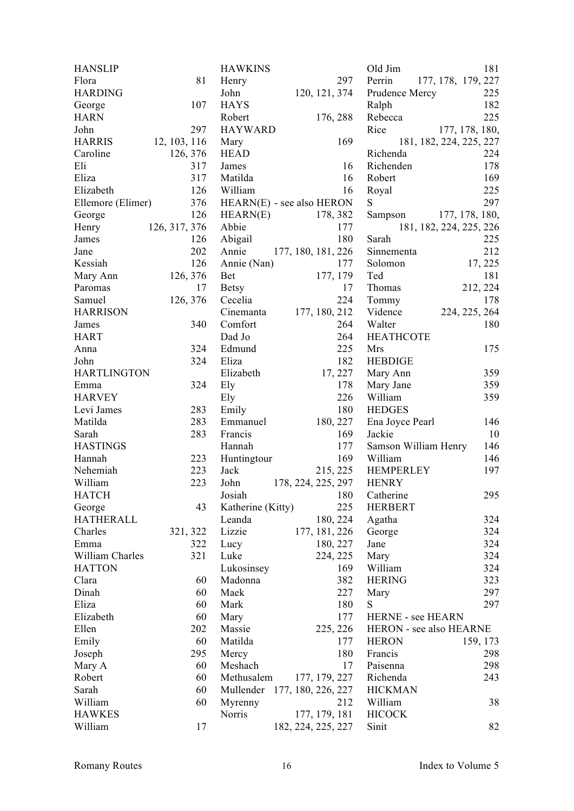| <b>HANSLIP</b>     |               | <b>HAWKINS</b>               |                    | Old Jim                 | 181                     |
|--------------------|---------------|------------------------------|--------------------|-------------------------|-------------------------|
| Flora              | 81            | Henry                        | 297                | Perrin                  | 177, 178, 179, 227      |
| <b>HARDING</b>     |               | John                         | 120, 121, 374      | Prudence Mercy          | 225                     |
| George             | 107           | <b>HAYS</b>                  |                    | Ralph                   | 182                     |
| <b>HARN</b>        |               | Robert                       | 176, 288           | Rebecca                 | 225                     |
| John               | 297           | <b>HAYWARD</b>               |                    | Rice                    | 177, 178, 180,          |
| <b>HARRIS</b>      | 12, 103, 116  | Mary                         | 169                |                         | 181, 182, 224, 225, 227 |
| Caroline           | 126, 376      | <b>HEAD</b>                  |                    | Richenda                | 224                     |
| Eli                | 317           | James                        | 16                 | Richenden               | 178                     |
| Eliza              | 317           | Matilda                      | 16                 | Robert                  | 169                     |
| Elizabeth          | 126           | William                      | 16                 | Royal                   | 225                     |
| Ellemore (Elimer)  | 376           | $HEARN(E)$ - see also HERON  |                    | ${\bf S}$               | 297                     |
| George             | 126           | HEARN(E)                     | 178, 382           | Sampson                 | 177, 178, 180,          |
| Henry              | 126, 317, 376 | Abbie                        | 177                |                         | 181, 182, 224, 225, 226 |
| James              | 126           | Abigail                      | 180                | Sarah                   | 225                     |
| Jane               | 202           | Annie                        | 177, 180, 181, 226 | Sinnementa              | 212                     |
| Kessiah            | 126           |                              | 177                | Solomon                 |                         |
|                    |               | Annie (Nan)                  |                    | Ted                     | 17, 225<br>181          |
| Mary Ann           | 126, 376      | Bet                          | 177, 179           |                         |                         |
| Paromas            | 17            | <b>Betsy</b>                 | 17                 | Thomas                  | 212, 224                |
| Samuel             | 126, 376      | Cecelia                      | 224                | Tommy                   | 178                     |
| <b>HARRISON</b>    |               | Cinemanta                    | 177, 180, 212      | Vidence                 | 224, 225, 264           |
| James              | 340           | Comfort                      | 264                | Walter                  | 180                     |
| <b>HART</b>        |               | Dad Jo                       | 264                | <b>HEATHCOTE</b>        |                         |
| Anna               | 324           | Edmund                       | 225                | <b>Mrs</b>              | 175                     |
| John               | 324           | Eliza                        | 182                | <b>HEBDIGE</b>          |                         |
| <b>HARTLINGTON</b> |               | Elizabeth                    | 17, 227            | Mary Ann                | 359                     |
| Emma               | 324           | Ely                          | 178                | Mary Jane               | 359                     |
| <b>HARVEY</b>      |               | Ely                          | 226                | William                 | 359                     |
| Levi James         | 283           | Emily                        | 180                | <b>HEDGES</b>           |                         |
| Matilda            | 283           | Emmanuel                     | 180, 227           | Ena Joyce Pearl         | 146                     |
| Sarah              | 283           | Francis                      | 169                | Jackie                  | 10                      |
| <b>HASTINGS</b>    |               | Hannah                       | 177                | Samson William Henry    | 146                     |
| Hannah             | 223           | Huntingtour                  | 169                | William                 | 146                     |
| Nehemiah           | 223           | Jack                         | 215, 225           | <b>HEMPERLEY</b>        | 197                     |
| William            | 223           | John                         | 178, 224, 225, 297 | <b>HENRY</b>            |                         |
| <b>HATCH</b>       |               | Josiah                       | 180                | Catherine               | 295                     |
| George             | 43            | Katherine (Kitty)            | 225                | <b>HERBERT</b>          |                         |
| <b>HATHERALL</b>   |               | Leanda                       | 180, 224           | Agatha                  | 324                     |
| Charles            | 321, 322      | Lizzie                       | 177, 181, 226      | George                  | 324                     |
| Emma               | 322           | Lucy                         | 180, 227           | Jane                    | 324                     |
| William Charles    | 321           | Luke                         | 224, 225           | Mary                    | 324                     |
| <b>HATTON</b>      |               | Lukosinsey                   | 169                | William                 | 324                     |
| Clara              | 60            | Madonna                      | 382                | <b>HERING</b>           | 323                     |
| Dinah              | 60            | Maek                         | 227                | Mary                    | 297                     |
| Eliza              | 60            | Mark                         | 180                | S                       | 297                     |
| Elizabeth          | 60            | Mary                         | 177                | HERNE - see HEARN       |                         |
| Ellen              | 202           | Massie                       | 225, 226           | HERON - see also HEARNE |                         |
| Emily              | 60            | Matilda                      | 177                | <b>HERON</b>            | 159, 173                |
| Joseph             | 295           | Mercy                        | 180                | Francis                 | 298                     |
| Mary A             | 60            | Meshach                      | 17                 | Paisenna                | 298                     |
| Robert             | 60            | Methusalem                   | 177, 179, 227      | Richenda                | 243                     |
| Sarah              | 60            | Mullender 177, 180, 226, 227 |                    | <b>HICKMAN</b>          |                         |
| William            | 60            | Myrenny                      | 212                | William                 | 38                      |
| <b>HAWKES</b>      |               | Norris                       | 177, 179, 181      | <b>HICOCK</b>           |                         |
| William            | 17            |                              |                    | Sinit                   | 82                      |
|                    |               |                              | 182, 224, 225, 227 |                         |                         |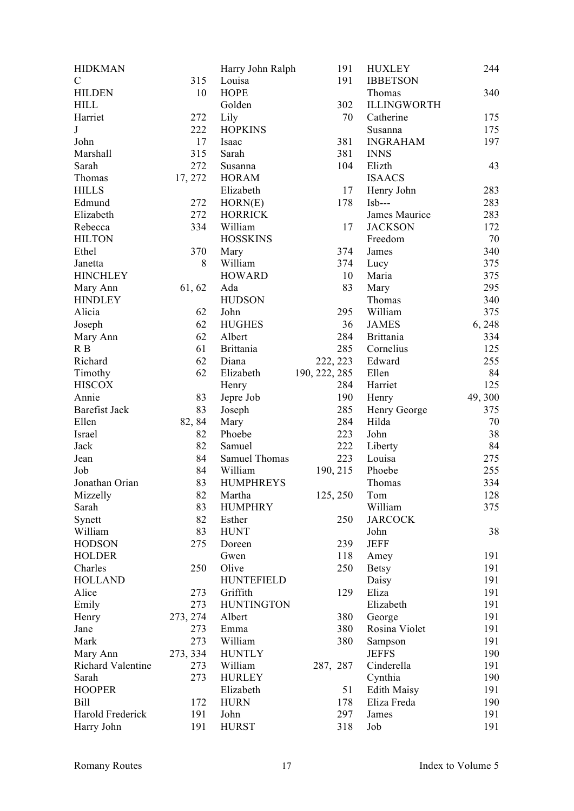| <b>HIDKMAN</b>       |          | Harry John Ralph  | 191           | <b>HUXLEY</b>      | 244    |
|----------------------|----------|-------------------|---------------|--------------------|--------|
| $\mathcal{C}$        | 315      | Louisa            | 191           | <b>IBBETSON</b>    |        |
| <b>HILDEN</b>        | 10       | <b>HOPE</b>       |               | Thomas             | 340    |
| <b>HILL</b>          |          | Golden            | 302           | <b>ILLINGWORTH</b> |        |
| Harriet              | 272      | Lily              | 70            | Catherine          | 175    |
| $\bf J$              | 222      | <b>HOPKINS</b>    |               | Susanna            | 175    |
| John                 | 17       | Isaac             | 381           | <b>INGRAHAM</b>    | 197    |
| Marshall             | 315      | Sarah             | 381           | <b>INNS</b>        |        |
| Sarah                | 272      | Susanna           | 104           | Elizth             | 43     |
| Thomas               | 17, 272  | <b>HORAM</b>      |               | <b>ISAACS</b>      |        |
| <b>HILLS</b>         |          | Elizabeth         | 17            | Henry John         | 283    |
| Edmund               | 272      | HORN(E)           | 178           | $Isb---$           | 283    |
| Elizabeth            | 272      | <b>HORRICK</b>    |               | James Maurice      | 283    |
| Rebecca              | 334      | William           | 17            | <b>JACKSON</b>     | 172    |
|                      |          |                   |               |                    |        |
| <b>HILTON</b>        |          | <b>HOSSKINS</b>   |               | Freedom            | 70     |
| Ethel                | 370      | Mary              | 374           | James              | 340    |
| Janetta              | 8        | William           | 374           | Lucy               | 375    |
| <b>HINCHLEY</b>      |          | <b>HOWARD</b>     | 10            | Maria              | 375    |
| Mary Ann             | 61, 62   | Ada               | 83            | Mary               | 295    |
| <b>HINDLEY</b>       |          | <b>HUDSON</b>     |               | Thomas             | 340    |
| Alicia               | 62       | John              | 295           | William            | 375    |
| Joseph               | 62       | <b>HUGHES</b>     | 36            | <b>JAMES</b>       | 6,248  |
| Mary Ann             | 62       | Albert            | 284           | <b>Brittania</b>   | 334    |
| R B                  | 61       | <b>Brittania</b>  | 285           | Cornelius          | 125    |
| Richard              | 62       | Diana             | 222, 223      | Edward             | 255    |
| Timothy              | 62       | Elizabeth         | 190, 222, 285 | Ellen              | 84     |
| <b>HISCOX</b>        |          | Henry             | 284           | Harriet            | 125    |
| Annie                | 83       | Jepre Job         | 190           | Henry              | 49,300 |
| <b>Barefist Jack</b> | 83       | Joseph            | 285           | Henry George       | 375    |
| Ellen                | 82, 84   | Mary              | 284           | Hilda              | 70     |
| Israel               | 82       | Phoebe            | 223           | John               | 38     |
| Jack                 | 82       | Samuel            | 222           | Liberty            | 84     |
|                      | 84       | Samuel Thomas     | 223           |                    |        |
| Jean                 |          |                   |               | Louisa             | 275    |
| Job                  | 84       | William           | 190, 215      | Phoebe             | 255    |
| Jonathan Orian       | 83       | <b>HUMPHREYS</b>  |               | Thomas             | 334    |
| Mizzelly             | 82       | Martha            | 125, 250      | Tom                | 128    |
| Sarah                | 83       | <b>HUMPHRY</b>    |               | William            | 375    |
| Synett               | 82       | Esther            | 250           | <b>JARCOCK</b>     |        |
| William              | 83       | <b>HUNT</b>       |               | John               | 38     |
| <b>HODSON</b>        | 275      | Doreen            | 239           | <b>JEFF</b>        |        |
| <b>HOLDER</b>        |          | Gwen              | 118           | Amey               | 191    |
| Charles              | 250      | Olive             | 250           | <b>Betsy</b>       | 191    |
| <b>HOLLAND</b>       |          | <b>HUNTEFIELD</b> |               | Daisy              | 191    |
| Alice                | 273      | Griffith          | 129           | Eliza              | 191    |
| Emily                | 273      | <b>HUNTINGTON</b> |               | Elizabeth          | 191    |
| Henry                | 273, 274 | Albert            | 380           | George             | 191    |
| Jane                 | 273      | Emma              | 380           | Rosina Violet      | 191    |
| Mark                 | 273      | William           | 380           | Sampson            | 191    |
| Mary Ann             | 273, 334 | <b>HUNTLY</b>     |               | <b>JEFFS</b>       | 190    |
| Richard Valentine    | 273      | William           | 287, 287      | Cinderella         | 191    |
| Sarah                | 273      | <b>HURLEY</b>     |               | Cynthia            | 190    |
| <b>HOOPER</b>        |          | Elizabeth         | 51            | <b>Edith Maisy</b> | 191    |
| <b>Bill</b>          | 172      | <b>HURN</b>       | 178           | Eliza Freda        | 190    |
| Harold Frederick     | 191      | John              | 297           | James              | 191    |
|                      |          |                   |               |                    |        |
| Harry John           | 191      | <b>HURST</b>      | 318           | Job                | 191    |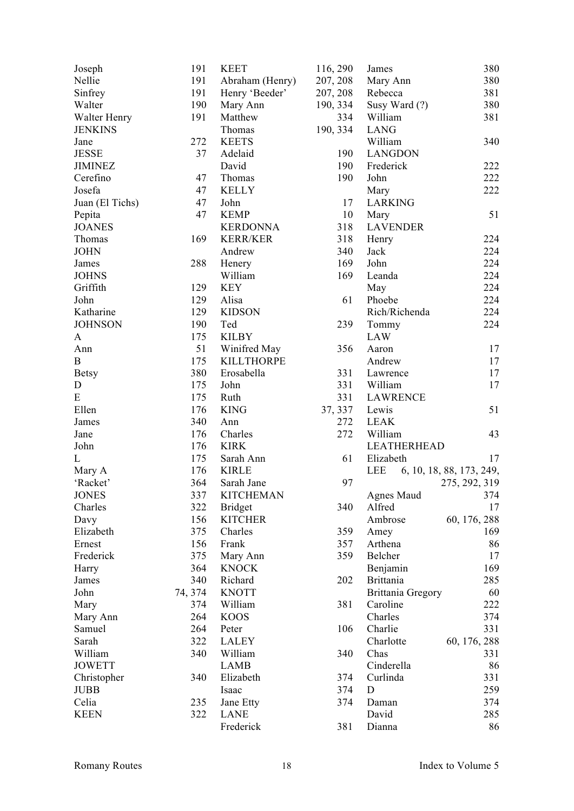| Joseph          | 191     | <b>KEET</b>       | 116, 290 | James                                | 380                      |
|-----------------|---------|-------------------|----------|--------------------------------------|--------------------------|
| Nellie          | 191     | Abraham (Henry)   | 207, 208 | Mary Ann                             | 380                      |
| Sinfrey         | 191     | Henry 'Beeder'    | 207, 208 | Rebecca                              | 381                      |
| Walter          | 190     | Mary Ann          | 190, 334 | Susy Ward (?)                        | 380                      |
| Walter Henry    | 191     | Matthew           | 334      | William                              | 381                      |
| <b>JENKINS</b>  |         | Thomas            | 190, 334 | <b>LANG</b>                          |                          |
| Jane            | 272     | <b>KEETS</b>      |          | William                              | 340                      |
| <b>JESSE</b>    | 37      | Adelaid           | 190      | <b>LANGDON</b>                       |                          |
| <b>JIMINEZ</b>  |         | David             | 190      | Frederick                            | 222                      |
| Cerefino        | 47      | Thomas            | 190      | John                                 | 222                      |
|                 |         |                   |          |                                      |                          |
| Josefa          | 47      | <b>KELLY</b>      |          | Mary                                 | 222                      |
| Juan (El Tichs) | 47      | John              | 17       | <b>LARKING</b>                       |                          |
| Pepita          | 47      | <b>KEMP</b>       | 10       | Mary                                 | 51                       |
| <b>JOANES</b>   |         | <b>KERDONNA</b>   | 318      | <b>LAVENDER</b>                      |                          |
| Thomas          | 169     | <b>KERR/KER</b>   | 318      | Henry                                | 224                      |
| <b>JOHN</b>     |         | Andrew            | 340      | Jack                                 | 224                      |
| James           | 288     | Henery            | 169      | John                                 | 224                      |
| <b>JOHNS</b>    |         | William           | 169      | Leanda                               | 224                      |
| Griffith        | 129     | <b>KEY</b>        |          | May                                  | 224                      |
| John            | 129     | Alisa             | 61       | Phoebe                               | 224                      |
| Katharine       | 129     | <b>KIDSON</b>     |          | Rich/Richenda                        | 224                      |
| <b>JOHNSON</b>  | 190     | Ted               | 239      | Tommy                                | 224                      |
| A               | 175     | <b>KILBY</b>      |          | LAW                                  |                          |
| Ann             | 51      | Winifred May      | 356      | Aaron                                | 17                       |
| $\bf{B}$        | 175     | <b>KILLTHORPE</b> |          | Andrew                               | 17                       |
| <b>Betsy</b>    | 380     | Erosabella        | 331      | Lawrence                             | 17                       |
| $\mathbf D$     | 175     | John              | 331      | William                              | 17                       |
| E               | 175     | Ruth              | 331      | <b>LAWRENCE</b>                      |                          |
| Ellen           | 176     | <b>KING</b>       | 37, 337  | Lewis                                | 51                       |
| James           | 340     | Ann               | 272      | <b>LEAK</b>                          |                          |
| Jane            | 176     | Charles           | 272      | William                              | 43                       |
| John            | 176     | <b>KIRK</b>       |          | <b>LEATHERHEAD</b>                   |                          |
| L               | 175     | Sarah Ann         | 61       | Elizabeth                            | 17                       |
| Mary A          | 176     | <b>KIRLE</b>      |          | LEE                                  | 6, 10, 18, 88, 173, 249, |
| 'Racket'        | 364     | Sarah Jane        | 97       |                                      | 275, 292, 319            |
| <b>JONES</b>    | 337     | <b>KITCHEMAN</b>  |          | Agnes Maud                           | 374                      |
| Charles         | 322     | <b>Bridget</b>    | 340      | Alfred                               | 17                       |
| Davy            | 156     | <b>KITCHER</b>    |          | Ambrose                              | 60, 176, 288             |
| Elizabeth       | 375     | Charles           | 359      | Amey                                 | 169                      |
| Ernest          | 156     | Frank             | 357      | Arthena                              | 86                       |
| Frederick       | 375     | Mary Ann          | 359      | Belcher                              | 17                       |
| Harry           | 364     | <b>KNOCK</b>      |          | Benjamin                             | 169                      |
| James           | 340     | Richard           | 202      | <b>Brittania</b>                     | 285                      |
| John            |         | <b>KNOTT</b>      |          |                                      | 60                       |
|                 | 74, 374 |                   | 381      | <b>Brittania Gregory</b><br>Caroline |                          |
| Mary            | 374     | William           |          |                                      | 222                      |
| Mary Ann        | 264     | <b>KOOS</b>       |          | Charles                              | 374                      |
| Samuel          | 264     | Peter             | 106      | Charlie                              | 331                      |
| Sarah           | 322     | <b>LALEY</b>      |          | Charlotte                            | 60, 176, 288             |
| William         | 340     | William           | 340      | Chas                                 | 331                      |
| <b>JOWETT</b>   |         | <b>LAMB</b>       |          | Cinderella                           | 86                       |
| Christopher     | 340     | Elizabeth         | 374      | Curlinda                             | 331                      |
| <b>JUBB</b>     |         | Isaac             | 374      | D                                    | 259                      |
| Celia           | 235     | Jane Etty         | 374      | Daman                                | 374                      |
| <b>KEEN</b>     | 322     | <b>LANE</b>       |          | David                                | 285                      |
|                 |         | Frederick         | 381      | Dianna                               | 86                       |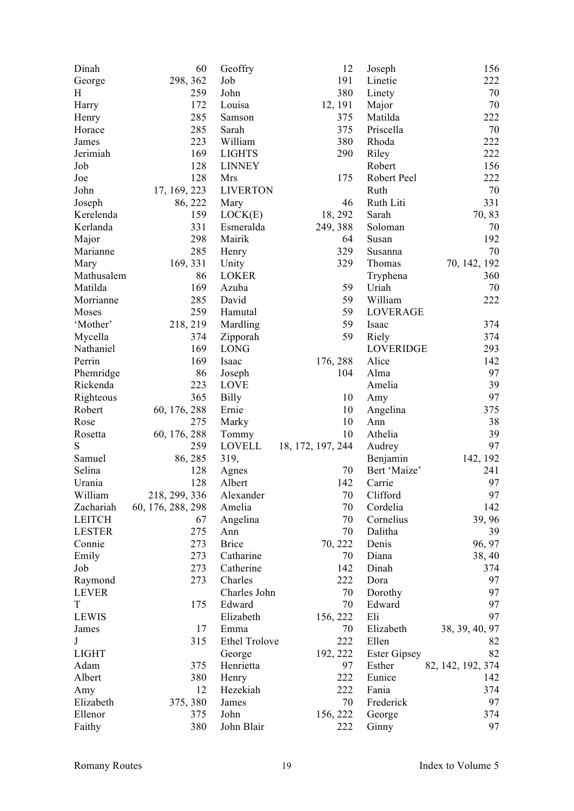| Dinah                   | 60                | Geoffry              | 12                | Joseph              | 156               |
|-------------------------|-------------------|----------------------|-------------------|---------------------|-------------------|
| George                  | 298, 362          | Job                  | 191               | Linetie             | 222               |
| H                       | 259               | John                 | 380               | Linety              | 70                |
| Harry                   | 172               | Louisa               | 12, 191           | Major               | 70                |
| Henry                   | 285               | Samson               | 375               | Matilda             | 222               |
| Horace                  | 285               | Sarah                | 375               | Priscella           | 70                |
| James                   | 223               | William              | 380               | Rhoda               | 222               |
| Jerimiah                | 169               | <b>LIGHTS</b>        | 290               | Riley               | 222               |
| Job                     | 128               | <b>LINNEY</b>        |                   | Robert              | 156               |
| Joe                     | 128               | Mrs                  | 175               | Robert Peel         | 222               |
| John                    | 17, 169, 223      | <b>LIVERTON</b>      |                   | Ruth                | 70                |
| Joseph                  | 86, 222           | Mary                 | 46                | Ruth Liti           | 331               |
| Kerelenda               | 159               | LOCK(E)              | 18, 292           | Sarah               | 70, 83            |
| Kerlanda                | 331               | Esmeralda            | 249, 388          | Soloman             | 70                |
| Major                   | 298               | Mairik               | 64                | Susan               | 192               |
| Marianne                | 285               | Henry                | 329               | Susanna             | 70                |
| Mary                    | 169, 331          | Unity                | 329               | Thomas              | 70, 142, 192      |
| Mathusalem              | 86                | <b>LOKER</b>         |                   | Tryphena            | 360               |
| Matilda                 | 169               | Azuba                | 59                | Uriah               | 70                |
| Morrianne               | 285               | David                | 59                | William             | 222               |
| Moses                   | 259               | Hamutal              | 59                | <b>LOVERAGE</b>     |                   |
| 'Mother'                | 218, 219          | Mardling             | 59                | Isaac               | 374               |
| Mycella                 | 374               | Zipporah             | 59                | Riely               | 374               |
| Nathaniel               | 169               | <b>LONG</b>          |                   | <b>LOVERIDGE</b>    | 293               |
| Perrin                  | 169               | Isaac                | 176, 288          | Alice               | 142               |
| Phemridge               | 86                | Joseph               | 104               | Alma                | 97                |
| Rickenda                | 223               | <b>LOVE</b>          |                   | Amelia              | 39                |
| Righteous               | 365               | <b>Billy</b>         | 10                | Amy                 | 97                |
| Robert                  | 60, 176, 288      | Ernie                | 10                | Angelina            | 375               |
| Rose                    | 275               | Marky                | 10                | Ann                 | 38                |
| Rosetta                 | 60, 176, 288      | Tommy                | 10                | Athelia             | 39                |
| S                       | 259               | <b>LOVELL</b>        | 18, 172, 197, 244 | Audrey              | 97                |
| Samuel                  | 86, 285           | 319,                 |                   | Benjamin            | 142, 192          |
| Selina                  | 128               | Agnes                | 70                | Bert 'Maize'        | 241               |
| Urania                  | 128               | Albert               | 142               | Carrie              | 97                |
| William                 | 218, 299, 336     | Alexander            | 70                | Clifford            | 97                |
| Zachariah               | 60, 176, 288, 298 | Amelia               | 70                | Cordelia            | 142               |
| <b>LEITCH</b>           | 67                | Angelina             | 70                | Cornelius           | 39, 96            |
| <b>LESTER</b>           | 275               | Ann                  | 70                | Dalitha             | 39                |
| Connie                  | 273               | <b>Brice</b>         | 70, 222           | Denis               | 96, 97            |
| Emily                   | 273               | Catharine            | 70                | Diana               | 38, 40            |
| Job                     | 273               | Catherine            | 142               | Dinah               | 374               |
|                         | 273               | Charles              | 222               | Dora                | 97                |
| Raymond<br><b>LEVER</b> |                   | Charles John         | 70                | Dorothy             | 97                |
| $\mathbf T$             | 175               | Edward               | 70                | Edward              | 97                |
| <b>LEWIS</b>            |                   | Elizabeth            |                   | Eli                 | 97                |
| James                   | 17                | Emma                 | 156, 222<br>70    | Elizabeth           | 38, 39, 40, 97    |
| J                       | 315               | <b>Ethel Trolove</b> | 222               | Ellen               |                   |
|                         |                   |                      |                   |                     | 82                |
| <b>LIGHT</b>            |                   | George               | 192, 222          | <b>Ester Gipsey</b> | 82                |
| Adam                    | 375               | Henrietta            | 97                | Esther              | 82, 142, 192, 374 |
| Albert                  | 380               | Henry                | 222               | Eunice              | 142               |
| Amy                     | 12                | Hezekiah             | 222<br>70         | Fania               | 374<br>97         |
| Elizabeth               | 375, 380          | James                |                   | Frederick           |                   |
| Ellenor                 | 375               | John                 | 156, 222          | George              | 374               |
| Faithy                  | 380               | John Blair           | 222               | Ginny               | 97                |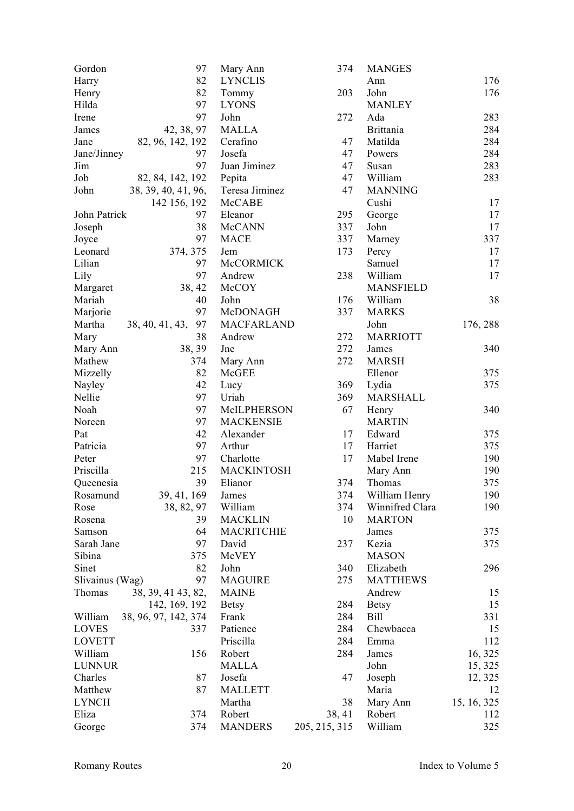| Gordon          | 97                    | Mary Ann          | 374           | <b>MANGES</b>    |             |
|-----------------|-----------------------|-------------------|---------------|------------------|-------------|
| Harry           | 82                    | <b>LYNCLIS</b>    |               | Ann              | 176         |
| Henry           | 82                    | Tommy             | 203           | John             | 176         |
| Hilda           | 97                    | <b>LYONS</b>      |               | <b>MANLEY</b>    |             |
| Irene           | 97                    | John              | 272           | Ada              | 283         |
| James           | 42, 38, 97            | <b>MALLA</b>      |               | <b>Brittania</b> | 284         |
| Jane            | 82, 96, 142, 192      | Cerafino          | 47            | Matilda          | 284         |
| Jane/Jinney     | 97                    | Josefa            | 47            | Powers           | 284         |
| Jim             | 97                    | Juan Jiminez      | 47            | Susan            | 283         |
| Job             | 82, 84, 142, 192      | Pepita            | 47            | William          | 283         |
| John            | 38, 39, 40, 41, 96,   | Teresa Jiminez    | 47            | <b>MANNING</b>   |             |
|                 | 142 156, 192          | McCABE            |               | Cushi            | 17          |
| John Patrick    | 97                    | Eleanor           | 295           | George           | 17          |
| Joseph          | 38                    | McCANN            | 337           | John             | 17          |
| Joyce           | 97                    | <b>MACE</b>       | 337           | Marney           | 337         |
| Leonard         | 374, 375              | Jem               | 173           | Percy            | 17          |
| Lilian          | 97                    | McCORMICK         |               | Samuel           | 17          |
| Lily            | 97                    | Andrew            | 238           | William          | 17          |
| Margaret        | 38, 42                | McCOY             |               | <b>MANSFIELD</b> |             |
| Mariah          | 40                    | John              | 176           | William          | 38          |
| Marjorie        | 97                    | McDONAGH          | 337           | <b>MARKS</b>     |             |
| Martha          | 97                    | MACFARLAND        |               | John             | 176, 288    |
|                 | 38, 40, 41, 43,<br>38 | Andrew            | 272           | <b>MARRIOTT</b>  |             |
| Mary            |                       |                   | 272           |                  | 340         |
| Mary Ann        | 38, 39                | Jne               |               | James            |             |
| Mathew          | 374                   | Mary Ann          | 272           | <b>MARSH</b>     |             |
| Mizzelly        | 82                    | McGEE             |               | Ellenor          | 375         |
| Nayley          | 42                    | Lucy              | 369           | Lydia            | 375         |
| Nellie          | 97                    | Uriah             | 369           | MARSHALL         |             |
| Noah            | 97                    | McILPHERSON       | 67            | Henry            | 340         |
| Noreen          | 97                    | <b>MACKENSIE</b>  |               | <b>MARTIN</b>    |             |
| Pat             | 42                    | Alexander         | 17            | Edward           | 375         |
| Patricia        | 97                    | Arthur            | 17            | Harriet          | 375         |
| Peter           | 97                    | Charlotte         | 17            | Mabel Irene      | 190         |
| Priscilla       | 215                   | <b>MACKINTOSH</b> |               | Mary Ann         | 190         |
| Queenesia       | 39                    | Elianor           | 374           | Thomas           | 375         |
| Rosamund        | 39, 41, 169           | James             | 374           | William Henry    | 190         |
| Rose            | 38, 82, 97            | William           | 374           | Winnifred Clara  | 190         |
| Rosena          | 39                    | <b>MACKLIN</b>    | 10            | <b>MARTON</b>    |             |
| Samson          | 64                    | MACRITCHIE        |               | James            | 375         |
| Sarah Jane      | 97                    | David             | 237           | Kezia            | 375         |
| Sibina          | 375                   | McVEY             |               | <b>MASON</b>     |             |
| Sinet           | 82                    | John              | 340           | Elizabeth        | 296         |
| Slivainus (Wag) | 97                    | <b>MAGUIRE</b>    | 275           | <b>MATTHEWS</b>  |             |
| Thomas          | 38, 39, 41 43, 82,    | <b>MAINE</b>      |               | Andrew           | 15          |
|                 | 142, 169, 192         | <b>Betsy</b>      | 284           | <b>Betsy</b>     | 15          |
| William         | 38, 96, 97, 142, 374  | Frank             | 284           | <b>Bill</b>      | 331         |
| <b>LOVES</b>    | 337                   | Patience          | 284           | Chewbacca        | 15          |
| <b>LOVETT</b>   |                       | Priscilla         | 284           | Emma             | 112         |
| William         | 156                   | Robert            | 284           | James            | 16, 325     |
| <b>LUNNUR</b>   |                       | <b>MALLA</b>      |               | John             | 15, 325     |
| Charles         | 87                    | Josefa            | 47            | Joseph           | 12, 325     |
| Matthew         | 87                    | <b>MALLETT</b>    |               | Maria            | 12          |
| <b>LYNCH</b>    |                       | Martha            | 38            | Mary Ann         | 15, 16, 325 |
| Eliza           | 374                   | Robert            | 38, 41        | Robert           | 112         |
| George          | 374                   | <b>MANDERS</b>    | 205, 215, 315 | William          | 325         |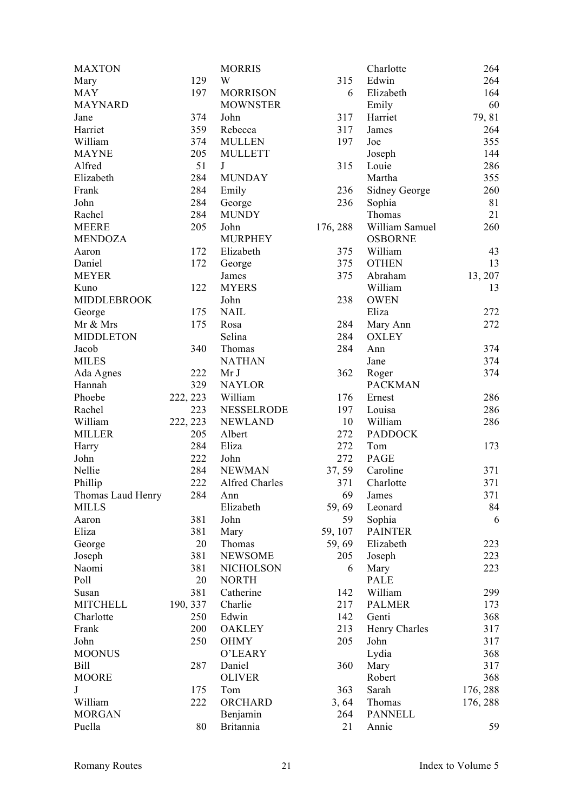| <b>MAXTON</b>      |          | <b>MORRIS</b>     |          | Charlotte      | 264      |
|--------------------|----------|-------------------|----------|----------------|----------|
| Mary               | 129      | W                 | 315      | Edwin          | 264      |
| <b>MAY</b>         | 197      | <b>MORRISON</b>   | 6        | Elizabeth      | 164      |
| <b>MAYNARD</b>     |          | <b>MOWNSTER</b>   |          | Emily          | 60       |
| Jane               | 374      | John              | 317      | Harriet        | 79, 81   |
| Harriet            | 359      | Rebecca           | 317      | James          | 264      |
| William            | 374      | <b>MULLEN</b>     | 197      | Joe            | 355      |
| <b>MAYNE</b>       | 205      | <b>MULLETT</b>    |          | Joseph         | 144      |
| Alfred             | 51       | J                 | 315      | Louie          | 286      |
| Elizabeth          | 284      | <b>MUNDAY</b>     |          | Martha         | 355      |
| Frank              | 284      | Emily             | 236      | Sidney George  | 260      |
| John               | 284      | George            | 236      | Sophia         | 81       |
| Rachel             | 284      | <b>MUNDY</b>      |          | Thomas         | 21       |
| <b>MEERE</b>       | 205      | John              | 176, 288 | William Samuel | 260      |
| <b>MENDOZA</b>     |          | <b>MURPHEY</b>    |          | <b>OSBORNE</b> |          |
| Aaron              | 172      | Elizabeth         | 375      | William        | 43       |
|                    | 172      |                   | 375      | <b>OTHEN</b>   | 13       |
| Daniel             |          | George            |          |                |          |
| <b>MEYER</b>       |          | James             | 375      | Abraham        | 13, 207  |
| Kuno               | 122      | <b>MYERS</b>      |          | William        | 13       |
| <b>MIDDLEBROOK</b> |          | John              | 238      | <b>OWEN</b>    |          |
| George             | 175      | <b>NAIL</b>       |          | Eliza          | 272      |
| Mr & Mrs           | 175      | Rosa              | 284      | Mary Ann       | 272      |
| <b>MIDDLETON</b>   |          | Selina            | 284      | <b>OXLEY</b>   |          |
| Jacob              | 340      | Thomas            | 284      | Ann            | 374      |
| <b>MILES</b>       |          | <b>NATHAN</b>     |          | Jane           | 374      |
| Ada Agnes          | 222      | Mr J              | 362      | Roger          | 374      |
| Hannah             | 329      | <b>NAYLOR</b>     |          | <b>PACKMAN</b> |          |
| Phoebe             | 222, 223 | William           | 176      | Ernest         | 286      |
| Rachel             | 223      | <b>NESSELRODE</b> | 197      | Louisa         | 286      |
| William            | 222, 223 | <b>NEWLAND</b>    | 10       | William        | 286      |
| <b>MILLER</b>      | 205      | Albert            | 272      | <b>PADDOCK</b> |          |
| Harry              | 284      | Eliza             | 272      | Tom            | 173      |
| John               | 222      | John              | 272      | PAGE           |          |
| Nellie             | 284      | <b>NEWMAN</b>     | 37, 59   | Caroline       | 371      |
| Phillip            | 222      | Alfred Charles    | 371      | Charlotte      | 371      |
| Thomas Laud Henry  | 284      | Ann               | 69       | James          | 371      |
| <b>MILLS</b>       |          | Elizabeth         | 59,69    | Leonard        | 84       |
| Aaron              | 381      | John              | 59       | Sophia         | 6        |
| Eliza              | 381      | Mary              | 59, 107  | <b>PAINTER</b> |          |
| George             | 20       | Thomas            | 59,69    | Elizabeth      | 223      |
| Joseph             | 381      | <b>NEWSOME</b>    | 205      | Joseph         | 223      |
| Naomi              | 381      | <b>NICHOLSON</b>  | 6        | Mary           | 223      |
| Poll               | 20       | <b>NORTH</b>      |          | PALE           |          |
| Susan              | 381      | Catherine         | 142      | William        | 299      |
| <b>MITCHELL</b>    | 190, 337 | Charlie           | 217      | <b>PALMER</b>  | 173      |
| Charlotte          | 250      | Edwin             | 142      | Genti          | 368      |
| Frank              | 200      | <b>OAKLEY</b>     | 213      | Henry Charles  | 317      |
| John               | 250      | <b>OHMY</b>       | 205      | John           | 317      |
| <b>MOONUS</b>      |          | O'LEARY           |          |                | 368      |
|                    |          |                   |          | Lydia          |          |
| <b>Bill</b>        | 287      | Daniel            | 360      | Mary           | 317      |
| <b>MOORE</b>       |          | <b>OLIVER</b>     |          | Robert         | 368      |
| $\bf J$            | 175      | Tom               | 363      | Sarah          | 176, 288 |
| William            | 222      | ORCHARD           | 3,64     | Thomas         | 176, 288 |
| <b>MORGAN</b>      |          | Benjamin          | 264      | <b>PANNELL</b> |          |
| Puella             | 80       | <b>Britannia</b>  | 21       | Annie          | 59       |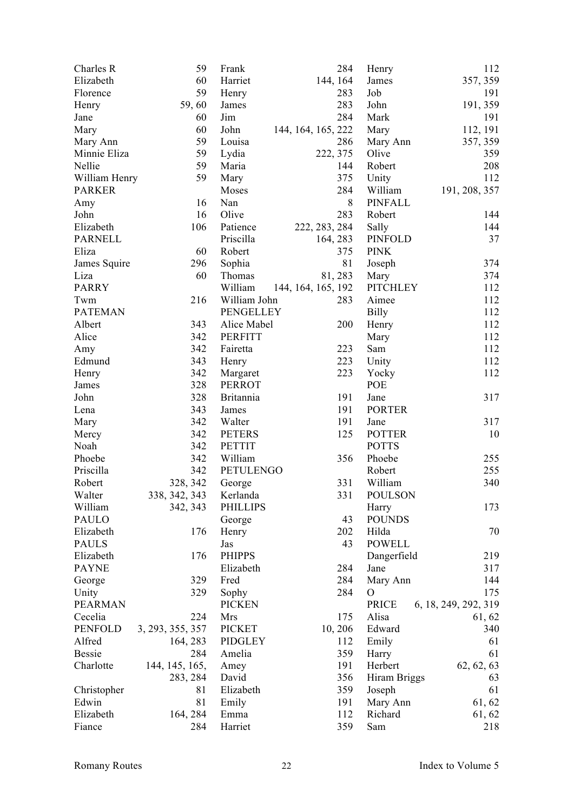| Charles R      | 59               | Frank            | 284                | Henry           | 112                  |
|----------------|------------------|------------------|--------------------|-----------------|----------------------|
| Elizabeth      | 60               | Harriet          | 144, 164           | James           | 357, 359             |
| Florence       | 59               | Henry            | 283                | Job             | 191                  |
| Henry          | 59,60            | James            | 283                | John            | 191, 359             |
| Jane           | 60               | Jim              | 284                | Mark            | 191                  |
| Mary           | 60               | John             | 144, 164, 165, 222 | Mary            | 112, 191             |
| Mary Ann       | 59               | Louisa           | 286                | Mary Ann        | 357, 359             |
| Minnie Eliza   | 59               | Lydia            | 222, 375           | Olive           | 359                  |
| Nellie         | 59               | Maria            | 144                | Robert          | 208                  |
| William Henry  | 59               | Mary             | 375                | Unity           | 112                  |
| <b>PARKER</b>  |                  | Moses            | 284                | William         | 191, 208, 357        |
| Amy            | 16               | Nan              | 8                  | <b>PINFALL</b>  |                      |
| John           | 16               | Olive            | 283                | Robert          | 144                  |
| Elizabeth      | 106              | Patience         | 222, 283, 284      | Sally           | 144                  |
| <b>PARNELL</b> |                  | Priscilla        |                    | <b>PINFOLD</b>  | 37                   |
| Eliza          |                  | Robert           | 164, 283           |                 |                      |
|                | 60               |                  | 375                | <b>PINK</b>     |                      |
| James Squire   | 296              | Sophia           | 81                 | Joseph          | 374                  |
| Liza           | 60               | Thomas           | 81, 283            | Mary            | 374                  |
| <b>PARRY</b>   |                  | William          | 144, 164, 165, 192 | <b>PITCHLEY</b> | 112                  |
| Twm            | 216              | William John     | 283                | Aimee           | 112                  |
| <b>PATEMAN</b> |                  | PENGELLEY        |                    | <b>Billy</b>    | 112                  |
| Albert         | 343              | Alice Mabel      | 200                | Henry           | 112                  |
| Alice          | 342              | <b>PERFITT</b>   |                    | Mary            | 112                  |
| Amy            | 342              | Fairetta         | 223                | Sam             | 112                  |
| Edmund         | 343              | Henry            | 223                | Unity           | 112                  |
| Henry          | 342              | Margaret         | 223                | Yocky           | 112                  |
| James          | 328              | <b>PERROT</b>    |                    | POE             |                      |
| John           | 328              | <b>Britannia</b> | 191                | Jane            | 317                  |
| Lena           | 343              | James            | 191                | <b>PORTER</b>   |                      |
| Mary           | 342              | Walter           | 191                | Jane            | 317                  |
| Mercy          | 342              | <b>PETERS</b>    | 125                | <b>POTTER</b>   | 10                   |
| Noah           | 342              | <b>PETTIT</b>    |                    | <b>POTTS</b>    |                      |
| Phoebe         | 342              | William          | 356                | Phoebe          | 255                  |
| Priscilla      | 342              | PETULENGO        |                    | Robert          | 255                  |
| Robert         | 328, 342         | George           | 331                | William         | 340                  |
| Walter         | 338, 342, 343    | Kerlanda         | 331                | <b>POULSON</b>  |                      |
| William        | 342, 343         | <b>PHILLIPS</b>  |                    | Harry           | 173                  |
| PAULO          |                  | George           | 43                 | <b>POUNDS</b>   |                      |
| Elizabeth      | 176              | Henry            | 202                | Hilda           | 70                   |
| <b>PAULS</b>   |                  | Jas              | 43                 | <b>POWELL</b>   |                      |
| Elizabeth      | 176              | <b>PHIPPS</b>    |                    | Dangerfield     | 219                  |
| <b>PAYNE</b>   |                  | Elizabeth        | 284                | Jane            | 317                  |
| George         | 329              | Fred             | 284                | Mary Ann        | 144                  |
| Unity          | 329              | Sophy            | 284                | $\mathcal{O}$   | 175                  |
| <b>PEARMAN</b> |                  | <b>PICKEN</b>    |                    | PRICE           | 6, 18, 249, 292, 319 |
| Cecelia        | 224              | Mrs              | 175                | Alisa           | 61, 62               |
| <b>PENFOLD</b> | 3, 293, 355, 357 | <b>PICKET</b>    | 10, 206            | Edward          | 340                  |
| Alfred         | 164, 283         | <b>PIDGLEY</b>   | 112                | Emily           | 61                   |
| <b>Bessie</b>  | 284              | Amelia           | 359                | Harry           | 61                   |
| Charlotte      | 144, 145, 165,   | Amey             | 191                | Herbert         | 62, 62, 63           |
|                |                  | David            | 356                |                 |                      |
|                | 283, 284<br>81   |                  |                    | Hiram Briggs    | 63                   |
| Christopher    |                  | Elizabeth        | 359                | Joseph          | 61                   |
| Edwin          | 81               | Emily            | 191                | Mary Ann        | 61, 62               |
| Elizabeth      | 164, 284         | Emma             | 112                | Richard         | 61, 62               |
| Fiance         | 284              | Harriet          | 359                | Sam             | 218                  |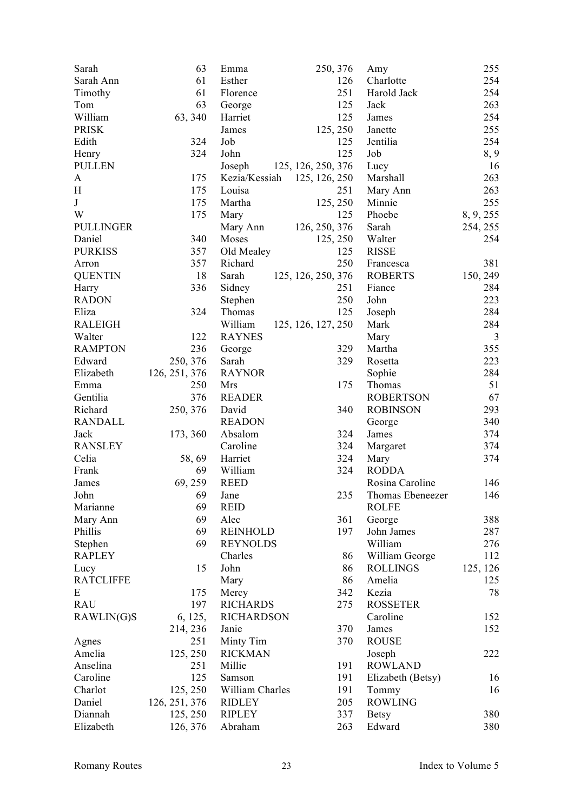| Sarah            | 63            | Emma              | 250, 376           | Amy               | 255            |
|------------------|---------------|-------------------|--------------------|-------------------|----------------|
| Sarah Ann        | 61            | Esther            | 126                | Charlotte         | 254            |
| Timothy          | 61            | Florence          | 251                | Harold Jack       | 254            |
| Tom              | 63            | George            | 125                | Jack              | 263            |
| William          | 63, 340       | Harriet           | 125                | James             | 254            |
| <b>PRISK</b>     |               | James             | 125, 250           | Janette           | 255            |
| Edith            | 324           | Job               | 125                | Jentilia          | 254            |
| Henry            | 324           | John              | 125                | Job               | 8, 9           |
| <b>PULLEN</b>    |               | Joseph            | 125, 126, 250, 376 | Lucy              | 16             |
| A                | 175           | Kezia/Kessiah     | 125, 126, 250      | Marshall          | 263            |
| H                | 175           | Louisa            | 251                | Mary Ann          | 263            |
| J                | 175           | Martha            | 125, 250           | Minnie            | 255            |
| W                | 175           | Mary              | 125                | Phoebe            | 8, 9, 255      |
| <b>PULLINGER</b> |               | Mary Ann          | 126, 250, 376      | Sarah             | 254, 255       |
| Daniel           | 340           | Moses             | 125, 250           | Walter            | 254            |
|                  |               |                   | 125                |                   |                |
| <b>PURKISS</b>   | 357           | Old Mealey        | 250                | <b>RISSE</b>      |                |
| Arron            | 357           | Richard           |                    | Francesca         | 381            |
| <b>QUENTIN</b>   | 18            | Sarah             | 125, 126, 250, 376 | <b>ROBERTS</b>    | 150, 249       |
| Harry            | 336           | Sidney            | 251                | Fiance            | 284            |
| <b>RADON</b>     |               | Stephen           | 250                | John              | 223            |
| Eliza            | 324           | Thomas            | 125                | Joseph            | 284            |
| <b>RALEIGH</b>   |               | William           | 125, 126, 127, 250 | Mark              | 284            |
| Walter           | 122           | <b>RAYNES</b>     |                    | Mary              | $\mathfrak{Z}$ |
| <b>RAMPTON</b>   | 236           | George            | 329                | Martha            | 355            |
| Edward           | 250, 376      | Sarah             | 329                | Rosetta           | 223            |
| Elizabeth        | 126, 251, 376 | <b>RAYNOR</b>     |                    | Sophie            | 284            |
| Emma             | 250           | Mrs               | 175                | Thomas            | 51             |
| Gentilia         | 376           | <b>READER</b>     |                    | <b>ROBERTSON</b>  | 67             |
| Richard          | 250, 376      | David             | 340                | <b>ROBINSON</b>   | 293            |
| <b>RANDALL</b>   |               | <b>READON</b>     |                    | George            | 340            |
| Jack             | 173, 360      | Absalom           | 324                | James             | 374            |
| <b>RANSLEY</b>   |               | Caroline          | 324                | Margaret          | 374            |
| Celia            | 58,69         | Harriet           | 324                | Mary              | 374            |
| Frank            | 69            | William           | 324                | <b>RODDA</b>      |                |
| James            | 69, 259       | <b>REED</b>       |                    | Rosina Caroline   | 146            |
| John             | 69            | Jane              | 235                | Thomas Ebeneezer  | 146            |
| Marianne         | 69            | <b>REID</b>       |                    | <b>ROLFE</b>      |                |
| Mary Ann         | 69            | Alec              | 361                | George            | 388            |
| Phillis          | 69            | <b>REINHOLD</b>   | 197                | John James        | 287            |
| Stephen          | 69            | <b>REYNOLDS</b>   |                    | William           | 276            |
| <b>RAPLEY</b>    |               | Charles           | 86                 | William George    | 112            |
| Lucy             | 15            | John              | 86                 | <b>ROLLINGS</b>   | 125, 126       |
| <b>RATCLIFFE</b> |               | Mary              | 86                 | Amelia            | 125            |
| E                | 175           | Mercy             | 342                | Kezia             | 78             |
| <b>RAU</b>       | 197           | <b>RICHARDS</b>   | 275                | <b>ROSSETER</b>   |                |
| RAWLIN(G)S       | 6, 125,       | <b>RICHARDSON</b> |                    | Caroline          | 152            |
|                  | 214, 236      | Janie             | 370                | James             | 152            |
| Agnes            | 251           | Minty Tim         | 370                | <b>ROUSE</b>      |                |
| Amelia           | 125, 250      | <b>RICKMAN</b>    |                    | Joseph            | 222            |
| Anselina         | 251           | Millie            | 191                | <b>ROWLAND</b>    |                |
| Caroline         | 125           | Samson            | 191                |                   |                |
|                  |               |                   |                    | Elizabeth (Betsy) | 16<br>16       |
| Charlot          | 125, 250      | William Charles   | 191                | Tommy             |                |
| Daniel           | 126, 251, 376 | <b>RIDLEY</b>     | 205                | <b>ROWLING</b>    |                |
| Diannah          | 125, 250      | <b>RIPLEY</b>     | 337                | <b>Betsy</b>      | 380            |
| Elizabeth        | 126, 376      | Abraham           | 263                | Edward            | 380            |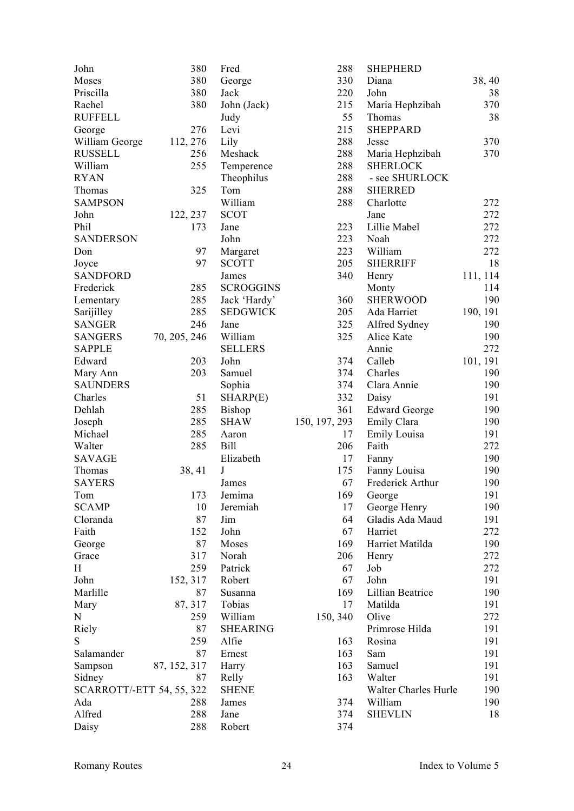| John                      | 380          | Fred             | 288           | <b>SHEPHERD</b>      |          |
|---------------------------|--------------|------------------|---------------|----------------------|----------|
| Moses                     | 380          | George           | 330           | Diana                | 38, 40   |
| Priscilla                 | 380          | Jack             | 220           | John                 | 38       |
| Rachel                    | 380          | John (Jack)      | 215           | Maria Hephzibah      | 370      |
| <b>RUFFELL</b>            |              | Judy             | 55            | Thomas               | 38       |
| George                    | 276          | Levi             | 215           | <b>SHEPPARD</b>      |          |
| William George            | 112, 276     | Lily             | 288           | Jesse                | 370      |
| <b>RUSSELL</b>            | 256          | Meshack          | 288           | Maria Hephzibah      | 370      |
| William                   | 255          | Temperence       | 288           | <b>SHERLOCK</b>      |          |
| <b>RYAN</b>               |              | Theophilus       | 288           | - see SHURLOCK       |          |
| Thomas                    | 325          | Tom              | 288           | <b>SHERRED</b>       |          |
| <b>SAMPSON</b>            |              | William          | 288           | Charlotte            | 272      |
| John                      | 122, 237     | <b>SCOT</b>      |               | Jane                 | 272      |
| Phil                      | 173          | Jane             | 223           | Lillie Mabel         | 272      |
| <b>SANDERSON</b>          |              | John             | 223           | Noah                 | 272      |
| Don                       | 97           | Margaret         | 223           | William              | 272      |
| Joyce                     | 97           | <b>SCOTT</b>     | 205           | <b>SHERRIFF</b>      | 18       |
| <b>SANDFORD</b>           |              | James            | 340           | Henry                | 111, 114 |
| Frederick                 | 285          | <b>SCROGGINS</b> |               | Monty                | 114      |
| Lementary                 | 285          | Jack 'Hardy'     | 360           | <b>SHERWOOD</b>      | 190      |
| Sarijilley                | 285          | <b>SEDGWICK</b>  | 205           | Ada Harriet          | 190, 191 |
| <b>SANGER</b>             | 246          | Jane             | 325           | Alfred Sydney        | 190      |
| <b>SANGERS</b>            | 70, 205, 246 | William          | 325           | Alice Kate           | 190      |
| <b>SAPPLE</b>             |              | <b>SELLERS</b>   |               | Annie                | 272      |
| Edward                    | 203          | John             | 374           | Calleb               | 101, 191 |
| Mary Ann                  | 203          | Samuel           | 374           | Charles              | 190      |
| <b>SAUNDERS</b>           |              | Sophia           | 374           | Clara Annie          | 190      |
| Charles                   | 51           | SHARP(E)         | 332           | Daisy                | 191      |
| Dehlah                    | 285          | <b>Bishop</b>    | 361           | <b>Edward George</b> | 190      |
| Joseph                    | 285          | <b>SHAW</b>      | 150, 197, 293 | Emily Clara          | 190      |
| Michael                   | 285          | Aaron            | 17            | Emily Louisa         | 191      |
| Walter                    | 285          | Bill             | 206           | Faith                | 272      |
| <b>SAVAGE</b>             |              | Elizabeth        | 17            | Fanny                | 190      |
| Thomas                    | 38, 41       | J                | 175           | Fanny Louisa         | 190      |
| <b>SAYERS</b>             |              | James            | 67            | Frederick Arthur     | 190      |
| Tom                       | 173          | Jemima           | 169           | George               | 191      |
| <b>SCAMP</b>              | 10           | Jeremiah         | 17            | George Henry         | 190      |
| Cloranda                  | 87           | Jim              | 64            | Gladis Ada Maud      | 191      |
| Faith                     | 152          | John             | 67            | Harriet              | 272      |
| George                    | 87           | Moses            | 169           | Harriet Matilda      | 190      |
| Grace                     | 317          | Norah            | 206           | Henry                | 272      |
| H                         | 259          | Patrick          | 67            | Job                  | 272      |
| John                      | 152, 317     | Robert           | 67            | John                 | 191      |
| Marlille                  | 87           | Susanna          | 169           | Lillian Beatrice     | 190      |
| Mary                      | 87, 317      | Tobias           | 17            | Matilda              | 191      |
| $\mathbf N$               | 259          | William          | 150, 340      | Olive                | 272      |
|                           | 87           | <b>SHEARING</b>  |               | Primrose Hilda       | 191      |
| Riely<br>S                |              |                  | 163           | Rosina               |          |
|                           | 259          | Alfie            |               |                      | 191      |
| Salamander                | 87           | Ernest           | 163           | Sam                  | 191      |
| Sampson                   | 87, 152, 317 | Harry            | 163           | Samuel               | 191      |
| Sidney                    | 87           | Relly            | 163           | Walter               | 191      |
| SCARROTT/-ETT 54, 55, 322 |              | <b>SHENE</b>     |               | Walter Charles Hurle | 190      |
| Ada                       | 288          | James            | 374           | William              | 190      |
| Alfred                    | 288          | Jane             | 374           | <b>SHEVLIN</b>       | 18       |
| Daisy                     | 288          | Robert           | 374           |                      |          |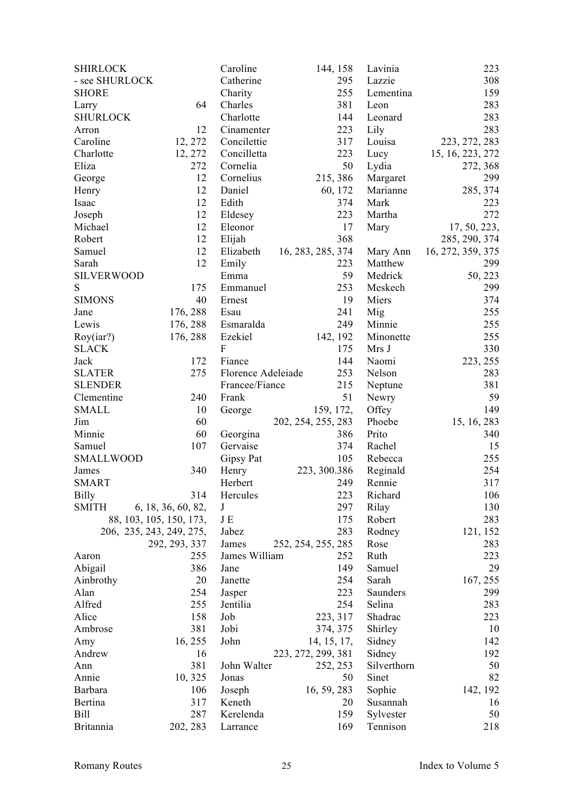| <b>SHIRLOCK</b>   |                          | Caroline           | 144, 158           | Lavinia     | 223               |
|-------------------|--------------------------|--------------------|--------------------|-------------|-------------------|
| - see SHURLOCK    |                          | Catherine          | 295                | Lazzie      | 308               |
| <b>SHORE</b>      |                          | Charity            | 255                | Lementina   | 159               |
| Larry             | 64                       | Charles            | 381                | Leon        | 283               |
| <b>SHURLOCK</b>   |                          | Charlotte          | 144                | Leonard     | 283               |
| Arron             | 12                       | Cinamenter         | 223                | Lily        | 283               |
| Caroline          | 12, 272                  | Concilettie        | 317                | Louisa      | 223, 272, 283     |
| Charlotte         | 12, 272                  | Concilletta        | 223                | Lucy        | 15, 16, 223, 272  |
| Eliza             | 272                      | Cornelia           | 50                 | Lydia       | 272, 368          |
| George            | 12                       | Cornelius          | 215, 386           | Margaret    | 299               |
| Henry             | 12                       | Daniel             | 60, 172            | Marianne    | 285, 374          |
| Isaac             | 12                       | Edith              | 374                | Mark        | 223               |
| Joseph            | 12                       | Eldesey            | 223                | Martha      | 272               |
| Michael           | 12                       | Eleonor            | 17                 | Mary        | 17, 50, 223,      |
| Robert            | 12                       | Elijah             | 368                |             | 285, 290, 374     |
| Samuel            | 12                       | Elizabeth          | 16, 283, 285, 374  | Mary Ann    | 16, 272, 359, 375 |
| Sarah             | 12                       | Emily              | 223                | Matthew     | 299               |
| <b>SILVERWOOD</b> |                          | Emma               | 59                 | Medrick     |                   |
|                   |                          |                    |                    |             | 50, 223           |
| ${\bf S}$         | 175                      | Emmanuel           | 253                | Meskech     | 299               |
| <b>SIMONS</b>     | 40                       | Ernest             | 19                 | Miers       | 374               |
| Jane              | 176, 288                 | Esau               | 241                | Mig         | 255               |
| Lewis             | 176, 288                 | Esmaralda          | 249                | Minnie      | 255               |
| Roy(iar?)         | 176, 288                 | Ezekiel            | 142, 192           | Minonette   | 255               |
| <b>SLACK</b>      |                          | $\mathbf F$        | 175                | Mrs J       | 330               |
| Jack              | 172                      | Fiance             | 144                | Naomi       | 223, 255          |
| <b>SLATER</b>     | 275                      | Florence Adeleiade | 253                | Nelson      | 283               |
| <b>SLENDER</b>    |                          | Francee/Fiance     | 215                | Neptune     | 381               |
| Clementine        | 240                      | Frank              | 51                 | Newry       | 59                |
| <b>SMALL</b>      | 10                       | George             | 159, 172,          | Offey       | 149               |
| Jim               | 60                       |                    | 202, 254, 255, 283 | Phoebe      | 15, 16, 283       |
| Minnie            | 60                       | Georgina           | 386                | Prito       | 340               |
| Samuel            | 107                      | Gervaise           | 374                | Rachel      | 15                |
| <b>SMALLWOOD</b>  |                          | Gipsy Pat          | 105                | Rebecca     | 255               |
| James             | 340                      | Henry              | 223, 300.386       | Reginald    | 254               |
| <b>SMART</b>      |                          | Herbert            | 249                | Rennie      | 317               |
| <b>Billy</b>      | 314                      | Hercules           | 223                | Richard     | $106\,$           |
| <b>SMITH</b>      | 6, 18, 36, 60, 82,       | J                  | 297                | Rilay       | 130               |
|                   | 88, 103, 105, 150, 173,  | JE                 | 175                | Robert      | 283               |
|                   | 206, 235, 243, 249, 275, | Jabez              | 283                | Rodney      | 121, 152          |
|                   | 292, 293, 337            | James              | 252, 254, 255, 285 | Rose        | 283               |
| Aaron             | 255                      | James William      | 252                | Ruth        | 223               |
| Abigail           | 386                      | Jane               | 149                | Samuel      | 29                |
| Ainbrothy         | 20                       | Janette            | 254                | Sarah       | 167, 255          |
| Alan              | 254                      | Jasper             | 223                | Saunders    | 299               |
| Alfred            | 255                      | Jentilia           | 254                | Selina      | 283               |
| Alice             | 158                      | Job                | 223, 317           | Shadrac     | 223               |
| Ambrose           | 381                      | Jobi               | 374, 375           | Shirley     | 10                |
| Amy               | 16, 255                  | John               | 14, 15, 17,        | Sidney      | 142               |
| Andrew            | 16                       |                    | 223, 272, 299, 381 | Sidney      | 192               |
| Ann               | 381                      | John Walter        | 252, 253           | Silverthorn | 50                |
| Annie             | 10, 325                  | Jonas              | 50                 | Sinet       | 82                |
| Barbara           | 106                      | Joseph             | 16, 59, 283        | Sophie      | 142, 192          |
| Bertina           | 317                      | Keneth             | 20                 | Susannah    | 16                |
| <b>Bill</b>       | 287                      | Kerelenda          | 159                |             | 50                |
|                   |                          |                    |                    | Sylvester   |                   |
| Britannia         | 202, 283                 | Larrance           | 169                | Tennison    | 218               |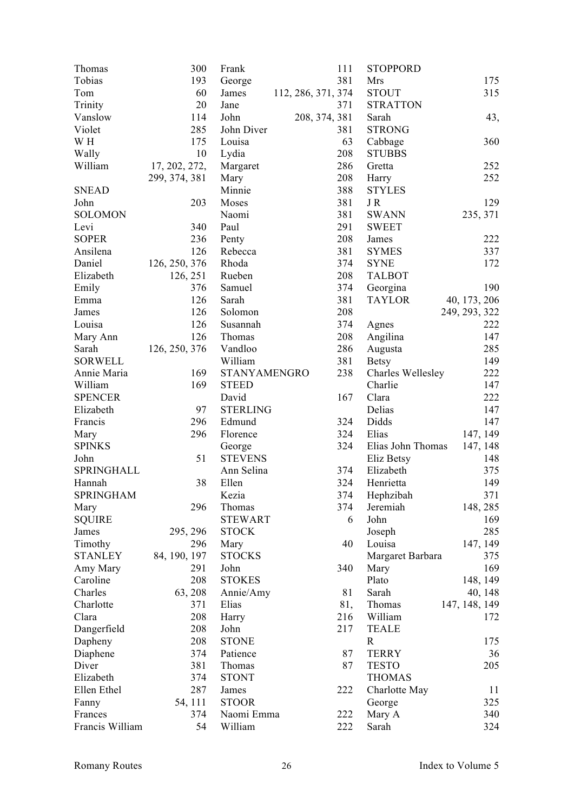| Thomas           | 300           | Frank                    | 111                | <b>STOPPORD</b>         |               |
|------------------|---------------|--------------------------|--------------------|-------------------------|---------------|
| Tobias           | 193           | George                   | 381                | Mrs                     | 175           |
| Tom              | 60            | James                    | 112, 286, 371, 374 | <b>STOUT</b>            | 315           |
| Trinity          | 20            | Jane                     | 371                | <b>STRATTON</b>         |               |
| Vanslow          | 114           | John                     | 208, 374, 381      | Sarah                   | 43,           |
| Violet           | 285           | John Diver               | 381                | <b>STRONG</b>           |               |
| W H              | 175           | Louisa                   | 63                 | Cabbage                 | 360           |
| Wally            | 10            | Lydia                    | 208                | <b>STUBBS</b>           |               |
| William          | 17, 202, 272, | Margaret                 | 286                | Gretta                  | 252           |
|                  | 299, 374, 381 |                          | 208                |                         | 252           |
|                  |               | Mary                     | 388                | Harry                   |               |
| <b>SNEAD</b>     |               | Minnie                   |                    | <b>STYLES</b>           |               |
| John             | 203           | Moses                    | 381                | JR                      | 129           |
| <b>SOLOMON</b>   |               | Naomi                    | 381                | <b>SWANN</b>            | 235, 371      |
| Levi             | 340           | Paul                     | 291                | <b>SWEET</b>            |               |
| <b>SOPER</b>     | 236           | Penty                    | 208                | James                   | 222           |
| Ansilena         | 126           | Rebecca                  | 381                | <b>SYMES</b>            | 337           |
| Daniel           | 126, 250, 376 | Rhoda                    | 374                | <b>SYNE</b>             | 172           |
| Elizabeth        | 126, 251      | Rueben                   | 208                | <b>TALBOT</b>           |               |
| Emily            | 376           | Samuel                   | 374                | Georgina                | 190           |
| Emma             | 126           | Sarah                    | 381                | <b>TAYLOR</b>           | 40, 173, 206  |
| James            | 126           | Solomon                  | 208                |                         | 249, 293, 322 |
| Louisa           | 126           | Susannah                 | 374                | Agnes                   | 222           |
| Mary Ann         | 126           | Thomas                   | 208                | Angilina                | 147           |
| Sarah            | 126, 250, 376 | Vandloo                  | 286                | Augusta                 | 285           |
| <b>SORWELL</b>   |               | William                  | 381                | <b>Betsy</b>            | 149           |
| Annie Maria      | 169           | STANYAMENGRO             | 238                | Charles Wellesley       | 222           |
| William          | 169           | <b>STEED</b>             |                    | Charlie                 | 147           |
| <b>SPENCER</b>   |               | David                    | 167                | Clara                   | 222           |
| Elizabeth        | 97            | <b>STERLING</b>          |                    | Delias                  | 147           |
| Francis          | 296           | Edmund                   | 324                | Didds                   | 147           |
| Mary             | 296           | Florence                 | 324                | Elias                   | 147, 149      |
| <b>SPINKS</b>    |               |                          | 324                | Elias John Thomas       | 147, 148      |
| John             | 51            | George<br><b>STEVENS</b> |                    |                         | 148           |
| SPRINGHALL       |               | Ann Selina               | 374                | Eliz Betsy<br>Elizabeth | 375           |
|                  |               |                          |                    |                         |               |
| Hannah           | 38            | Ellen                    | 324                | Henrietta               | 149           |
| <b>SPRINGHAM</b> |               | Kezia                    | 374                | Hephzibah               | 371           |
| Mary             | 296           | Thomas                   | 374                | Jeremiah                | 148, 285      |
| <b>SQUIRE</b>    |               | <b>STEWART</b>           | 6                  | John                    | 169           |
| James            | 295, 296      | <b>STOCK</b>             |                    | Joseph                  | 285           |
| Timothy          | 296           | Mary                     | 40                 | Louisa                  | 147, 149      |
| <b>STANLEY</b>   | 84, 190, 197  | <b>STOCKS</b>            |                    | Margaret Barbara        | 375           |
| Amy Mary         | 291           | John                     | 340                | Mary                    | 169           |
| Caroline         | 208           | <b>STOKES</b>            |                    | Plato                   | 148, 149      |
| Charles          | 63, 208       | Annie/Amy                | 81                 | Sarah                   | 40, 148       |
| Charlotte        | 371           | Elias                    | 81,                | Thomas                  | 147, 148, 149 |
| Clara            | 208           | Harry                    | 216                | William                 | 172           |
| Dangerfield      | 208           | John                     | 217                | <b>TEALE</b>            |               |
| Dapheny          | 208           | <b>STONE</b>             |                    | $\mathbf R$             | 175           |
| Diaphene         | 374           | Patience                 | 87                 | <b>TERRY</b>            | 36            |
| Diver            | 381           | Thomas                   | 87                 | <b>TESTO</b>            | 205           |
| Elizabeth        | 374           | <b>STONT</b>             |                    | <b>THOMAS</b>           |               |
| Ellen Ethel      | 287           | James                    | 222                | Charlotte May           | 11            |
| Fanny            | 54, 111       | <b>STOOR</b>             |                    | George                  | 325           |
| Frances          | 374           | Naomi Emma               | 222                | Mary A                  | 340           |
| Francis William  | 54            | William                  | 222                | Sarah                   | 324           |
|                  |               |                          |                    |                         |               |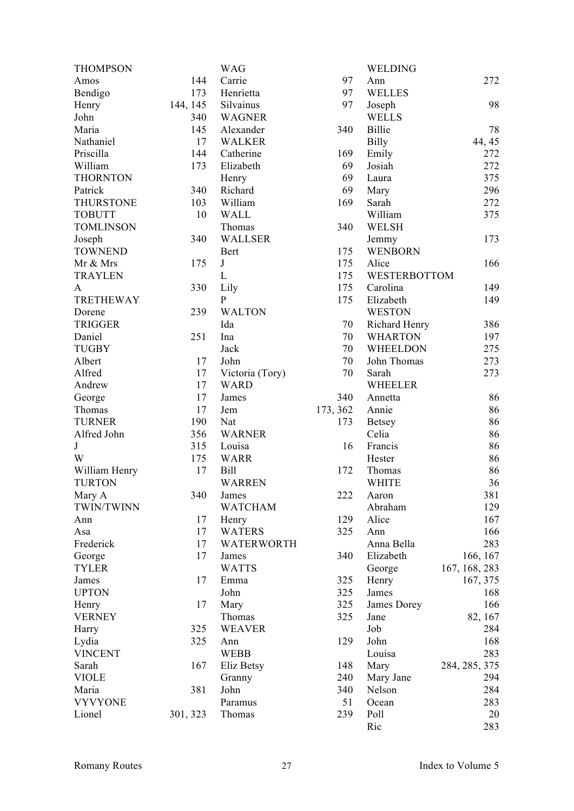| <b>THOMPSON</b>  |          | <b>WAG</b>      |          | WELDING                 |               |
|------------------|----------|-----------------|----------|-------------------------|---------------|
| Amos             | 144      | Carrie          | 97       | Ann                     | 272           |
| Bendigo          | 173      | Henrietta       | 97       | <b>WELLES</b>           |               |
| Henry            | 144, 145 | Silvainus       | 97       | Joseph                  | 98            |
| John             | 340      | <b>WAGNER</b>   |          | <b>WELLS</b>            |               |
| Maria            | 145      | Alexander       | 340      | Billie                  | 78            |
| Nathaniel        | 17       | <b>WALKER</b>   |          | <b>Billy</b>            | 44, 45        |
| Priscilla        | 144      | Catherine       | 169      | Emily                   | 272           |
| William          | 173      | Elizabeth       | 69       | Josiah                  | 272           |
| <b>THORNTON</b>  |          | Henry           | 69       | Laura                   | 375           |
| Patrick          | 340      | Richard         | 69       | Mary                    | 296           |
| <b>THURSTONE</b> | 103      | William         | 169      | Sarah                   | 272           |
| <b>TOBUTT</b>    | 10       | <b>WALL</b>     |          | William                 | 375           |
| <b>TOMLINSON</b> |          | Thomas          | 340      | WELSH                   |               |
| Joseph           | 340      | WALLSER         |          |                         | 173           |
| <b>TOWNEND</b>   |          |                 | 175      | Jemmy<br><b>WENBORN</b> |               |
|                  |          | <b>Bert</b>     | 175      |                         |               |
| Mr & Mrs         | 175      | $\bf J$         |          | Alice                   | 166           |
| <b>TRAYLEN</b>   |          | $\mathbf{L}$    | 175      | WESTERBOTTOM            |               |
| A                | 330      | Lily            | 175      | Carolina                | 149           |
| <b>TRETHEWAY</b> |          | $\mathbf{P}$    | 175      | Elizabeth               | 149           |
| Dorene           | 239      | <b>WALTON</b>   |          | <b>WESTON</b>           |               |
| <b>TRIGGER</b>   |          | Ida             | 70       | Richard Henry           | 386           |
| Daniel           | 251      | Ina             | 70       | <b>WHARTON</b>          | 197           |
| <b>TUGBY</b>     |          | Jack            | 70       | WHEELDON                | 275           |
| Albert           | 17       | John            | 70       | John Thomas             | 273           |
| Alfred           | 17       | Victoria (Tory) | 70       | Sarah                   | 273           |
| Andrew           | 17       | <b>WARD</b>     |          | <b>WHEELER</b>          |               |
| George           | 17       | James           | 340      | Annetta                 | 86            |
| Thomas           | 17       | Jem             | 173, 362 | Annie                   | 86            |
| <b>TURNER</b>    | 190      | Nat             | 173      | <b>Betsey</b>           | 86            |
| Alfred John      | 356      | <b>WARNER</b>   |          | Celia                   | 86            |
| $\bf J$          | 315      | Louisa          | 16       | Francis                 | 86            |
| W                | 175      | <b>WARR</b>     |          | Hester                  | 86            |
| William Henry    | 17       | <b>Bill</b>     | 172      | Thomas                  | 86            |
| <b>TURTON</b>    |          | <b>WARREN</b>   |          | <b>WHITE</b>            | 36            |
| Mary A           | 340      | James           | 222      | Aaron                   | 381           |
| TWIN/TWINN       |          | <b>WATCHAM</b>  |          | Abraham                 | 129           |
| Ann              | 17       | Henry           | 129      | Alice                   | 167           |
| Asa              | 17       | <b>WATERS</b>   | 325      | Ann                     | 166           |
| Frederick        | 17       | WATERWORTH      |          | Anna Bella              | 283           |
| George           | 17       | James           | 340      | Elizabeth               | 166, 167      |
| <b>TYLER</b>     |          | <b>WATTS</b>    |          | George                  | 167, 168, 283 |
| James            | 17       | Emma            | 325      | Henry                   | 167, 375      |
| <b>UPTON</b>     |          | John            | 325      | James                   | 168           |
| Henry            | 17       | Mary            | 325      | James Dorey             | 166           |
| <b>VERNEY</b>    |          | Thomas          | 325      | Jane                    | 82, 167       |
| Harry            | 325      | <b>WEAVER</b>   |          | Job                     | 284           |
| Lydia            | 325      | Ann             | 129      | John                    | 168           |
| <b>VINCENT</b>   |          | <b>WEBB</b>     |          | Louisa                  | 283           |
|                  |          |                 |          |                         |               |
| Sarah            | 167      | Eliz Betsy      | 148      | Mary                    | 284, 285, 375 |
| <b>VIOLE</b>     |          | Granny          | 240      | Mary Jane               | 294           |
| Maria            | 381      | John            | 340      | Nelson                  | 284           |
| <b>VYVYONE</b>   |          | Paramus         | 51       | Ocean                   | 283           |
| Lionel           | 301, 323 | Thomas          | 239      | Poll                    | 20            |
|                  |          |                 |          | Ric                     | 283           |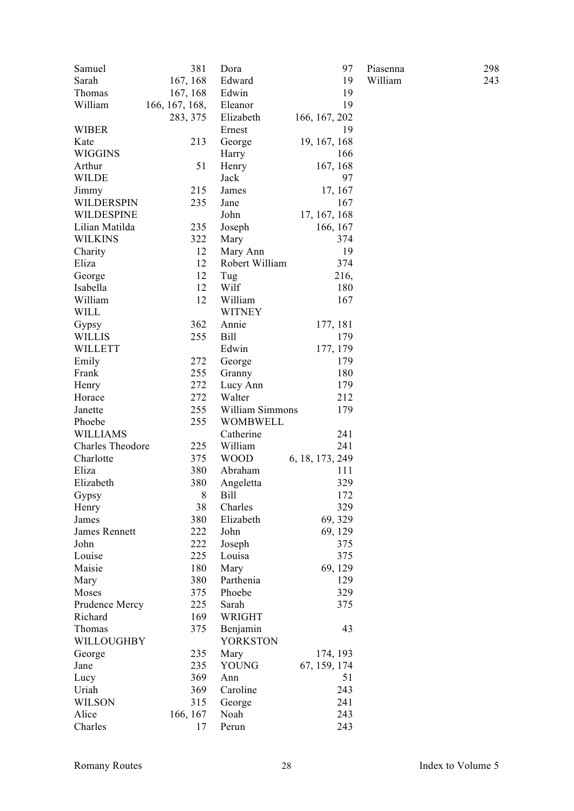| Samuel                  | 381            | Dora            | 97              | Piasenna | 298 |
|-------------------------|----------------|-----------------|-----------------|----------|-----|
| Sarah                   | 167, 168       | Edward          | 19              | William  | 243 |
| Thomas                  | 167, 168       | Edwin           | 19              |          |     |
| William                 | 166, 167, 168, | Eleanor         | 19              |          |     |
|                         | 283, 375       | Elizabeth       | 166, 167, 202   |          |     |
| <b>WIBER</b>            |                | Ernest          | 19              |          |     |
| Kate                    | 213            | George          | 19, 167, 168    |          |     |
| WIGGINS                 |                | Harry           | 166             |          |     |
| Arthur                  | 51             | Henry           | 167, 168        |          |     |
| <b>WILDE</b>            |                | Jack            | 97              |          |     |
| Jimmy                   | 215            | James           | 17, 167         |          |     |
| WILDERSPIN              | 235            | Jane            | 167             |          |     |
| WILDESPINE              |                | John            | 17, 167, 168    |          |     |
| Lilian Matilda          | 235            | Joseph          | 166, 167        |          |     |
| <b>WILKINS</b>          | 322            | Mary            | 374             |          |     |
| Charity                 | 12             | Mary Ann        | 19              |          |     |
| Eliza                   | 12             | Robert William  | 374             |          |     |
| George                  | 12             | Tug             | 216,            |          |     |
| Isabella                | 12             | Wilf            | 180             |          |     |
| William                 | 12             | William         | 167             |          |     |
| <b>WILL</b>             |                | <b>WITNEY</b>   |                 |          |     |
| Gypsy                   | 362            | Annie           | 177, 181        |          |     |
| <b>WILLIS</b>           | 255            | <b>Bill</b>     | 179             |          |     |
| <b>WILLETT</b>          |                | Edwin           | 177, 179        |          |     |
| Emily                   | 272            |                 | 179             |          |     |
| Frank                   | 255            | George          |                 |          |     |
|                         |                | Granny          | 180             |          |     |
| Henry                   | 272            | Lucy Ann        | 179             |          |     |
| Horace                  | 272            | Walter          | 212             |          |     |
| Janette                 | 255            | William Simmons | 179             |          |     |
| Phoebe                  | 255            | <b>WOMBWELL</b> |                 |          |     |
| <b>WILLIAMS</b>         |                | Catherine       | 241             |          |     |
| <b>Charles Theodore</b> | 225            | William         | 241             |          |     |
| Charlotte               | 375            | <b>WOOD</b>     | 6, 18, 173, 249 |          |     |
| Eliza                   | 380            | Abraham         | 111             |          |     |
| Elizabeth               | 380            | Angeletta       | 329             |          |     |
| Gypsy                   | $8\,$          | <b>Bill</b>     | 172             |          |     |
| Henry                   | 38             | Charles         | 329             |          |     |
| James                   | 380            | Elizabeth       | 69, 329         |          |     |
| James Rennett           | 222            | John            | 69, 129         |          |     |
| John                    | 222            | Joseph          | 375             |          |     |
| Louise                  | 225            | Louisa          | 375             |          |     |
| Maisie                  | 180            | Mary            | 69, 129         |          |     |
| Mary                    | 380            | Parthenia       | 129             |          |     |
| Moses                   | 375            | Phoebe          | 329             |          |     |
| Prudence Mercy          | 225            | Sarah           | 375             |          |     |
| Richard                 | 169            | WRIGHT          |                 |          |     |
| Thomas                  | 375            | Benjamin        | 43              |          |     |
| WILLOUGHBY              |                | <b>YORKSTON</b> |                 |          |     |
| George                  | 235            | Mary            | 174, 193        |          |     |
| Jane                    | 235            | <b>YOUNG</b>    | 67, 159, 174    |          |     |
| Lucy                    | 369            | Ann             | 51              |          |     |
| Uriah                   | 369            | Caroline        | 243             |          |     |
| <b>WILSON</b>           | 315            | George          | 241             |          |     |
| Alice                   | 166, 167       | Noah            | 243             |          |     |
| Charles                 | 17             | Perun           | 243             |          |     |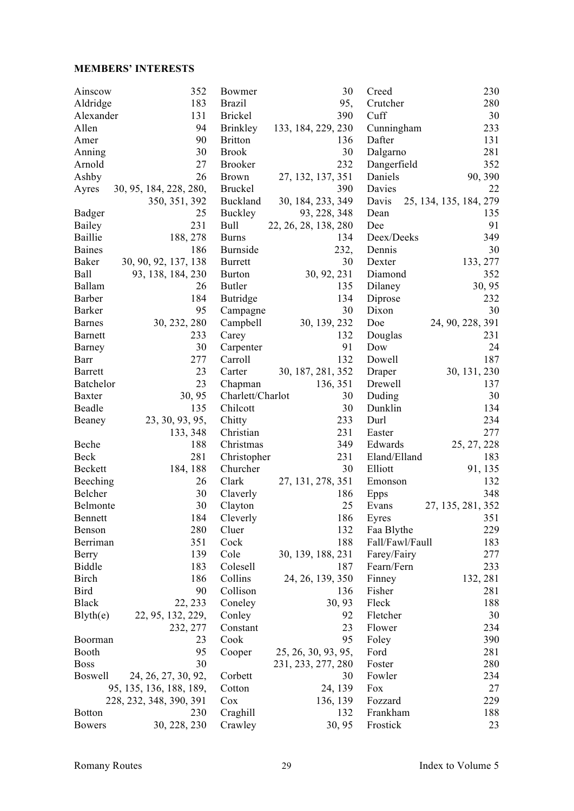#### **MEMBERS' INTERESTS**

| Ainscow        | 352                     | Bowmer           | 30                       | Creed            | 230                    |
|----------------|-------------------------|------------------|--------------------------|------------------|------------------------|
| Aldridge       | 183                     | <b>Brazil</b>    | 95,                      | Crutcher         | 280                    |
| Alexander      | 131                     | <b>Brickel</b>   | 390                      | Cuff             | 30                     |
| Allen          | 94                      | Brinkley         | 133, 184, 229, 230       | Cunningham       | 233                    |
| Amer           | 90                      | <b>Britton</b>   | 136                      | Dafter           | 131                    |
| Anning         | 30                      | <b>Brook</b>     | 30                       | Dalgarno         | 281                    |
| Arnold         | 27                      | <b>Brooker</b>   | 232                      | Dangerfield      | 352                    |
| Ashby          | 26                      | <b>Brown</b>     | 27, 132, 137, 351        | Daniels          | 90, 390                |
| Ayres          | 30, 95, 184, 228, 280,  | <b>Bruckel</b>   | 390                      | Davies           | 22                     |
|                | 350, 351, 392           | Buckland         | 30, 184, 233, 349        | Davis            | 25, 134, 135, 184, 279 |
| <b>Badger</b>  | 25                      | Buckley          | 93, 228, 348             | Dean             | 135                    |
| Bailey         | 231                     | Bull             | 22, 26, 28, 138, 280     | Dee              | 91                     |
| Baillie        | 188, 278                | <b>Burns</b>     | 134                      | Deex/Deeks       | 349                    |
| <b>Baines</b>  | 186                     | Burnside         | 232,                     | Dennis           | 30                     |
| <b>Baker</b>   | 30, 90, 92, 137, 138    | <b>Burrett</b>   | 30                       | Dexter           | 133, 277               |
| Ball           | 93, 138, 184, 230       | <b>Burton</b>    | 30, 92, 231              | Diamond          | 352                    |
| Ballam         | 26                      | <b>Butler</b>    | 135                      | Dilaney          | 30, 95                 |
| Barber         | 184                     | <b>Butridge</b>  | 134                      | Diprose          | 232                    |
| <b>Barker</b>  | 95                      |                  | 30                       | Dixon            | 30                     |
|                |                         | Campagne         |                          |                  |                        |
| <b>Barnes</b>  | 30, 232, 280            | Campbell         | 30, 139, 232             | Doe              | 24, 90, 228, 391       |
| <b>Barnett</b> | 233                     | Carey            | 132                      | Douglas          | 231                    |
| Barney         | 30                      | Carpenter        | 91                       | Dow              | 24                     |
| Barr           | 277                     | Carroll          | 132                      | Dowell           | 187                    |
| <b>Barrett</b> | 23                      | Carter           | 30, 187, 281, 352        | Draper           | 30, 131, 230           |
| Batchelor      | 23                      | Chapman          | 136, 351                 | Drewell          | 137                    |
| <b>Baxter</b>  | 30, 95                  | Charlett/Charlot | 30                       | Duding           | 30                     |
| Beadle         | 135                     | Chilcott         | 30                       | Dunklin          | 134                    |
| Beaney         | 23, 30, 93, 95,         | Chitty           | 233                      | Durl             | 234                    |
|                | 133, 348                | Christian        | 231                      | Easter           | 277                    |
| Beche          | 188                     | Christmas        | 349                      | Edwards          | 25, 27, 228            |
| Beck           | 281                     | Christopher      | 231                      | Eland/Elland     | 183                    |
| Beckett        | 184, 188                | Churcher         | 30                       | Elliott          | 91, 135                |
| Beeching       | 26                      | Clark            | 27, 131, 278, 351        | Emonson          | 132                    |
| Belcher        | 30                      | Claverly         | 186                      | Epps             | 348                    |
| Belmonte       | 30                      | Clayton          | 25                       | Evans            | 27, 135, 281, 352      |
| Bennett        | 184                     | Cleverly         | 186                      | Eyres            | 351                    |
| Benson         | 280                     | Cluer            | 132                      | Faa Blythe       | 229                    |
| Berriman       | 351                     | Cock             | 188                      | Fall/Fawl/Faull  | 183                    |
| Berry          | 139                     | Cole             | 30, 139, 188, 231        | Farey/Fairy      | 277                    |
| <b>Biddle</b>  | 183                     | Colesell         | 187                      | Fearn/Fern       | 233                    |
| Birch          | 186                     | Collins          | 24, 26, 139, 350         | Finney           | 132, 281               |
| <b>Bird</b>    | 90                      | Collison         | 136                      | Fisher           | 281                    |
| <b>Black</b>   | 22, 233                 | Coneley          | 30, 93                   | Fleck            | 188                    |
| Blyth(e)       | 22, 95, 132, 229,       | Conley           | 92                       | Fletcher         | 30                     |
|                | 232, 277                | Constant         | 23                       | Flower           | 234                    |
| Boorman        | 23                      | Cook             | 95                       | Foley            | 390                    |
| Booth          | 95                      | Cooper           | 25, 26, 30, 93, 95,      | Ford             | 281                    |
| <b>Boss</b>    | 30                      |                  |                          |                  | 280                    |
| <b>Boswell</b> | 24, 26, 27, 30, 92,     |                  | 231, 233, 277, 280<br>30 | Foster<br>Fowler | 234                    |
|                |                         | Corbett          |                          |                  |                        |
|                | 95, 135, 136, 188, 189, | Cotton           | 24, 139                  | Fox              | 27                     |
|                | 228, 232, 348, 390, 391 | Cox              | 136, 139                 | Fozzard          | 229                    |
| <b>Botton</b>  | 230                     | Craghill         | 132                      | Frankham         | 188                    |
| <b>Bowers</b>  | 30, 228, 230            | Crawley          | 30, 95                   | Frostick         | 23                     |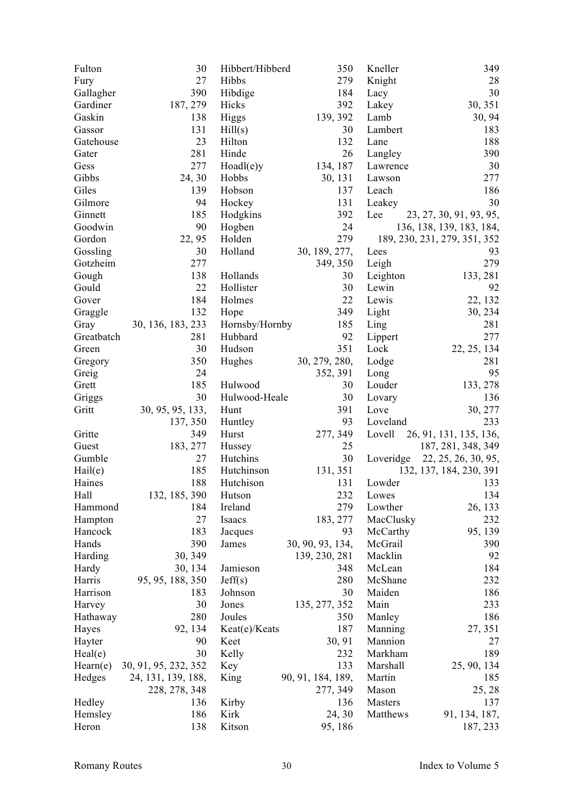| Fulton     | 30                   | Hibbert/Hibberd | 350               | Kneller   | 349                          |
|------------|----------------------|-----------------|-------------------|-----------|------------------------------|
| Fury       | 27                   | Hibbs           | 279               | Knight    | 28                           |
| Gallagher  | 390                  | Hibdige         | 184               | Lacy      | 30                           |
| Gardiner   | 187, 279             | Hicks           | 392               | Lakey     | 30, 351                      |
| Gaskin     | 138                  | Higgs           | 139, 392          | Lamb      | 30, 94                       |
| Gassor     | 131                  | Hill(s)         | 30                | Lambert   | 183                          |
| Gatehouse  | 23                   | Hilton          | 132               | Lane      | 188                          |
| Gater      | 281                  | Hinde           | 26                | Langley   | 390                          |
| Gess       | 277                  | $Hoadle$ )y     | 134, 187          | Lawrence  | 30                           |
| Gibbs      | 24, 30               | Hobbs           | 30, 131           | Lawson    | 277                          |
| Giles      | 139                  | Hobson          | 137               | Leach     | 186                          |
| Gilmore    | 94                   | Hockey          | 131               | Leakey    | 30                           |
| Ginnett    | 185                  | Hodgkins        | 392               | Lee       | 23, 27, 30, 91, 93, 95,      |
| Goodwin    | 90                   | Hogben          | 24                |           | 136, 138, 139, 183, 184,     |
| Gordon     | 22, 95               | Holden          | 279               |           | 189, 230, 231, 279, 351, 352 |
| Gossling   | 30                   | Holland         | 30, 189, 277,     | Lees      | 93                           |
| Gotzheim   | 277                  |                 | 349, 350          | Leigh     | 279                          |
| Gough      | 138                  | Hollands        | 30                | Leighton  | 133, 281                     |
| Gould      | 22                   | Hollister       | 30                | Lewin     | 92                           |
| Gover      | 184                  | Holmes          | 22                | Lewis     | 22, 132                      |
|            | 132                  |                 | 349               |           |                              |
| Graggle    |                      | Hope            |                   | Light     | 30, 234                      |
| Gray       | 30, 136, 183, 233    | Hornsby/Hornby  | 185               | Ling      | 281                          |
| Greatbatch | 281                  | Hubbard         | 92                | Lippert   | 277                          |
| Green      | 30                   | Hudson          | 351               | Lock      | 22, 25, 134                  |
| Gregory    | 350                  | Hughes          | 30, 279, 280,     | Lodge     | 281                          |
| Greig      | 24                   |                 | 352, 391          | Long      | 95                           |
| Grett      | 185                  | Hulwood         | 30                | Louder    | 133, 278                     |
| Griggs     | 30                   | Hulwood-Heale   | 30                | Lovary    | 136                          |
| Gritt      | 30, 95, 95, 133,     | Hunt            | 391               | Love      | 30, 277                      |
|            | 137, 350             | Huntley         | 93                | Loveland  | 233                          |
| Gritte     | 349                  | Hurst           | 277, 349          | Lovell    | 26, 91, 131, 135, 136,       |
| Guest      | 183, 277             | Hussey          | 25                |           | 187, 281, 348, 349           |
| Gumble     | 27                   | Hutchins        | 30                | Loveridge | 22, 25, 26, 30, 95,          |
| Hail(e)    | 185                  | Hutchinson      | 131, 351          |           | 132, 137, 184, 230, 391      |
| Haines     | 188                  | Hutchison       | 131               | Lowder    | 133                          |
| Hall       | 132, 185, 390        | Hutson          | 232               | Lowes     | 134                          |
| Hammond    | 184                  | Ireland         | 279               | Lowther   | 26, 133                      |
| Hampton    | 27                   | Isaacs          | 183, 277          | MacClusky | 232                          |
| Hancock    | 183                  | Jacques         | 93                | McCarthy  | 95, 139                      |
| Hands      | 390                  | James           | 30, 90, 93, 134,  | McGrail   | 390                          |
| Harding    | 30, 349              |                 | 139, 230, 281     | Macklin   | 92                           |
| Hardy      | 30, 134              | Jamieson        | 348               | McLean    | 184                          |
| Harris     | 95, 95, 188, 350     | Jeff(s)         | 280               | McShane   | 232                          |
| Harrison   | 183                  | Johnson         | 30                | Maiden    | 186                          |
| Harvey     | 30                   | Jones           | 135, 277, 352     | Main      | 233                          |
| Hathaway   | 280                  | Joules          | 350               | Manley    | 186                          |
| Hayes      | 92, 134              | Keat(e)/Keats   | 187               | Manning   | 27, 351                      |
| Hayter     | 90                   | Keet            | 30, 91            | Mannion   | 27                           |
| Healthe)   | 30                   | Kelly           | 232               | Markham   | 189                          |
| Hearn(e)   | 30, 91, 95, 232, 352 | Key             | 133               | Marshall  | 25, 90, 134                  |
| Hedges     | 24, 131, 139, 188,   | King            | 90, 91, 184, 189, | Martin    | 185                          |
|            | 228, 278, 348        |                 | 277, 349          | Mason     | 25, 28                       |
| Hedley     | 136                  | Kirby           | 136               | Masters   | 137                          |
| Hemsley    | 186                  | Kirk            | 24, 30            | Matthews  | 91, 134, 187,                |
| Heron      | 138                  | Kitson          | 95, 186           |           | 187, 233                     |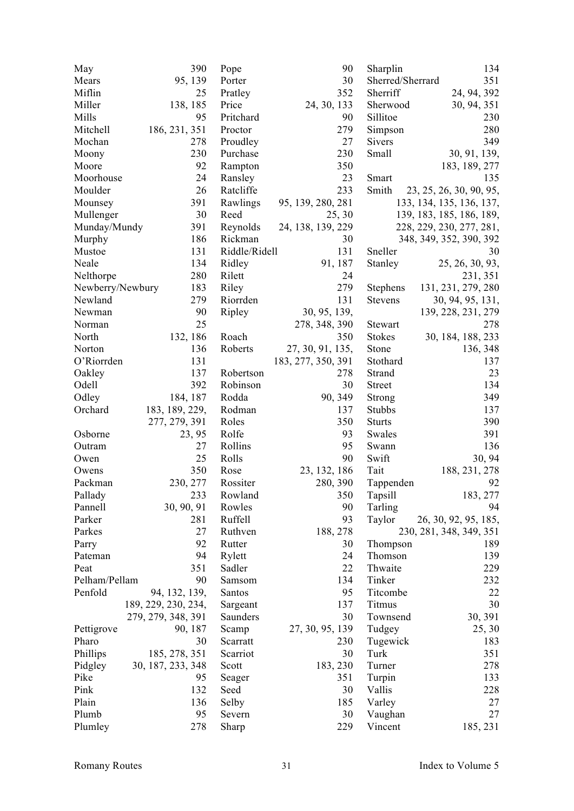| May              | 390                 | Pope          | 90                 | Sharplin         | 134                      |
|------------------|---------------------|---------------|--------------------|------------------|--------------------------|
| Mears            | 95, 139             | Porter        | 30                 | Sherred/Sherrard | 351                      |
| Miflin           | 25                  | Pratley       | 352                | Sherriff         | 24, 94, 392              |
| Miller           | 138, 185            | Price         | 24, 30, 133        | Sherwood         | 30, 94, 351              |
| Mills            | 95                  | Pritchard     | 90                 | Sillitoe         | 230                      |
| Mitchell         | 186, 231, 351       | Proctor       | 279                | Simpson          | 280                      |
| Mochan           | 278                 | Proudley      | 27                 | Sivers           | 349                      |
| Moony            | 230                 | Purchase      | 230                | Small            | 30, 91, 139,             |
| Moore            | 92                  | Rampton       | 350                |                  | 183, 189, 277            |
| Moorhouse        | 24                  | Ransley       | 23                 | Smart            | 135                      |
| Moulder          | 26                  | Ratcliffe     | 233                | Smith            | 23, 25, 26, 30, 90, 95,  |
| Mounsey          | 391                 | Rawlings      | 95, 139, 280, 281  |                  | 133, 134, 135, 136, 137, |
| Mullenger        | 30                  | Reed          | 25, 30             |                  | 139, 183, 185, 186, 189, |
| Munday/Mundy     | 391                 | Reynolds      | 24, 138, 139, 229  |                  | 228, 229, 230, 277, 281, |
| Murphy           | 186                 | Rickman       | 30                 |                  | 348, 349, 352, 390, 392  |
| Mustoe           | 131                 | Riddle/Ridell | 131                | Sneller          | 30                       |
| Neale            | 134                 | Ridley        | 91, 187            | Stanley          | 25, 26, 30, 93,          |
| Nelthorpe        | 280                 | Rilett        | 24                 |                  | 231, 351                 |
| Newberry/Newbury | 183                 | Riley         | 279                | <b>Stephens</b>  | 131, 231, 279, 280       |
| Newland          | 279                 | Riorrden      | 131                | Stevens          | 30, 94, 95, 131,         |
| Newman           | 90                  | Ripley        | 30, 95, 139,       |                  |                          |
|                  | 25                  |               |                    |                  | 139, 228, 231, 279       |
| Norman           |                     |               | 278, 348, 390      | Stewart          | 278                      |
| North            | 132, 186            | Roach         | 350                | <b>Stokes</b>    | 30, 184, 188, 233        |
| Norton           | 136                 | Roberts       | 27, 30, 91, 135,   | Stone            | 136, 348                 |
| O'Riorrden       | 131                 |               | 183, 277, 350, 391 | Stothard         | 137                      |
| Oakley           | 137                 | Robertson     | 278                | Strand           | 23                       |
| Odell            | 392                 | Robinson      | 30                 | Street           | 134                      |
| Odley            | 184, 187            | Rodda         | 90, 349            | Strong           | 349                      |
| Orchard          | 183, 189, 229,      | Rodman        | 137                | <b>Stubbs</b>    | 137                      |
|                  | 277, 279, 391       | Roles         | 350                | <b>Sturts</b>    | 390                      |
| Osborne          | 23, 95              | Rolfe         | 93                 | Swales           | 391                      |
| Outram           | 27                  | Rollins       | 95                 | Swann            | 136                      |
| Owen             | 25                  | Rolls         | 90                 | Swift            | 30, 94                   |
| Owens            | 350                 | Rose          | 23, 132, 186       | Tait             | 188, 231, 278            |
| Packman          | 230, 277            | Rossiter      | 280, 390           | Tappenden        | 92                       |
| Pallady          | 233                 | Rowland       | 350                | Tapsill          | 183, 277                 |
| Pannell          | 30, 90, 91          | Rowles        | 90                 | Tarling          | 94                       |
| Parker           | 281                 | Ruffell       | 93                 | Taylor           | 26, 30, 92, 95, 185,     |
| Parkes           | 27                  | Ruthven       | 188, 278           |                  | 230, 281, 348, 349, 351  |
| Parry            | 92                  | Rutter        | 30                 | Thompson         | 189                      |
| Pateman          | 94                  | Rylett        | 24                 | Thomson          | 139                      |
| Peat             | 351                 | Sadler        | 22                 | Thwaite          | 229                      |
| Pelham/Pellam    | 90                  | Samsom        | 134                | Tinker           | 232                      |
| Penfold          | 94, 132, 139,       | Santos        | 95                 | Titcombe         | 22                       |
|                  | 189, 229, 230, 234, | Sargeant      | 137                | Titmus           | 30                       |
|                  | 279, 279, 348, 391  | Saunders      | 30                 | Townsend         | 30, 391                  |
| Pettigrove       | 90, 187             | Scamp         | 27, 30, 95, 139    | Tudgey           | 25, 30                   |
| Pharo            | 30                  | Scarratt      | 230                | Tugewick         | 183                      |
| Phillips         | 185, 278, 351       | Scarriot      | 30                 | Turk             | 351                      |
| Pidgley          | 30, 187, 233, 348   | Scott         | 183, 230           | Turner           | 278                      |
| Pike             | 95                  | Seager        | 351                | Turpin           | 133                      |
| Pink             | 132                 | Seed          | 30                 | Vallis           | 228                      |
| Plain            | 136                 | Selby         | 185                | Varley           | 27                       |
| Plumb            | 95                  | Severn        | 30                 | Vaughan          | 27                       |
| Plumley          | 278                 | Sharp         | 229                | Vincent          | 185, 231                 |